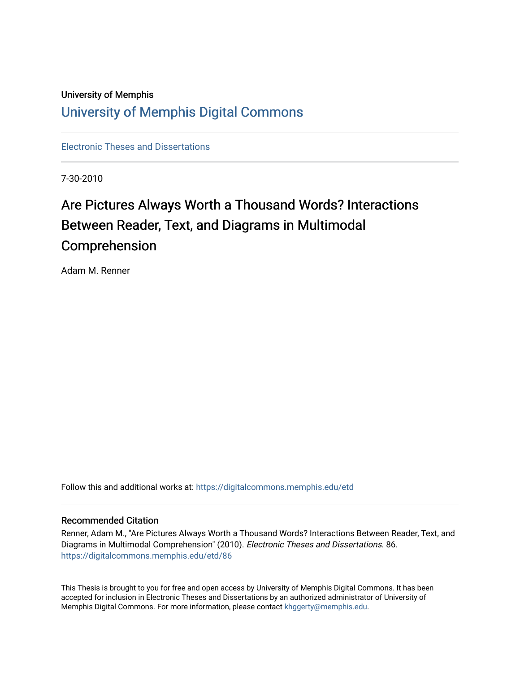## University of Memphis [University of Memphis Digital Commons](https://digitalcommons.memphis.edu/)

[Electronic Theses and Dissertations](https://digitalcommons.memphis.edu/etd)

7-30-2010

# Are Pictures Always Worth a Thousand Words? Interactions Between Reader, Text, and Diagrams in Multimodal Comprehension

Adam M. Renner

Follow this and additional works at: [https://digitalcommons.memphis.edu/etd](https://digitalcommons.memphis.edu/etd?utm_source=digitalcommons.memphis.edu%2Fetd%2F86&utm_medium=PDF&utm_campaign=PDFCoverPages) 

### Recommended Citation

Renner, Adam M., "Are Pictures Always Worth a Thousand Words? Interactions Between Reader, Text, and Diagrams in Multimodal Comprehension" (2010). Electronic Theses and Dissertations. 86. [https://digitalcommons.memphis.edu/etd/86](https://digitalcommons.memphis.edu/etd/86?utm_source=digitalcommons.memphis.edu%2Fetd%2F86&utm_medium=PDF&utm_campaign=PDFCoverPages)

This Thesis is brought to you for free and open access by University of Memphis Digital Commons. It has been accepted for inclusion in Electronic Theses and Dissertations by an authorized administrator of University of Memphis Digital Commons. For more information, please contact [khggerty@memphis.edu.](mailto:khggerty@memphis.edu)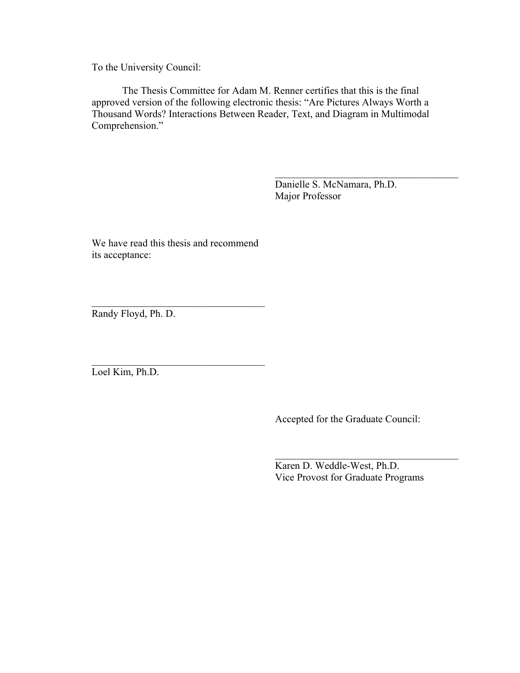To the University Council:

 The Thesis Committee for Adam M. Renner certifies that this is the final approved version of the following electronic thesis: "Are Pictures Always Worth a Thousand Words? Interactions Between Reader, Text, and Diagram in Multimodal Comprehension."

 $\mathcal{L}_\text{max}$  and  $\mathcal{L}_\text{max}$  and  $\mathcal{L}_\text{max}$  and  $\mathcal{L}_\text{max}$  and  $\mathcal{L}_\text{max}$ 

 $\mathcal{L}_\text{max}$  and  $\mathcal{L}_\text{max}$  and  $\mathcal{L}_\text{max}$  and  $\mathcal{L}_\text{max}$  and  $\mathcal{L}_\text{max}$ 

 Danielle S. McNamara, Ph.D. Major Professor

We have read this thesis and recommend its acceptance:

 $\mathcal{L}_\text{max}$  , and the set of the set of the set of the set of the set of the set of the set of the set of the set of the set of the set of the set of the set of the set of the set of the set of the set of the set of the

 $\mathcal{L}_\text{max}$  , and the set of the set of the set of the set of the set of the set of the set of the set of the set of the set of the set of the set of the set of the set of the set of the set of the set of the set of the

Randy Floyd, Ph. D.

Loel Kim, Ph.D.

Accepted for the Graduate Council:

 Karen D. Weddle-West, Ph.D. Vice Provost for Graduate Programs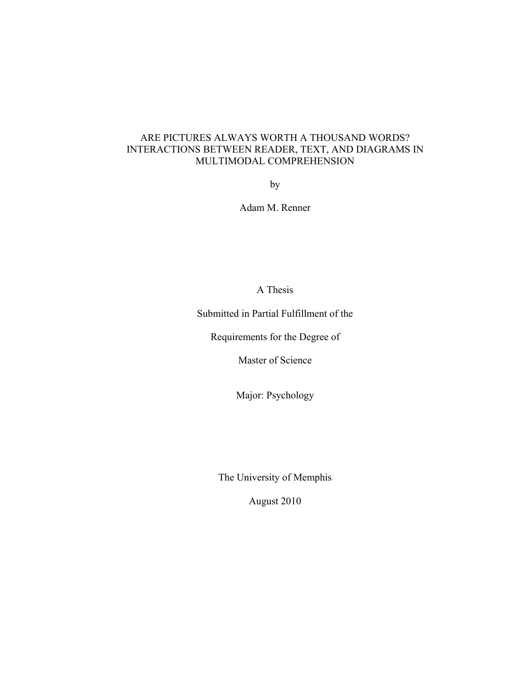### ARE PICTURES ALWAYS WORTH A THOUSAND WORDS? INTERACTIONS BETWEEN READER, TEXT, AND DIAGRAMS IN MULTIMODAL COMPREHENSION

by

Adam M. Renner

A Thesis

Submitted in Partial Fulfillment of the

Requirements for the Degree of

Master of Science

Major: Psychology

The University of Memphis

August 2010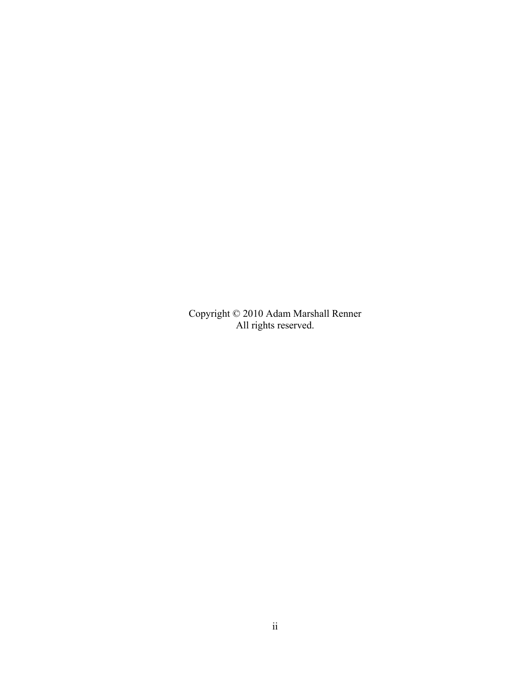Copyright © 2010 Adam Marshall Renner All rights reserved.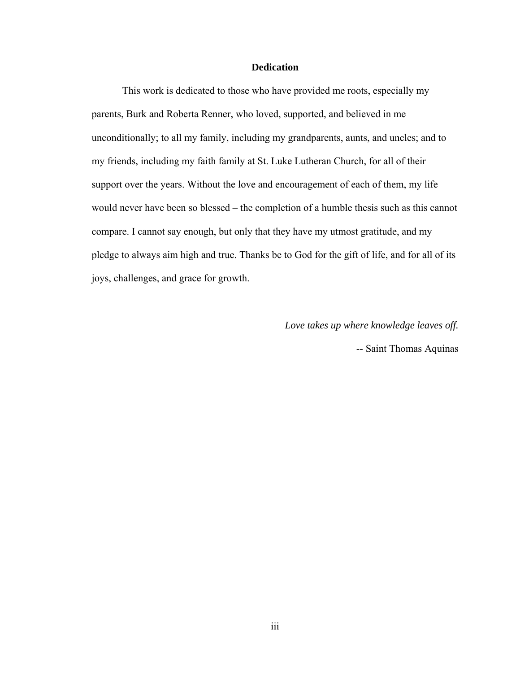### **Dedication**

 This work is dedicated to those who have provided me roots, especially my parents, Burk and Roberta Renner, who loved, supported, and believed in me unconditionally; to all my family, including my grandparents, aunts, and uncles; and to my friends, including my faith family at St. Luke Lutheran Church, for all of their support over the years. Without the love and encouragement of each of them, my life would never have been so blessed – the completion of a humble thesis such as this cannot compare. I cannot say enough, but only that they have my utmost gratitude, and my pledge to always aim high and true. Thanks be to God for the gift of life, and for all of its joys, challenges, and grace for growth.

*Love takes up where knowledge leaves off.* 

-- Saint Thomas Aquinas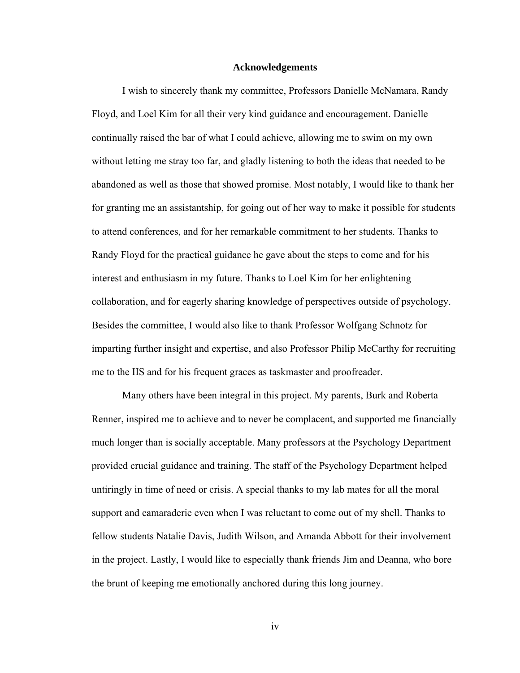#### **Acknowledgements**

I wish to sincerely thank my committee, Professors Danielle McNamara, Randy Floyd, and Loel Kim for all their very kind guidance and encouragement. Danielle continually raised the bar of what I could achieve, allowing me to swim on my own without letting me stray too far, and gladly listening to both the ideas that needed to be abandoned as well as those that showed promise. Most notably, I would like to thank her for granting me an assistantship, for going out of her way to make it possible for students to attend conferences, and for her remarkable commitment to her students. Thanks to Randy Floyd for the practical guidance he gave about the steps to come and for his interest and enthusiasm in my future. Thanks to Loel Kim for her enlightening collaboration, and for eagerly sharing knowledge of perspectives outside of psychology. Besides the committee, I would also like to thank Professor Wolfgang Schnotz for imparting further insight and expertise, and also Professor Philip McCarthy for recruiting me to the IIS and for his frequent graces as taskmaster and proofreader.

 Many others have been integral in this project. My parents, Burk and Roberta Renner, inspired me to achieve and to never be complacent, and supported me financially much longer than is socially acceptable. Many professors at the Psychology Department provided crucial guidance and training. The staff of the Psychology Department helped untiringly in time of need or crisis. A special thanks to my lab mates for all the moral support and camaraderie even when I was reluctant to come out of my shell. Thanks to fellow students Natalie Davis, Judith Wilson, and Amanda Abbott for their involvement in the project. Lastly, I would like to especially thank friends Jim and Deanna, who bore the brunt of keeping me emotionally anchored during this long journey.

iv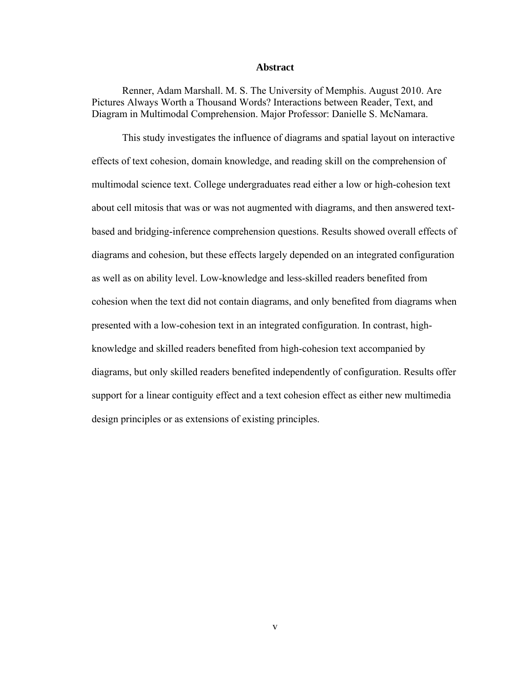### **Abstract**

 Renner, Adam Marshall. M. S. The University of Memphis. August 2010. Are Pictures Always Worth a Thousand Words? Interactions between Reader, Text, and Diagram in Multimodal Comprehension. Major Professor: Danielle S. McNamara.

This study investigates the influence of diagrams and spatial layout on interactive effects of text cohesion, domain knowledge, and reading skill on the comprehension of multimodal science text. College undergraduates read either a low or high-cohesion text about cell mitosis that was or was not augmented with diagrams, and then answered textbased and bridging-inference comprehension questions. Results showed overall effects of diagrams and cohesion, but these effects largely depended on an integrated configuration as well as on ability level. Low-knowledge and less-skilled readers benefited from cohesion when the text did not contain diagrams, and only benefited from diagrams when presented with a low-cohesion text in an integrated configuration. In contrast, highknowledge and skilled readers benefited from high-cohesion text accompanied by diagrams, but only skilled readers benefited independently of configuration. Results offer support for a linear contiguity effect and a text cohesion effect as either new multimedia design principles or as extensions of existing principles.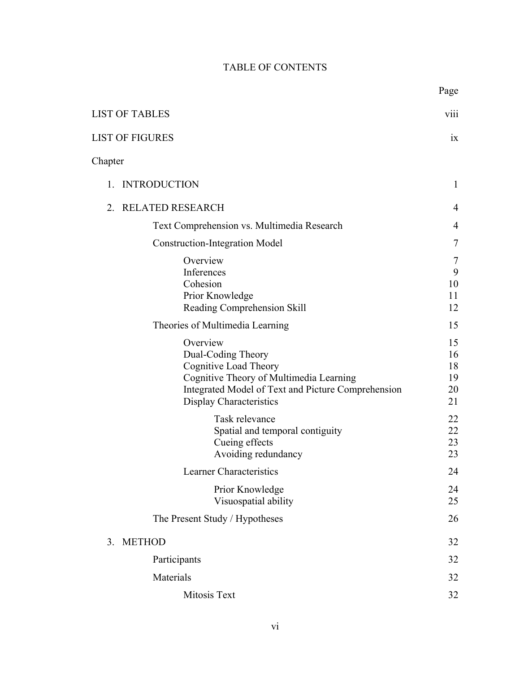### TABLE OF CONTENTS

|                        |                                                                                                                                                                                     | Page                             |
|------------------------|-------------------------------------------------------------------------------------------------------------------------------------------------------------------------------------|----------------------------------|
| <b>LIST OF TABLES</b>  |                                                                                                                                                                                     |                                  |
| <b>LIST OF FIGURES</b> |                                                                                                                                                                                     |                                  |
| Chapter                |                                                                                                                                                                                     |                                  |
|                        | 1. INTRODUCTION                                                                                                                                                                     | $\mathbf{1}$                     |
| 2                      | <b>RELATED RESEARCH</b>                                                                                                                                                             | $\overline{4}$                   |
|                        | Text Comprehension vs. Multimedia Research                                                                                                                                          | 4                                |
|                        | <b>Construction-Integration Model</b>                                                                                                                                               | 7                                |
|                        | Overview<br>Inferences<br>Cohesion<br>Prior Knowledge<br>Reading Comprehension Skill                                                                                                | 7<br>9<br>10<br>11<br>12         |
|                        | Theories of Multimedia Learning                                                                                                                                                     | 15                               |
|                        | Overview<br>Dual-Coding Theory<br>Cognitive Load Theory<br>Cognitive Theory of Multimedia Learning<br>Integrated Model of Text and Picture Comprehension<br>Display Characteristics | 15<br>16<br>18<br>19<br>20<br>21 |
|                        | Task relevance<br>Spatial and temporal contiguity<br>Cueing effects<br>Avoiding redundancy                                                                                          | 22<br>22<br>23<br>23             |
|                        | Learner Characteristics                                                                                                                                                             | 24                               |
|                        | Prior Knowledge<br>Visuospatial ability                                                                                                                                             | 24<br>25                         |
|                        | The Present Study / Hypotheses                                                                                                                                                      | 26                               |
| 3.                     | <b>METHOD</b>                                                                                                                                                                       | 32                               |
|                        | Participants                                                                                                                                                                        | 32                               |
|                        | Materials                                                                                                                                                                           | 32                               |
|                        | Mitosis Text                                                                                                                                                                        | 32                               |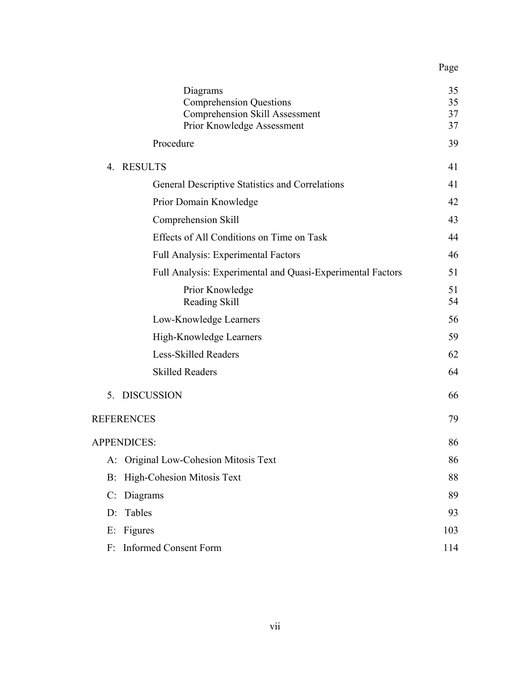|       | Diagrams                                                            | 35       |
|-------|---------------------------------------------------------------------|----------|
|       | <b>Comprehension Questions</b>                                      | 35       |
|       | <b>Comprehension Skill Assessment</b><br>Prior Knowledge Assessment | 37<br>37 |
|       | Procedure                                                           | 39       |
|       |                                                                     |          |
|       | 4. RESULTS                                                          | 41       |
|       | General Descriptive Statistics and Correlations                     | 41       |
|       | Prior Domain Knowledge                                              | 42       |
|       | Comprehension Skill                                                 | 43       |
|       | Effects of All Conditions on Time on Task                           | 44       |
|       | <b>Full Analysis: Experimental Factors</b>                          | 46       |
|       | Full Analysis: Experimental and Quasi-Experimental Factors          | 51       |
|       | Prior Knowledge<br>Reading Skill                                    | 51<br>54 |
|       | Low-Knowledge Learners                                              | 56       |
|       | High-Knowledge Learners                                             | 59       |
|       | <b>Less-Skilled Readers</b>                                         | 62       |
|       | <b>Skilled Readers</b>                                              | 64       |
|       | 5. DISCUSSION                                                       | 66       |
|       | <b>REFERENCES</b>                                                   | 79       |
|       | <b>APPENDICES:</b>                                                  | 86       |
|       | A: Original Low-Cohesion Mitosis Text                               | 86       |
| B:    | <b>High-Cohesion Mitosis Text</b>                                   | 88       |
| C:    | Diagrams                                                            | 89       |
| $D$ : | Tables                                                              | 93       |
| Е:    | Figures                                                             | 103      |
| F:    | <b>Informed Consent Form</b>                                        | 114      |

Page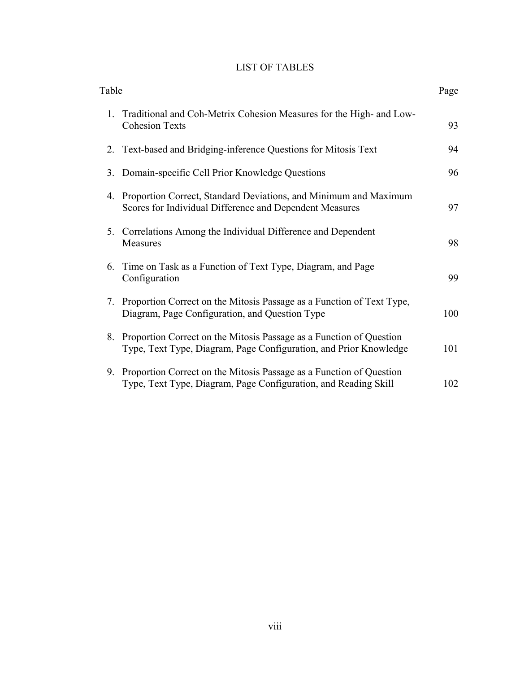### LIST OF TABLES

| Table        |                                                                                                                                             | Page |
|--------------|---------------------------------------------------------------------------------------------------------------------------------------------|------|
| $\mathbf{1}$ | Traditional and Coh-Metrix Cohesion Measures for the High- and Low-<br><b>Cohesion Texts</b>                                                | 93   |
|              | 2. Text-based and Bridging-inference Questions for Mitosis Text                                                                             | 94   |
|              | 3. Domain-specific Cell Prior Knowledge Questions                                                                                           | 96   |
|              | 4. Proportion Correct, Standard Deviations, and Minimum and Maximum<br>Scores for Individual Difference and Dependent Measures              | 97   |
|              | 5. Correlations Among the Individual Difference and Dependent<br>Measures                                                                   | 98   |
|              | 6. Time on Task as a Function of Text Type, Diagram, and Page<br>Configuration                                                              | 99   |
|              | 7. Proportion Correct on the Mitosis Passage as a Function of Text Type,<br>Diagram, Page Configuration, and Question Type                  | 100  |
|              | 8. Proportion Correct on the Mitosis Passage as a Function of Question<br>Type, Text Type, Diagram, Page Configuration, and Prior Knowledge | 101  |
|              | 9. Proportion Correct on the Mitosis Passage as a Function of Question<br>Type, Text Type, Diagram, Page Configuration, and Reading Skill   | 102  |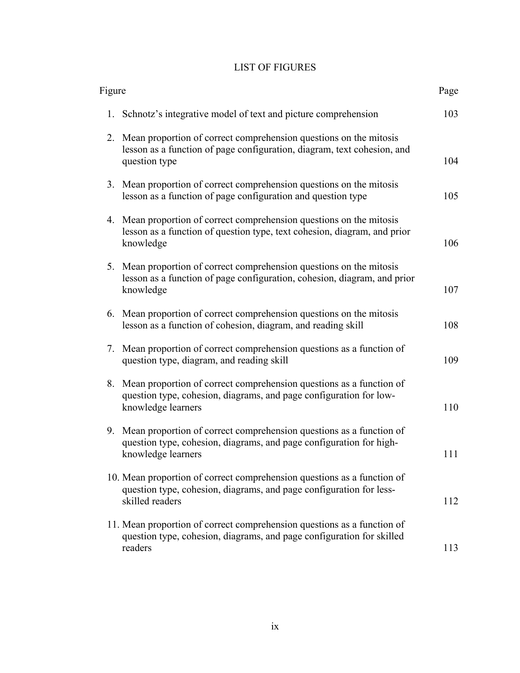### LIST OF FIGURES

| Figure |                                                                                                                                                                     | Page |
|--------|---------------------------------------------------------------------------------------------------------------------------------------------------------------------|------|
| 1.     | Schnotz's integrative model of text and picture comprehension                                                                                                       | 103  |
|        | 2. Mean proportion of correct comprehension questions on the mitosis<br>lesson as a function of page configuration, diagram, text cohesion, and<br>question type    | 104  |
| 3.     | Mean proportion of correct comprehension questions on the mitosis<br>lesson as a function of page configuration and question type                                   | 105  |
|        | 4. Mean proportion of correct comprehension questions on the mitosis<br>lesson as a function of question type, text cohesion, diagram, and prior<br>knowledge       | 106  |
| 5.     | Mean proportion of correct comprehension questions on the mitosis<br>lesson as a function of page configuration, cohesion, diagram, and prior<br>knowledge          | 107  |
| 6.     | Mean proportion of correct comprehension questions on the mitosis<br>lesson as a function of cohesion, diagram, and reading skill                                   | 108  |
| 7.     | Mean proportion of correct comprehension questions as a function of<br>question type, diagram, and reading skill                                                    | 109  |
| 8.     | Mean proportion of correct comprehension questions as a function of<br>question type, cohesion, diagrams, and page configuration for low-<br>knowledge learners     | 110  |
|        | 9. Mean proportion of correct comprehension questions as a function of<br>question type, cohesion, diagrams, and page configuration for high-<br>knowledge learners | 111  |
|        | 10. Mean proportion of correct comprehension questions as a function of<br>question type, cohesion, diagrams, and page configuration for less-<br>skilled readers   | 112  |
|        | 11. Mean proportion of correct comprehension questions as a function of<br>question type, cohesion, diagrams, and page configuration for skilled<br>readers         | 113  |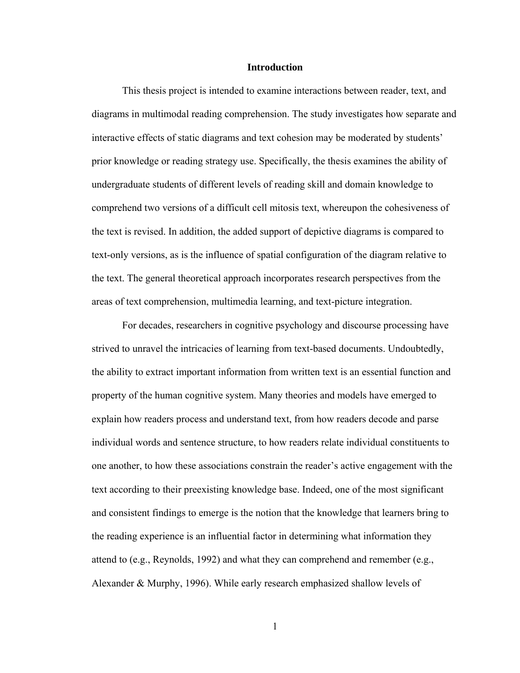#### **Introduction**

This thesis project is intended to examine interactions between reader, text, and diagrams in multimodal reading comprehension. The study investigates how separate and interactive effects of static diagrams and text cohesion may be moderated by students' prior knowledge or reading strategy use. Specifically, the thesis examines the ability of undergraduate students of different levels of reading skill and domain knowledge to comprehend two versions of a difficult cell mitosis text, whereupon the cohesiveness of the text is revised. In addition, the added support of depictive diagrams is compared to text-only versions, as is the influence of spatial configuration of the diagram relative to the text. The general theoretical approach incorporates research perspectives from the areas of text comprehension, multimedia learning, and text-picture integration.

For decades, researchers in cognitive psychology and discourse processing have strived to unravel the intricacies of learning from text-based documents. Undoubtedly, the ability to extract important information from written text is an essential function and property of the human cognitive system. Many theories and models have emerged to explain how readers process and understand text, from how readers decode and parse individual words and sentence structure, to how readers relate individual constituents to one another, to how these associations constrain the reader's active engagement with the text according to their preexisting knowledge base. Indeed, one of the most significant and consistent findings to emerge is the notion that the knowledge that learners bring to the reading experience is an influential factor in determining what information they attend to (e.g., Reynolds, 1992) and what they can comprehend and remember (e.g., Alexander & Murphy, 1996). While early research emphasized shallow levels of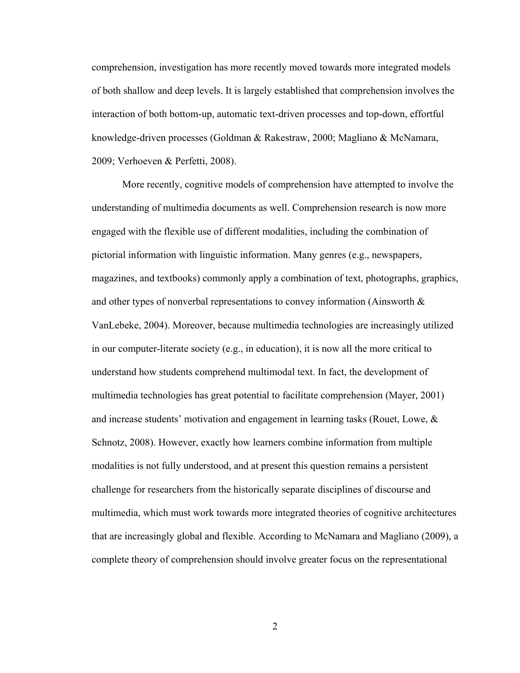comprehension, investigation has more recently moved towards more integrated models of both shallow and deep levels. It is largely established that comprehension involves the interaction of both bottom-up, automatic text-driven processes and top-down, effortful knowledge-driven processes (Goldman & Rakestraw, 2000; Magliano & McNamara, 2009; Verhoeven & Perfetti, 2008).

More recently, cognitive models of comprehension have attempted to involve the understanding of multimedia documents as well. Comprehension research is now more engaged with the flexible use of different modalities, including the combination of pictorial information with linguistic information. Many genres (e.g., newspapers, magazines, and textbooks) commonly apply a combination of text, photographs, graphics, and other types of nonverbal representations to convey information (Ainsworth  $\&$ VanLebeke, 2004). Moreover, because multimedia technologies are increasingly utilized in our computer-literate society (e.g., in education), it is now all the more critical to understand how students comprehend multimodal text. In fact, the development of multimedia technologies has great potential to facilitate comprehension (Mayer, 2001) and increase students' motivation and engagement in learning tasks (Rouet, Lowe, & Schnotz, 2008). However, exactly how learners combine information from multiple modalities is not fully understood, and at present this question remains a persistent challenge for researchers from the historically separate disciplines of discourse and multimedia, which must work towards more integrated theories of cognitive architectures that are increasingly global and flexible. According to McNamara and Magliano (2009), a complete theory of comprehension should involve greater focus on the representational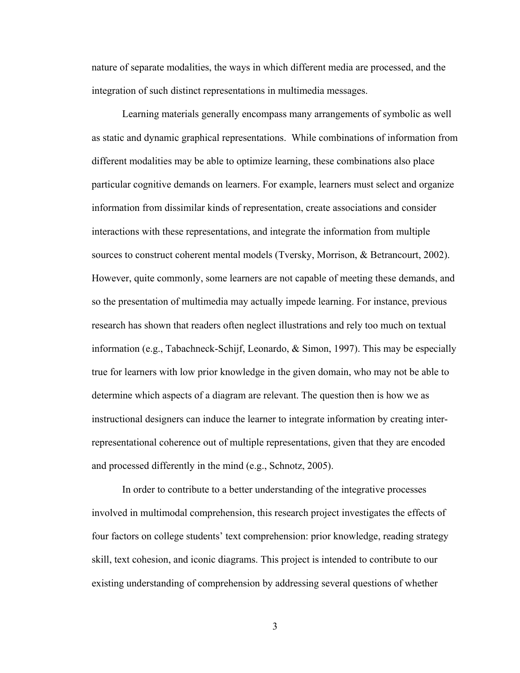nature of separate modalities, the ways in which different media are processed, and the integration of such distinct representations in multimedia messages.

Learning materials generally encompass many arrangements of symbolic as well as static and dynamic graphical representations. While combinations of information from different modalities may be able to optimize learning, these combinations also place particular cognitive demands on learners. For example, learners must select and organize information from dissimilar kinds of representation, create associations and consider interactions with these representations, and integrate the information from multiple sources to construct coherent mental models (Tversky, Morrison, & Betrancourt, 2002). However, quite commonly, some learners are not capable of meeting these demands, and so the presentation of multimedia may actually impede learning. For instance, previous research has shown that readers often neglect illustrations and rely too much on textual information (e.g., Tabachneck-Schijf, Leonardo, & Simon, 1997). This may be especially true for learners with low prior knowledge in the given domain, who may not be able to determine which aspects of a diagram are relevant. The question then is how we as instructional designers can induce the learner to integrate information by creating interrepresentational coherence out of multiple representations, given that they are encoded and processed differently in the mind (e.g., Schnotz, 2005).

In order to contribute to a better understanding of the integrative processes involved in multimodal comprehension, this research project investigates the effects of four factors on college students' text comprehension: prior knowledge, reading strategy skill, text cohesion, and iconic diagrams. This project is intended to contribute to our existing understanding of comprehension by addressing several questions of whether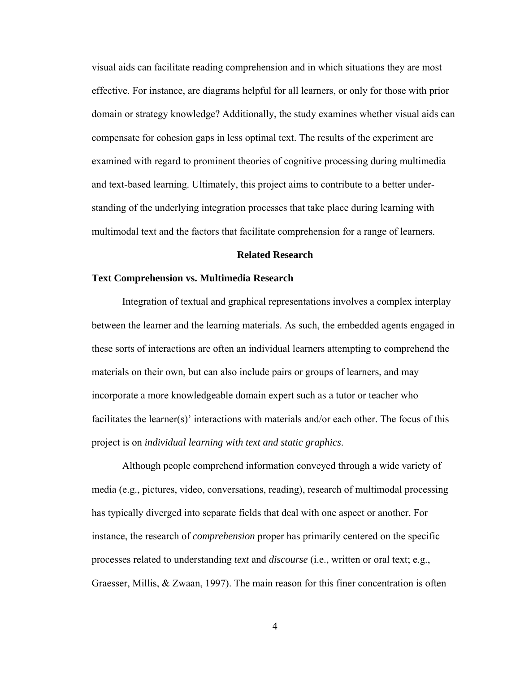visual aids can facilitate reading comprehension and in which situations they are most effective. For instance, are diagrams helpful for all learners, or only for those with prior domain or strategy knowledge? Additionally, the study examines whether visual aids can compensate for cohesion gaps in less optimal text. The results of the experiment are examined with regard to prominent theories of cognitive processing during multimedia and text-based learning. Ultimately, this project aims to contribute to a better understanding of the underlying integration processes that take place during learning with multimodal text and the factors that facilitate comprehension for a range of learners.

#### **Related Research**

### **Text Comprehension vs. Multimedia Research**

Integration of textual and graphical representations involves a complex interplay between the learner and the learning materials. As such, the embedded agents engaged in these sorts of interactions are often an individual learners attempting to comprehend the materials on their own, but can also include pairs or groups of learners, and may incorporate a more knowledgeable domain expert such as a tutor or teacher who facilitates the learner(s)' interactions with materials and/or each other. The focus of this project is on *individual learning with text and static graphics*.

Although people comprehend information conveyed through a wide variety of media (e.g., pictures, video, conversations, reading), research of multimodal processing has typically diverged into separate fields that deal with one aspect or another. For instance, the research of *comprehension* proper has primarily centered on the specific processes related to understanding *text* and *discourse* (i.e., written or oral text; e.g., Graesser, Millis, & Zwaan, 1997). The main reason for this finer concentration is often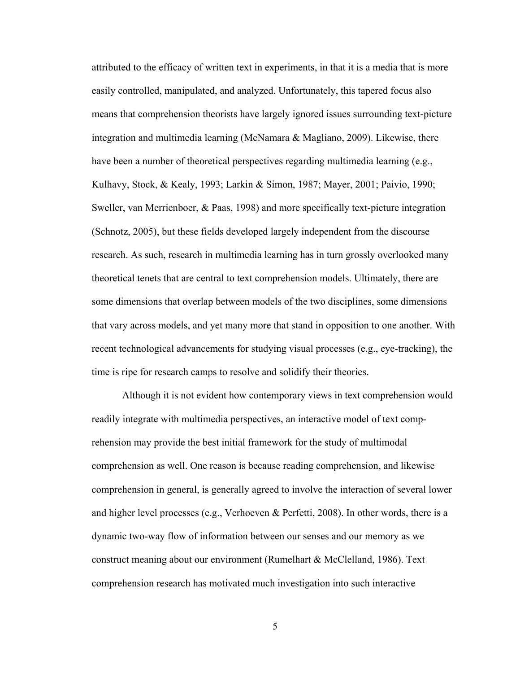attributed to the efficacy of written text in experiments, in that it is a media that is more easily controlled, manipulated, and analyzed. Unfortunately, this tapered focus also means that comprehension theorists have largely ignored issues surrounding text-picture integration and multimedia learning (McNamara & Magliano, 2009). Likewise, there have been a number of theoretical perspectives regarding multimedia learning (e.g., Kulhavy, Stock, & Kealy, 1993; Larkin & Simon, 1987; Mayer, 2001; Paivio, 1990; Sweller, van Merrienboer, & Paas, 1998) and more specifically text-picture integration (Schnotz, 2005), but these fields developed largely independent from the discourse research. As such, research in multimedia learning has in turn grossly overlooked many theoretical tenets that are central to text comprehension models. Ultimately, there are some dimensions that overlap between models of the two disciplines, some dimensions that vary across models, and yet many more that stand in opposition to one another. With recent technological advancements for studying visual processes (e.g., eye-tracking), the time is ripe for research camps to resolve and solidify their theories.

Although it is not evident how contemporary views in text comprehension would readily integrate with multimedia perspectives, an interactive model of text comprehension may provide the best initial framework for the study of multimodal comprehension as well. One reason is because reading comprehension, and likewise comprehension in general, is generally agreed to involve the interaction of several lower and higher level processes (e.g., Verhoeven & Perfetti, 2008). In other words, there is a dynamic two-way flow of information between our senses and our memory as we construct meaning about our environment (Rumelhart & McClelland, 1986). Text comprehension research has motivated much investigation into such interactive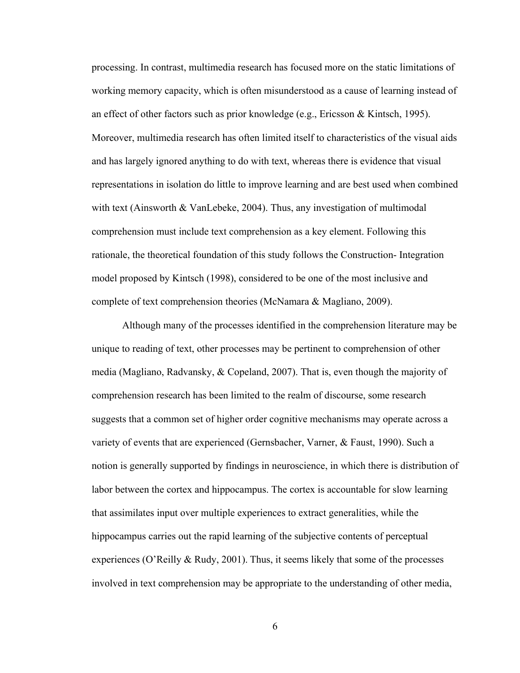processing. In contrast, multimedia research has focused more on the static limitations of working memory capacity, which is often misunderstood as a cause of learning instead of an effect of other factors such as prior knowledge (e.g., Ericsson & Kintsch, 1995). Moreover, multimedia research has often limited itself to characteristics of the visual aids and has largely ignored anything to do with text, whereas there is evidence that visual representations in isolation do little to improve learning and are best used when combined with text (Ainsworth & VanLebeke, 2004). Thus, any investigation of multimodal comprehension must include text comprehension as a key element. Following this rationale, the theoretical foundation of this study follows the Construction- Integration model proposed by Kintsch (1998), considered to be one of the most inclusive and complete of text comprehension theories (McNamara & Magliano, 2009).

Although many of the processes identified in the comprehension literature may be unique to reading of text, other processes may be pertinent to comprehension of other media (Magliano, Radvansky, & Copeland, 2007). That is, even though the majority of comprehension research has been limited to the realm of discourse, some research suggests that a common set of higher order cognitive mechanisms may operate across a variety of events that are experienced (Gernsbacher, Varner, & Faust, 1990). Such a notion is generally supported by findings in neuroscience, in which there is distribution of labor between the cortex and hippocampus. The cortex is accountable for slow learning that assimilates input over multiple experiences to extract generalities, while the hippocampus carries out the rapid learning of the subjective contents of perceptual experiences (O'Reilly  $\&$  Rudy, 2001). Thus, it seems likely that some of the processes involved in text comprehension may be appropriate to the understanding of other media,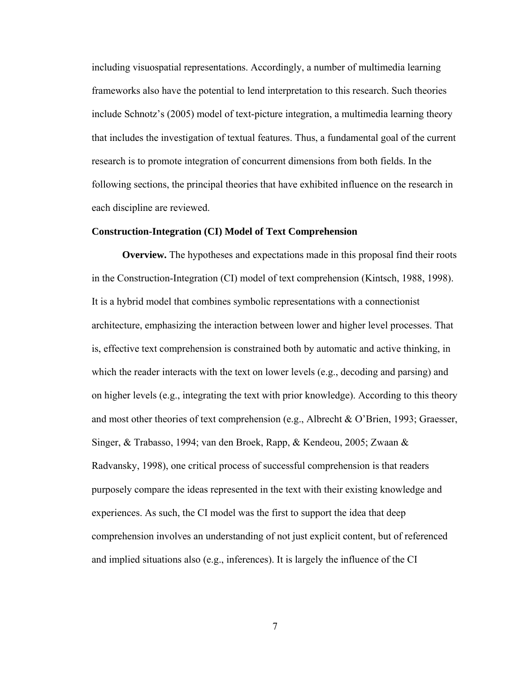including visuospatial representations. Accordingly, a number of multimedia learning frameworks also have the potential to lend interpretation to this research. Such theories include Schnotz's (2005) model of text-picture integration, a multimedia learning theory that includes the investigation of textual features. Thus, a fundamental goal of the current research is to promote integration of concurrent dimensions from both fields. In the following sections, the principal theories that have exhibited influence on the research in each discipline are reviewed.

### **Construction-Integration (CI) Model of Text Comprehension**

**Overview.** The hypotheses and expectations made in this proposal find their roots in the Construction-Integration (CI) model of text comprehension (Kintsch, 1988, 1998). It is a hybrid model that combines symbolic representations with a connectionist architecture, emphasizing the interaction between lower and higher level processes. That is, effective text comprehension is constrained both by automatic and active thinking, in which the reader interacts with the text on lower levels (e.g., decoding and parsing) and on higher levels (e.g., integrating the text with prior knowledge). According to this theory and most other theories of text comprehension (e.g., Albrecht & O'Brien, 1993; Graesser, Singer, & Trabasso, 1994; van den Broek, Rapp, & Kendeou, 2005; Zwaan & Radvansky, 1998), one critical process of successful comprehension is that readers purposely compare the ideas represented in the text with their existing knowledge and experiences. As such, the CI model was the first to support the idea that deep comprehension involves an understanding of not just explicit content, but of referenced and implied situations also (e.g., inferences). It is largely the influence of the CI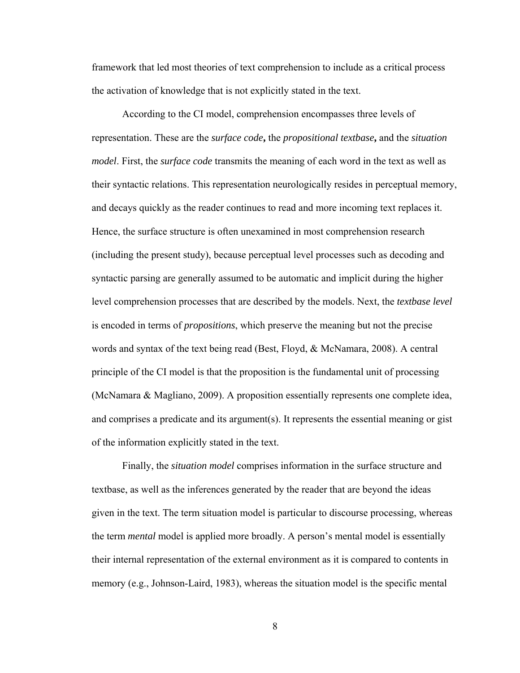framework that led most theories of text comprehension to include as a critical process the activation of knowledge that is not explicitly stated in the text.

According to the CI model, comprehension encompasses three levels of representation. These are the *surface code***,** the *propositional textbase***,** and the *situation model*. First, the *surface code* transmits the meaning of each word in the text as well as their syntactic relations. This representation neurologically resides in perceptual memory, and decays quickly as the reader continues to read and more incoming text replaces it. Hence, the surface structure is often unexamined in most comprehension research (including the present study), because perceptual level processes such as decoding and syntactic parsing are generally assumed to be automatic and implicit during the higher level comprehension processes that are described by the models. Next, the *textbase level* is encoded in terms of *propositions*, which preserve the meaning but not the precise words and syntax of the text being read (Best, Floyd, & McNamara, 2008). A central principle of the CI model is that the proposition is the fundamental unit of processing (McNamara & Magliano, 2009). A proposition essentially represents one complete idea, and comprises a predicate and its argument(s). It represents the essential meaning or gist of the information explicitly stated in the text.

Finally, the *situation model* comprises information in the surface structure and textbase, as well as the inferences generated by the reader that are beyond the ideas given in the text. The term situation model is particular to discourse processing, whereas the term *mental* model is applied more broadly. A person's mental model is essentially their internal representation of the external environment as it is compared to contents in memory (e.g., Johnson-Laird, 1983), whereas the situation model is the specific mental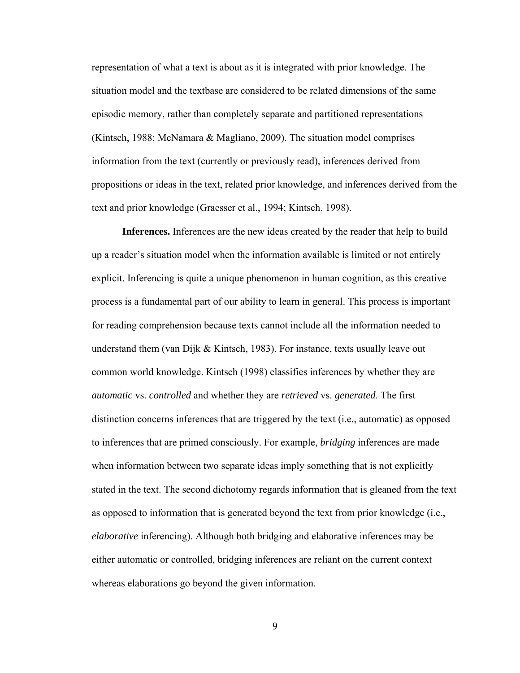representation of what a text is about as it is integrated with prior knowledge. The situation model and the textbase are considered to be related dimensions of the same episodic memory, rather than completely separate and partitioned representations (Kintsch, 1988; McNamara & Magliano, 2009). The situation model comprises information from the text (currently or previously read), inferences derived from propositions or ideas in the text, related prior knowledge, and inferences derived from the text and prior knowledge (Graesser et al., 1994; Kintsch, 1998).

**Inferences.** Inferences are the new ideas created by the reader that help to build up a reader's situation model when the information available is limited or not entirely explicit. Inferencing is quite a unique phenomenon in human cognition, as this creative process is a fundamental part of our ability to learn in general. This process is important for reading comprehension because texts cannot include all the information needed to understand them (van Dijk & Kintsch, 1983). For instance, texts usually leave out common world knowledge. Kintsch (1998) classifies inferences by whether they are *automatic* vs. *controlled* and whether they are *retrieved* vs. *generated*. The first distinction concerns inferences that are triggered by the text (i.e., automatic) as opposed to inferences that are primed consciously. For example, *bridging* inferences are made when information between two separate ideas imply something that is not explicitly stated in the text. The second dichotomy regards information that is gleaned from the text as opposed to information that is generated beyond the text from prior knowledge (i.e., *elaborative* inferencing). Although both bridging and elaborative inferences may be either automatic or controlled, bridging inferences are reliant on the current context whereas elaborations go beyond the given information.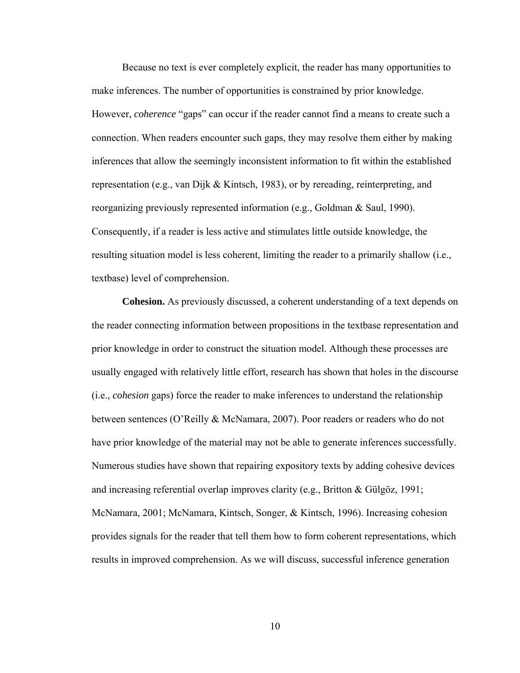Because no text is ever completely explicit, the reader has many opportunities to make inferences. The number of opportunities is constrained by prior knowledge. However, *coherence* "gaps" can occur if the reader cannot find a means to create such a connection. When readers encounter such gaps, they may resolve them either by making inferences that allow the seemingly inconsistent information to fit within the established representation (e.g., van Dijk & Kintsch, 1983), or by rereading, reinterpreting, and reorganizing previously represented information (e.g., Goldman & Saul, 1990). Consequently, if a reader is less active and stimulates little outside knowledge, the resulting situation model is less coherent, limiting the reader to a primarily shallow (i.e., textbase) level of comprehension.

**Cohesion.** As previously discussed, a coherent understanding of a text depends on the reader connecting information between propositions in the textbase representation and prior knowledge in order to construct the situation model. Although these processes are usually engaged with relatively little effort, research has shown that holes in the discourse (i.e., *cohesion* gaps) force the reader to make inferences to understand the relationship between sentences (O'Reilly & McNamara, 2007). Poor readers or readers who do not have prior knowledge of the material may not be able to generate inferences successfully. Numerous studies have shown that repairing expository texts by adding cohesive devices and increasing referential overlap improves clarity (e.g., Britton & Gülgöz, 1991; McNamara, 2001; McNamara, Kintsch, Songer, & Kintsch, 1996). Increasing cohesion provides signals for the reader that tell them how to form coherent representations, which results in improved comprehension. As we will discuss, successful inference generation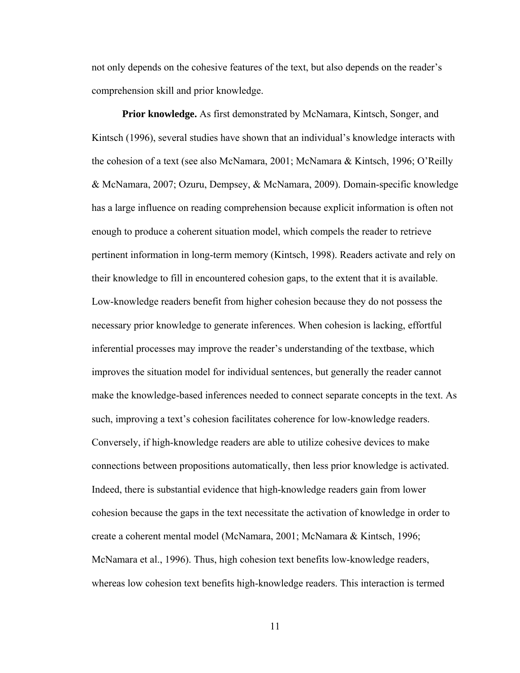not only depends on the cohesive features of the text, but also depends on the reader's comprehension skill and prior knowledge.

**Prior knowledge.** As first demonstrated by McNamara, Kintsch, Songer, and Kintsch (1996), several studies have shown that an individual's knowledge interacts with the cohesion of a text (see also McNamara, 2001; McNamara & Kintsch, 1996; O'Reilly & McNamara, 2007; Ozuru, Dempsey, & McNamara, 2009). Domain-specific knowledge has a large influence on reading comprehension because explicit information is often not enough to produce a coherent situation model, which compels the reader to retrieve pertinent information in long-term memory (Kintsch, 1998). Readers activate and rely on their knowledge to fill in encountered cohesion gaps, to the extent that it is available. Low-knowledge readers benefit from higher cohesion because they do not possess the necessary prior knowledge to generate inferences. When cohesion is lacking, effortful inferential processes may improve the reader's understanding of the textbase, which improves the situation model for individual sentences, but generally the reader cannot make the knowledge-based inferences needed to connect separate concepts in the text. As such, improving a text's cohesion facilitates coherence for low-knowledge readers. Conversely, if high-knowledge readers are able to utilize cohesive devices to make connections between propositions automatically, then less prior knowledge is activated. Indeed, there is substantial evidence that high-knowledge readers gain from lower cohesion because the gaps in the text necessitate the activation of knowledge in order to create a coherent mental model (McNamara, 2001; McNamara & Kintsch, 1996; McNamara et al., 1996). Thus, high cohesion text benefits low-knowledge readers, whereas low cohesion text benefits high-knowledge readers. This interaction is termed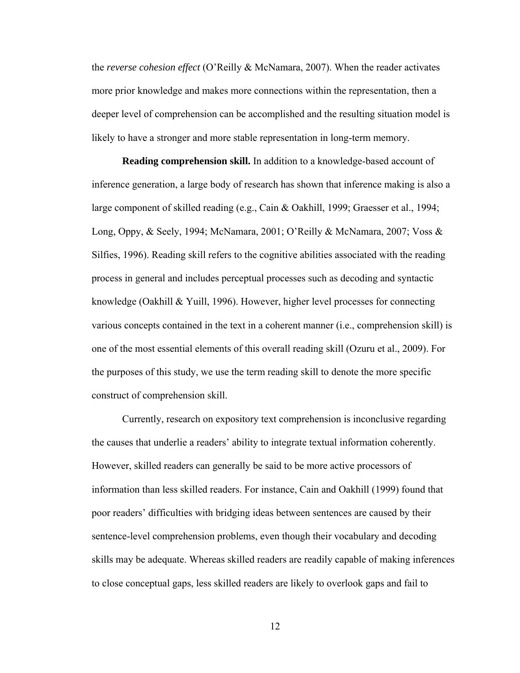the *reverse cohesion effect* (O'Reilly & McNamara, 2007). When the reader activates more prior knowledge and makes more connections within the representation, then a deeper level of comprehension can be accomplished and the resulting situation model is likely to have a stronger and more stable representation in long-term memory.

**Reading comprehension skill.** In addition to a knowledge-based account of inference generation, a large body of research has shown that inference making is also a large component of skilled reading (e.g., Cain & Oakhill, 1999; Graesser et al., 1994; Long, Oppy, & Seely, 1994; McNamara, 2001; O'Reilly & McNamara, 2007; Voss & Silfies, 1996). Reading skill refers to the cognitive abilities associated with the reading process in general and includes perceptual processes such as decoding and syntactic knowledge (Oakhill & Yuill, 1996). However, higher level processes for connecting various concepts contained in the text in a coherent manner (i.e., comprehension skill) is one of the most essential elements of this overall reading skill (Ozuru et al., 2009). For the purposes of this study, we use the term reading skill to denote the more specific construct of comprehension skill.

Currently, research on expository text comprehension is inconclusive regarding the causes that underlie a readers' ability to integrate textual information coherently. However, skilled readers can generally be said to be more active processors of information than less skilled readers. For instance, Cain and Oakhill (1999) found that poor readers' difficulties with bridging ideas between sentences are caused by their sentence-level comprehension problems, even though their vocabulary and decoding skills may be adequate. Whereas skilled readers are readily capable of making inferences to close conceptual gaps, less skilled readers are likely to overlook gaps and fail to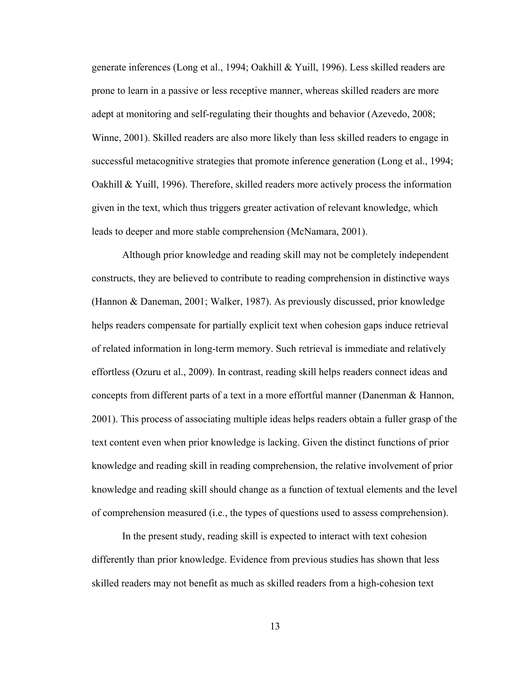generate inferences (Long et al., 1994; Oakhill & Yuill, 1996). Less skilled readers are prone to learn in a passive or less receptive manner, whereas skilled readers are more adept at monitoring and self-regulating their thoughts and behavior (Azevedo, 2008; Winne, 2001). Skilled readers are also more likely than less skilled readers to engage in successful metacognitive strategies that promote inference generation (Long et al., 1994; Oakhill  $\&$  Yuill, 1996). Therefore, skilled readers more actively process the information given in the text, which thus triggers greater activation of relevant knowledge, which leads to deeper and more stable comprehension (McNamara, 2001).

Although prior knowledge and reading skill may not be completely independent constructs, they are believed to contribute to reading comprehension in distinctive ways (Hannon & Daneman, 2001; Walker, 1987). As previously discussed, prior knowledge helps readers compensate for partially explicit text when cohesion gaps induce retrieval of related information in long-term memory. Such retrieval is immediate and relatively effortless (Ozuru et al., 2009). In contrast, reading skill helps readers connect ideas and concepts from different parts of a text in a more effortful manner (Danenman & Hannon, 2001). This process of associating multiple ideas helps readers obtain a fuller grasp of the text content even when prior knowledge is lacking. Given the distinct functions of prior knowledge and reading skill in reading comprehension, the relative involvement of prior knowledge and reading skill should change as a function of textual elements and the level of comprehension measured (i.e., the types of questions used to assess comprehension).

 In the present study, reading skill is expected to interact with text cohesion differently than prior knowledge. Evidence from previous studies has shown that less skilled readers may not benefit as much as skilled readers from a high-cohesion text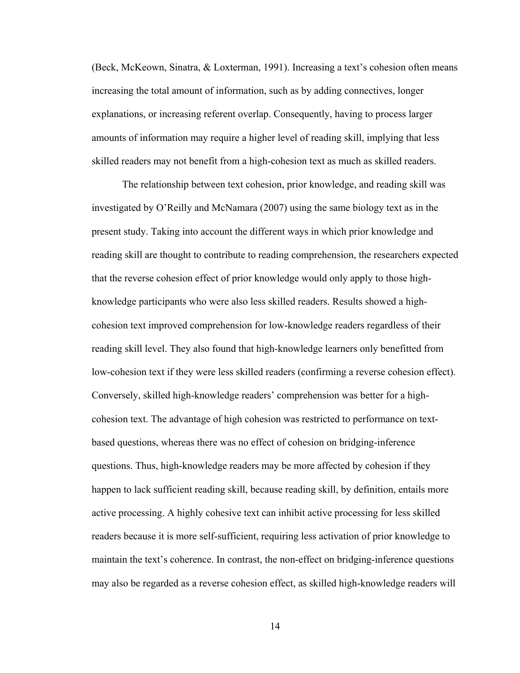(Beck, McKeown, Sinatra, & Loxterman, 1991). Increasing a text's cohesion often means increasing the total amount of information, such as by adding connectives, longer explanations, or increasing referent overlap. Consequently, having to process larger amounts of information may require a higher level of reading skill, implying that less skilled readers may not benefit from a high-cohesion text as much as skilled readers.

The relationship between text cohesion, prior knowledge, and reading skill was investigated by O'Reilly and McNamara (2007) using the same biology text as in the present study. Taking into account the different ways in which prior knowledge and reading skill are thought to contribute to reading comprehension, the researchers expected that the reverse cohesion effect of prior knowledge would only apply to those highknowledge participants who were also less skilled readers. Results showed a highcohesion text improved comprehension for low-knowledge readers regardless of their reading skill level. They also found that high-knowledge learners only benefitted from low-cohesion text if they were less skilled readers (confirming a reverse cohesion effect). Conversely, skilled high-knowledge readers' comprehension was better for a highcohesion text. The advantage of high cohesion was restricted to performance on textbased questions, whereas there was no effect of cohesion on bridging-inference questions. Thus, high-knowledge readers may be more affected by cohesion if they happen to lack sufficient reading skill, because reading skill, by definition, entails more active processing. A highly cohesive text can inhibit active processing for less skilled readers because it is more self-sufficient, requiring less activation of prior knowledge to maintain the text's coherence. In contrast, the non-effect on bridging-inference questions may also be regarded as a reverse cohesion effect, as skilled high-knowledge readers will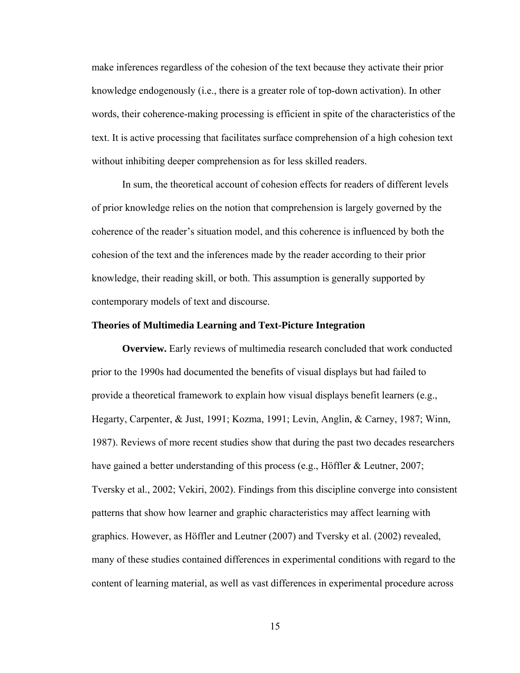make inferences regardless of the cohesion of the text because they activate their prior knowledge endogenously (i.e., there is a greater role of top-down activation). In other words, their coherence-making processing is efficient in spite of the characteristics of the text. It is active processing that facilitates surface comprehension of a high cohesion text without inhibiting deeper comprehension as for less skilled readers.

In sum, the theoretical account of cohesion effects for readers of different levels of prior knowledge relies on the notion that comprehension is largely governed by the coherence of the reader's situation model, and this coherence is influenced by both the cohesion of the text and the inferences made by the reader according to their prior knowledge, their reading skill, or both. This assumption is generally supported by contemporary models of text and discourse.

### **Theories of Multimedia Learning and Text-Picture Integration**

**Overview.** Early reviews of multimedia research concluded that work conducted prior to the 1990s had documented the benefits of visual displays but had failed to provide a theoretical framework to explain how visual displays benefit learners (e.g., Hegarty, Carpenter, & Just, 1991; Kozma, 1991; Levin, Anglin, & Carney, 1987; Winn, 1987). Reviews of more recent studies show that during the past two decades researchers have gained a better understanding of this process (e.g., Höffler & Leutner, 2007; Tversky et al., 2002; Vekiri, 2002). Findings from this discipline converge into consistent patterns that show how learner and graphic characteristics may affect learning with graphics. However, as Höffler and Leutner (2007) and Tversky et al. (2002) revealed, many of these studies contained differences in experimental conditions with regard to the content of learning material, as well as vast differences in experimental procedure across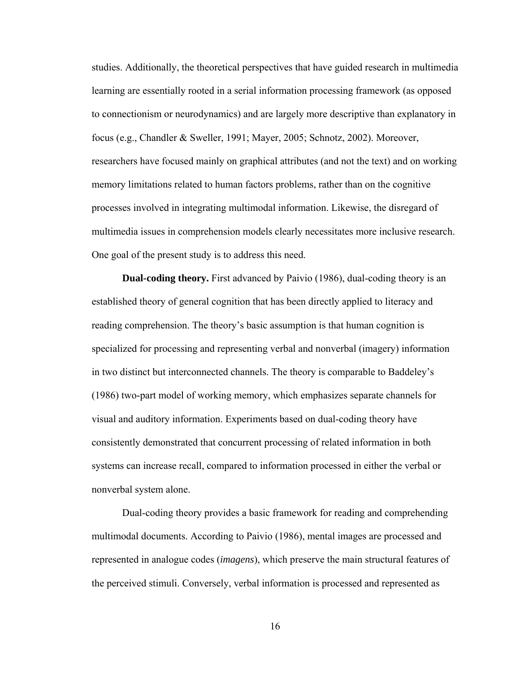studies. Additionally, the theoretical perspectives that have guided research in multimedia learning are essentially rooted in a serial information processing framework (as opposed to connectionism or neurodynamics) and are largely more descriptive than explanatory in focus (e.g., Chandler & Sweller, 1991; Mayer, 2005; Schnotz, 2002). Moreover, researchers have focused mainly on graphical attributes (and not the text) and on working memory limitations related to human factors problems, rather than on the cognitive processes involved in integrating multimodal information. Likewise, the disregard of multimedia issues in comprehension models clearly necessitates more inclusive research. One goal of the present study is to address this need.

**Dual-coding theory.** First advanced by Paivio (1986), dual-coding theory is an established theory of general cognition that has been directly applied to literacy and reading comprehension. The theory's basic assumption is that human cognition is specialized for processing and representing verbal and nonverbal (imagery) information in two distinct but interconnected channels. The theory is comparable to Baddeley's (1986) two-part model of working memory, which emphasizes separate channels for visual and auditory information. Experiments based on dual-coding theory have consistently demonstrated that concurrent processing of related information in both systems can increase recall, compared to information processed in either the verbal or nonverbal system alone.

Dual-coding theory provides a basic framework for reading and comprehending multimodal documents. According to Paivio (1986), mental images are processed and represented in analogue codes (*imagens*), which preserve the main structural features of the perceived stimuli. Conversely, verbal information is processed and represented as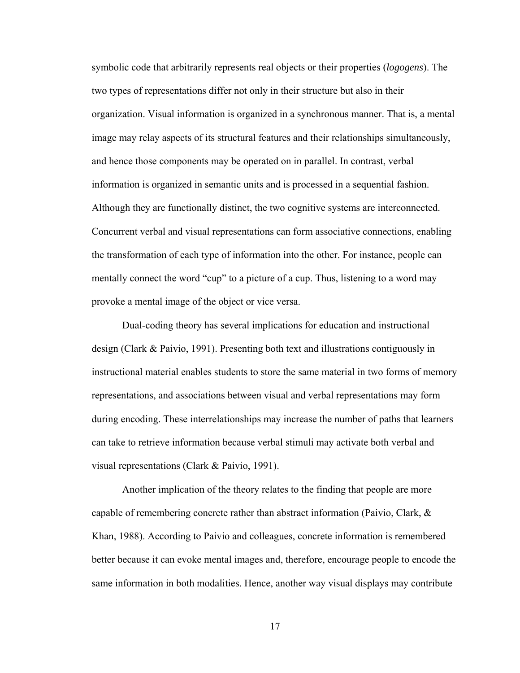symbolic code that arbitrarily represents real objects or their properties (*logogens*). The two types of representations differ not only in their structure but also in their organization. Visual information is organized in a synchronous manner. That is, a mental image may relay aspects of its structural features and their relationships simultaneously, and hence those components may be operated on in parallel. In contrast, verbal information is organized in semantic units and is processed in a sequential fashion. Although they are functionally distinct, the two cognitive systems are interconnected. Concurrent verbal and visual representations can form associative connections, enabling the transformation of each type of information into the other. For instance, people can mentally connect the word "cup" to a picture of a cup. Thus, listening to a word may provoke a mental image of the object or vice versa.

Dual-coding theory has several implications for education and instructional design (Clark & Paivio, 1991). Presenting both text and illustrations contiguously in instructional material enables students to store the same material in two forms of memory representations, and associations between visual and verbal representations may form during encoding. These interrelationships may increase the number of paths that learners can take to retrieve information because verbal stimuli may activate both verbal and visual representations (Clark & Paivio, 1991).

Another implication of the theory relates to the finding that people are more capable of remembering concrete rather than abstract information (Paivio, Clark,  $\&$ Khan, 1988). According to Paivio and colleagues, concrete information is remembered better because it can evoke mental images and, therefore, encourage people to encode the same information in both modalities. Hence, another way visual displays may contribute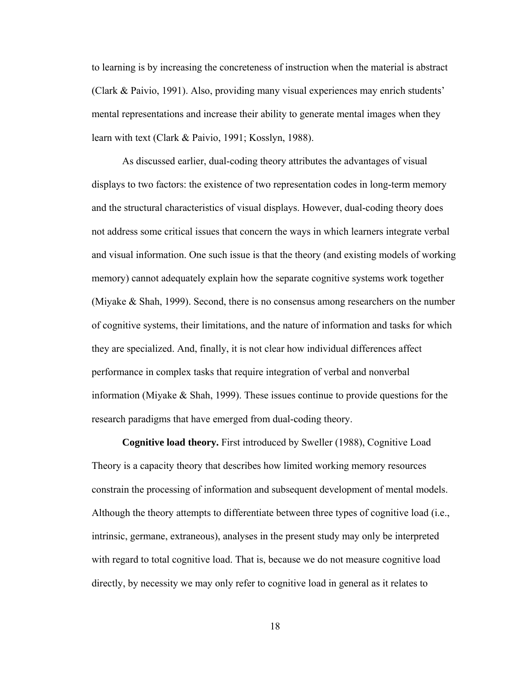to learning is by increasing the concreteness of instruction when the material is abstract (Clark & Paivio, 1991). Also, providing many visual experiences may enrich students' mental representations and increase their ability to generate mental images when they learn with text (Clark & Paivio, 1991; Kosslyn, 1988).

As discussed earlier, dual-coding theory attributes the advantages of visual displays to two factors: the existence of two representation codes in long-term memory and the structural characteristics of visual displays. However, dual-coding theory does not address some critical issues that concern the ways in which learners integrate verbal and visual information. One such issue is that the theory (and existing models of working memory) cannot adequately explain how the separate cognitive systems work together (Miyake  $\&$  Shah, 1999). Second, there is no consensus among researchers on the number of cognitive systems, their limitations, and the nature of information and tasks for which they are specialized. And, finally, it is not clear how individual differences affect performance in complex tasks that require integration of verbal and nonverbal information (Miyake & Shah, 1999). These issues continue to provide questions for the research paradigms that have emerged from dual-coding theory.

**Cognitive load theory.** First introduced by Sweller (1988), Cognitive Load Theory is a capacity theory that describes how limited working memory resources constrain the processing of information and subsequent development of mental models. Although the theory attempts to differentiate between three types of cognitive load (i.e., intrinsic, germane, extraneous), analyses in the present study may only be interpreted with regard to total cognitive load. That is, because we do not measure cognitive load directly, by necessity we may only refer to cognitive load in general as it relates to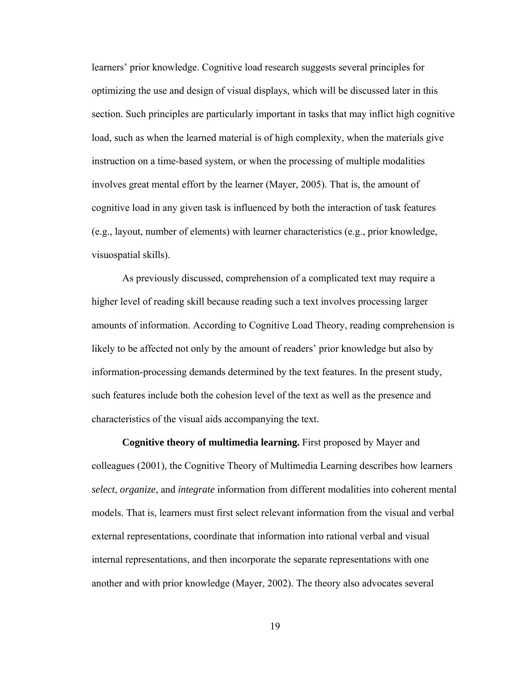learners' prior knowledge. Cognitive load research suggests several principles for optimizing the use and design of visual displays, which will be discussed later in this section. Such principles are particularly important in tasks that may inflict high cognitive load, such as when the learned material is of high complexity, when the materials give instruction on a time-based system, or when the processing of multiple modalities involves great mental effort by the learner (Mayer, 2005). That is, the amount of cognitive load in any given task is influenced by both the interaction of task features (e.g., layout, number of elements) with learner characteristics (e.g., prior knowledge, visuospatial skills).

As previously discussed, comprehension of a complicated text may require a higher level of reading skill because reading such a text involves processing larger amounts of information. According to Cognitive Load Theory, reading comprehension is likely to be affected not only by the amount of readers' prior knowledge but also by information-processing demands determined by the text features. In the present study, such features include both the cohesion level of the text as well as the presence and characteristics of the visual aids accompanying the text.

**Cognitive theory of multimedia learning.** First proposed by Mayer and colleagues (2001), the Cognitive Theory of Multimedia Learning describes how learners *select*, *organize*, and *integrate* information from different modalities into coherent mental models. That is, learners must first select relevant information from the visual and verbal external representations, coordinate that information into rational verbal and visual internal representations, and then incorporate the separate representations with one another and with prior knowledge (Mayer, 2002). The theory also advocates several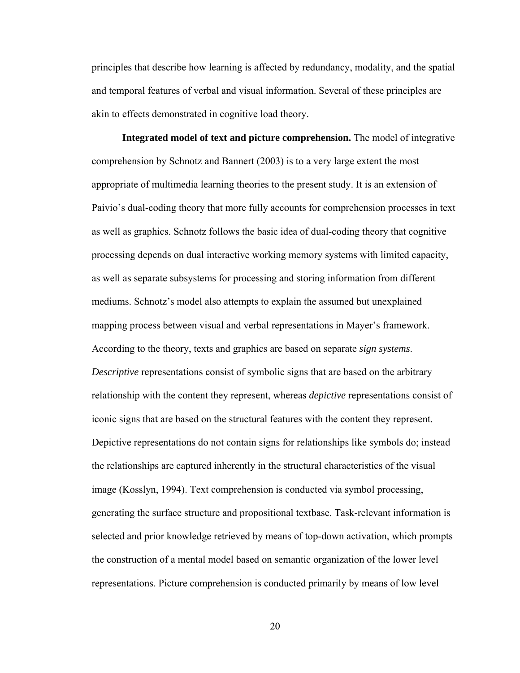principles that describe how learning is affected by redundancy, modality, and the spatial and temporal features of verbal and visual information. Several of these principles are akin to effects demonstrated in cognitive load theory.

**Integrated model of text and picture comprehension.** The model of integrative comprehension by Schnotz and Bannert (2003) is to a very large extent the most appropriate of multimedia learning theories to the present study. It is an extension of Paivio's dual-coding theory that more fully accounts for comprehension processes in text as well as graphics. Schnotz follows the basic idea of dual-coding theory that cognitive processing depends on dual interactive working memory systems with limited capacity, as well as separate subsystems for processing and storing information from different mediums. Schnotz's model also attempts to explain the assumed but unexplained mapping process between visual and verbal representations in Mayer's framework. According to the theory, texts and graphics are based on separate *sign systems*. *Descriptive* representations consist of symbolic signs that are based on the arbitrary relationship with the content they represent, whereas *depictive* representations consist of iconic signs that are based on the structural features with the content they represent. Depictive representations do not contain signs for relationships like symbols do; instead the relationships are captured inherently in the structural characteristics of the visual image (Kosslyn, 1994). Text comprehension is conducted via symbol processing, generating the surface structure and propositional textbase. Task-relevant information is selected and prior knowledge retrieved by means of top-down activation, which prompts the construction of a mental model based on semantic organization of the lower level representations. Picture comprehension is conducted primarily by means of low level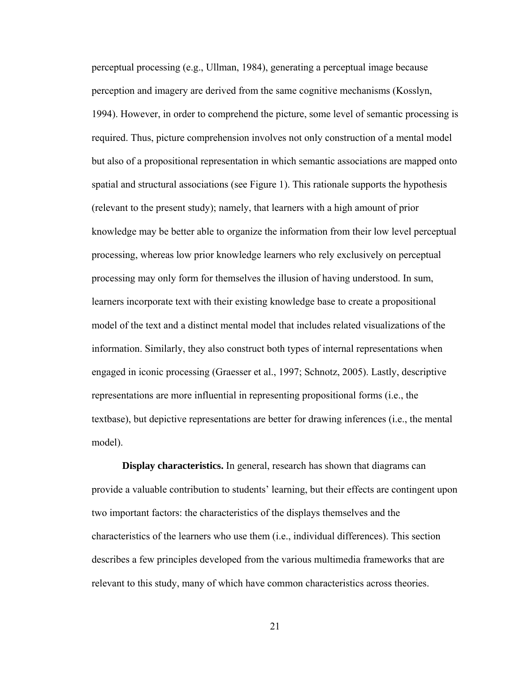perceptual processing (e.g., Ullman, 1984), generating a perceptual image because perception and imagery are derived from the same cognitive mechanisms (Kosslyn, 1994). However, in order to comprehend the picture, some level of semantic processing is required. Thus, picture comprehension involves not only construction of a mental model but also of a propositional representation in which semantic associations are mapped onto spatial and structural associations (see Figure 1). This rationale supports the hypothesis (relevant to the present study); namely, that learners with a high amount of prior knowledge may be better able to organize the information from their low level perceptual processing, whereas low prior knowledge learners who rely exclusively on perceptual processing may only form for themselves the illusion of having understood. In sum, learners incorporate text with their existing knowledge base to create a propositional model of the text and a distinct mental model that includes related visualizations of the information. Similarly, they also construct both types of internal representations when engaged in iconic processing (Graesser et al., 1997; Schnotz, 2005). Lastly, descriptive representations are more influential in representing propositional forms (i.e., the textbase), but depictive representations are better for drawing inferences (i.e., the mental model).

**Display characteristics.** In general, research has shown that diagrams can provide a valuable contribution to students' learning, but their effects are contingent upon two important factors: the characteristics of the displays themselves and the characteristics of the learners who use them (i.e., individual differences). This section describes a few principles developed from the various multimedia frameworks that are relevant to this study, many of which have common characteristics across theories.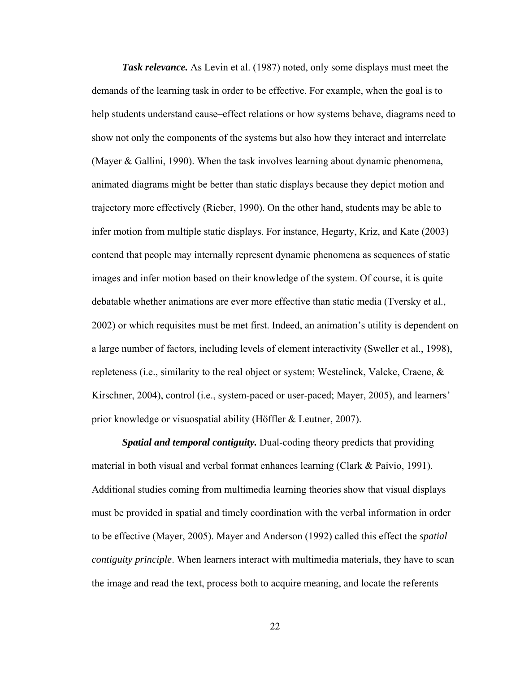*Task relevance.* As Levin et al. (1987) noted, only some displays must meet the demands of the learning task in order to be effective. For example, when the goal is to help students understand cause–effect relations or how systems behave, diagrams need to show not only the components of the systems but also how they interact and interrelate (Mayer & Gallini, 1990). When the task involves learning about dynamic phenomena, animated diagrams might be better than static displays because they depict motion and trajectory more effectively (Rieber, 1990). On the other hand, students may be able to infer motion from multiple static displays. For instance, Hegarty, Kriz, and Kate (2003) contend that people may internally represent dynamic phenomena as sequences of static images and infer motion based on their knowledge of the system. Of course, it is quite debatable whether animations are ever more effective than static media (Tversky et al., 2002) or which requisites must be met first. Indeed, an animation's utility is dependent on a large number of factors, including levels of element interactivity (Sweller et al., 1998), repleteness (i.e., similarity to the real object or system; Westelinck, Valcke, Craene, & Kirschner, 2004), control (i.e., system-paced or user-paced; Mayer, 2005), and learners' prior knowledge or visuospatial ability (Höffler & Leutner, 2007).

*Spatial and temporal contiguity.* Dual-coding theory predicts that providing material in both visual and verbal format enhances learning (Clark & Paivio, 1991). Additional studies coming from multimedia learning theories show that visual displays must be provided in spatial and timely coordination with the verbal information in order to be effective (Mayer, 2005). Mayer and Anderson (1992) called this effect the *spatial contiguity principle*. When learners interact with multimedia materials, they have to scan the image and read the text, process both to acquire meaning, and locate the referents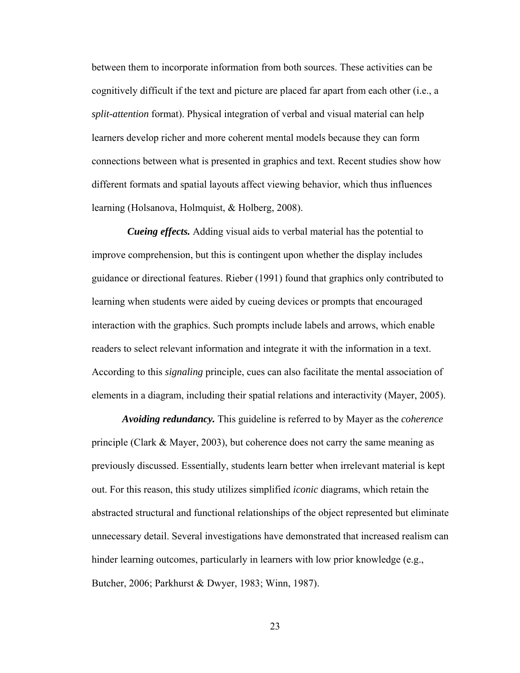between them to incorporate information from both sources. These activities can be cognitively difficult if the text and picture are placed far apart from each other (i.e., a *split-attention* format). Physical integration of verbal and visual material can help learners develop richer and more coherent mental models because they can form connections between what is presented in graphics and text. Recent studies show how different formats and spatial layouts affect viewing behavior, which thus influences learning (Holsanova, Holmquist, & Holberg, 2008).

*Cueing effects.* Adding visual aids to verbal material has the potential to improve comprehension, but this is contingent upon whether the display includes guidance or directional features. Rieber (1991) found that graphics only contributed to learning when students were aided by cueing devices or prompts that encouraged interaction with the graphics. Such prompts include labels and arrows, which enable readers to select relevant information and integrate it with the information in a text. According to this *signaling* principle, cues can also facilitate the mental association of elements in a diagram, including their spatial relations and interactivity (Mayer, 2005).

*Avoiding redundancy.* This guideline is referred to by Mayer as the *coherence* principle (Clark & Mayer, 2003), but coherence does not carry the same meaning as previously discussed. Essentially, students learn better when irrelevant material is kept out. For this reason, this study utilizes simplified *iconic* diagrams, which retain the abstracted structural and functional relationships of the object represented but eliminate unnecessary detail. Several investigations have demonstrated that increased realism can hinder learning outcomes, particularly in learners with low prior knowledge (e.g., Butcher, 2006; Parkhurst & Dwyer, 1983; Winn, 1987).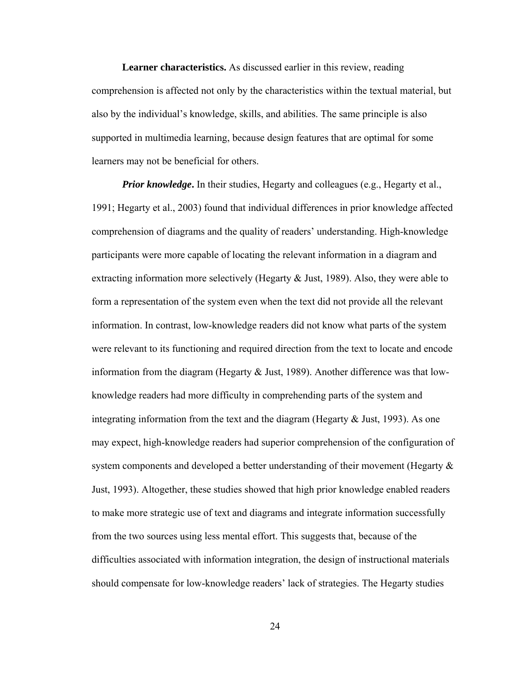**Learner characteristics.** As discussed earlier in this review, reading comprehension is affected not only by the characteristics within the textual material, but also by the individual's knowledge, skills, and abilities. The same principle is also supported in multimedia learning, because design features that are optimal for some learners may not be beneficial for others.

*Prior knowledge*. In their studies, Hegarty and colleagues (e.g., Hegarty et al., 1991; Hegarty et al., 2003) found that individual differences in prior knowledge affected comprehension of diagrams and the quality of readers' understanding. High-knowledge participants were more capable of locating the relevant information in a diagram and extracting information more selectively (Hegarty & Just, 1989). Also, they were able to form a representation of the system even when the text did not provide all the relevant information. In contrast, low-knowledge readers did not know what parts of the system were relevant to its functioning and required direction from the text to locate and encode information from the diagram (Hegarty  $\&$  Just, 1989). Another difference was that lowknowledge readers had more difficulty in comprehending parts of the system and integrating information from the text and the diagram (Hegarty  $\&$  Just, 1993). As one may expect, high-knowledge readers had superior comprehension of the configuration of system components and developed a better understanding of their movement (Hegarty & Just, 1993). Altogether, these studies showed that high prior knowledge enabled readers to make more strategic use of text and diagrams and integrate information successfully from the two sources using less mental effort. This suggests that, because of the difficulties associated with information integration, the design of instructional materials should compensate for low-knowledge readers' lack of strategies. The Hegarty studies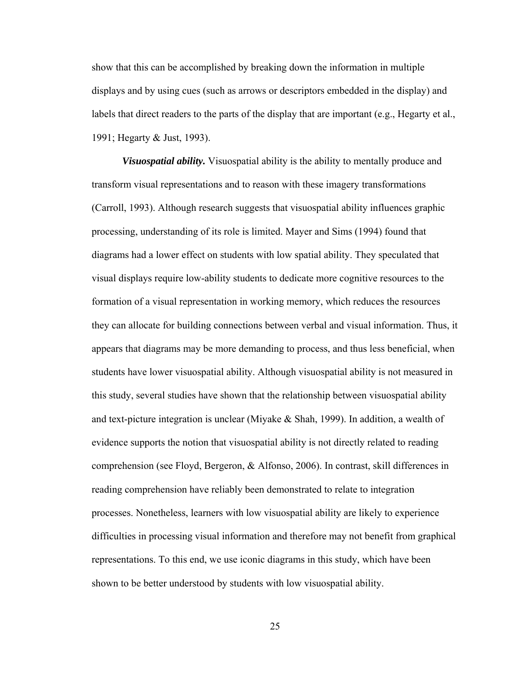show that this can be accomplished by breaking down the information in multiple displays and by using cues (such as arrows or descriptors embedded in the display) and labels that direct readers to the parts of the display that are important (e.g., Hegarty et al., 1991; Hegarty & Just, 1993).

*Visuospatial ability.* Visuospatial ability is the ability to mentally produce and transform visual representations and to reason with these imagery transformations (Carroll, 1993). Although research suggests that visuospatial ability influences graphic processing, understanding of its role is limited. Mayer and Sims (1994) found that diagrams had a lower effect on students with low spatial ability. They speculated that visual displays require low-ability students to dedicate more cognitive resources to the formation of a visual representation in working memory, which reduces the resources they can allocate for building connections between verbal and visual information. Thus, it appears that diagrams may be more demanding to process, and thus less beneficial, when students have lower visuospatial ability. Although visuospatial ability is not measured in this study, several studies have shown that the relationship between visuospatial ability and text-picture integration is unclear (Miyake & Shah, 1999). In addition, a wealth of evidence supports the notion that visuospatial ability is not directly related to reading comprehension (see Floyd, Bergeron, & Alfonso, 2006). In contrast, skill differences in reading comprehension have reliably been demonstrated to relate to integration processes. Nonetheless, learners with low visuospatial ability are likely to experience difficulties in processing visual information and therefore may not benefit from graphical representations. To this end, we use iconic diagrams in this study, which have been shown to be better understood by students with low visuospatial ability.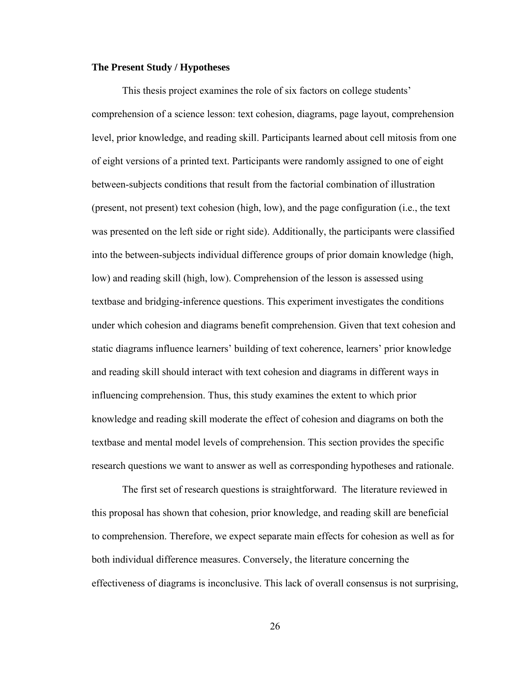#### **The Present Study / Hypotheses**

This thesis project examines the role of six factors on college students' comprehension of a science lesson: text cohesion, diagrams, page layout, comprehension level, prior knowledge, and reading skill. Participants learned about cell mitosis from one of eight versions of a printed text. Participants were randomly assigned to one of eight between-subjects conditions that result from the factorial combination of illustration (present, not present) text cohesion (high, low), and the page configuration (i.e., the text was presented on the left side or right side). Additionally, the participants were classified into the between-subjects individual difference groups of prior domain knowledge (high, low) and reading skill (high, low). Comprehension of the lesson is assessed using textbase and bridging-inference questions. This experiment investigates the conditions under which cohesion and diagrams benefit comprehension. Given that text cohesion and static diagrams influence learners' building of text coherence, learners' prior knowledge and reading skill should interact with text cohesion and diagrams in different ways in influencing comprehension. Thus, this study examines the extent to which prior knowledge and reading skill moderate the effect of cohesion and diagrams on both the textbase and mental model levels of comprehension. This section provides the specific research questions we want to answer as well as corresponding hypotheses and rationale.

The first set of research questions is straightforward. The literature reviewed in this proposal has shown that cohesion, prior knowledge, and reading skill are beneficial to comprehension. Therefore, we expect separate main effects for cohesion as well as for both individual difference measures. Conversely, the literature concerning the effectiveness of diagrams is inconclusive. This lack of overall consensus is not surprising,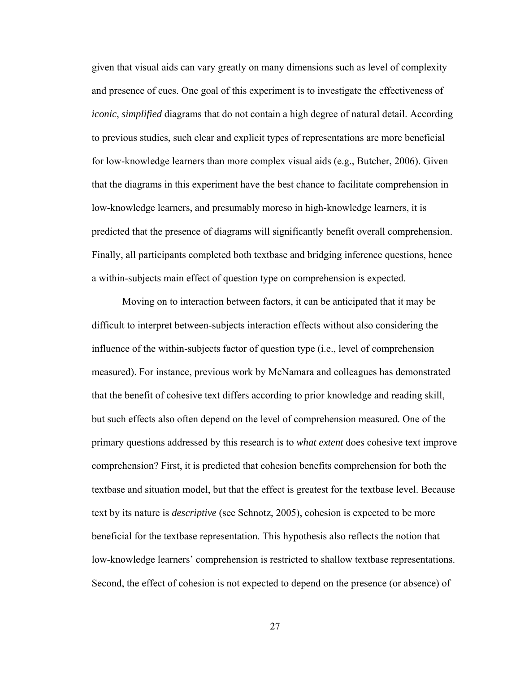given that visual aids can vary greatly on many dimensions such as level of complexity and presence of cues. One goal of this experiment is to investigate the effectiveness of *iconic*, *simplified* diagrams that do not contain a high degree of natural detail. According to previous studies, such clear and explicit types of representations are more beneficial for low-knowledge learners than more complex visual aids (e.g., Butcher, 2006). Given that the diagrams in this experiment have the best chance to facilitate comprehension in low-knowledge learners, and presumably moreso in high-knowledge learners, it is predicted that the presence of diagrams will significantly benefit overall comprehension. Finally, all participants completed both textbase and bridging inference questions, hence a within-subjects main effect of question type on comprehension is expected.

Moving on to interaction between factors, it can be anticipated that it may be difficult to interpret between-subjects interaction effects without also considering the influence of the within-subjects factor of question type (i.e., level of comprehension measured). For instance, previous work by McNamara and colleagues has demonstrated that the benefit of cohesive text differs according to prior knowledge and reading skill, but such effects also often depend on the level of comprehension measured. One of the primary questions addressed by this research is to *what extent* does cohesive text improve comprehension? First, it is predicted that cohesion benefits comprehension for both the textbase and situation model, but that the effect is greatest for the textbase level. Because text by its nature is *descriptive* (see Schnotz, 2005), cohesion is expected to be more beneficial for the textbase representation. This hypothesis also reflects the notion that low-knowledge learners' comprehension is restricted to shallow textbase representations. Second, the effect of cohesion is not expected to depend on the presence (or absence) of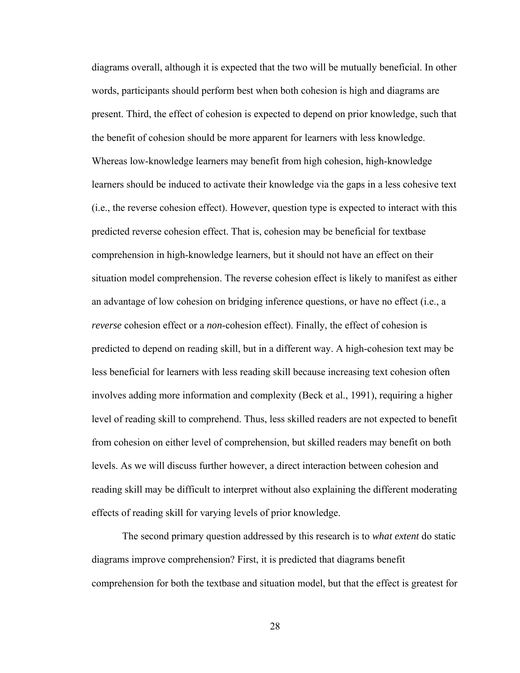diagrams overall, although it is expected that the two will be mutually beneficial. In other words, participants should perform best when both cohesion is high and diagrams are present. Third, the effect of cohesion is expected to depend on prior knowledge, such that the benefit of cohesion should be more apparent for learners with less knowledge. Whereas low-knowledge learners may benefit from high cohesion, high-knowledge learners should be induced to activate their knowledge via the gaps in a less cohesive text (i.e., the reverse cohesion effect). However, question type is expected to interact with this predicted reverse cohesion effect. That is, cohesion may be beneficial for textbase comprehension in high-knowledge learners, but it should not have an effect on their situation model comprehension. The reverse cohesion effect is likely to manifest as either an advantage of low cohesion on bridging inference questions, or have no effect (i.e., a *reverse* cohesion effect or a *non*-cohesion effect). Finally, the effect of cohesion is predicted to depend on reading skill, but in a different way. A high-cohesion text may be less beneficial for learners with less reading skill because increasing text cohesion often involves adding more information and complexity (Beck et al., 1991), requiring a higher level of reading skill to comprehend. Thus, less skilled readers are not expected to benefit from cohesion on either level of comprehension, but skilled readers may benefit on both levels. As we will discuss further however, a direct interaction between cohesion and reading skill may be difficult to interpret without also explaining the different moderating effects of reading skill for varying levels of prior knowledge.

The second primary question addressed by this research is to *what extent* do static diagrams improve comprehension? First, it is predicted that diagrams benefit comprehension for both the textbase and situation model, but that the effect is greatest for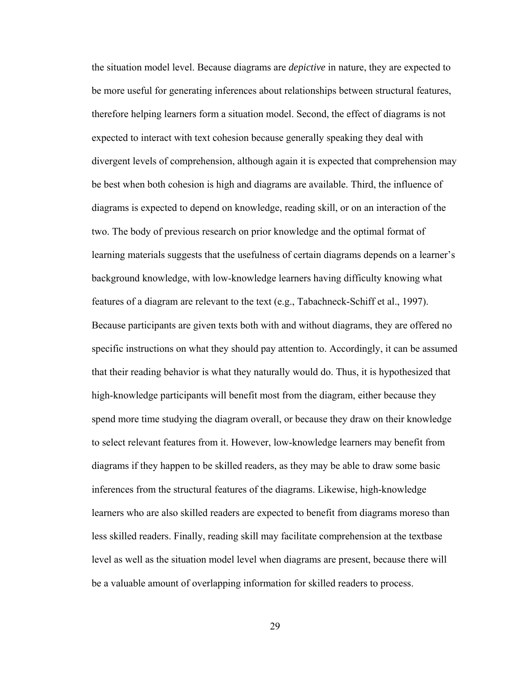the situation model level. Because diagrams are *depictive* in nature, they are expected to be more useful for generating inferences about relationships between structural features, therefore helping learners form a situation model. Second, the effect of diagrams is not expected to interact with text cohesion because generally speaking they deal with divergent levels of comprehension, although again it is expected that comprehension may be best when both cohesion is high and diagrams are available. Third, the influence of diagrams is expected to depend on knowledge, reading skill, or on an interaction of the two. The body of previous research on prior knowledge and the optimal format of learning materials suggests that the usefulness of certain diagrams depends on a learner's background knowledge, with low-knowledge learners having difficulty knowing what features of a diagram are relevant to the text (e.g., Tabachneck-Schiff et al., 1997). Because participants are given texts both with and without diagrams, they are offered no specific instructions on what they should pay attention to. Accordingly, it can be assumed that their reading behavior is what they naturally would do. Thus, it is hypothesized that high-knowledge participants will benefit most from the diagram, either because they spend more time studying the diagram overall, or because they draw on their knowledge to select relevant features from it. However, low-knowledge learners may benefit from diagrams if they happen to be skilled readers, as they may be able to draw some basic inferences from the structural features of the diagrams. Likewise, high-knowledge learners who are also skilled readers are expected to benefit from diagrams moreso than less skilled readers. Finally, reading skill may facilitate comprehension at the textbase level as well as the situation model level when diagrams are present, because there will be a valuable amount of overlapping information for skilled readers to process.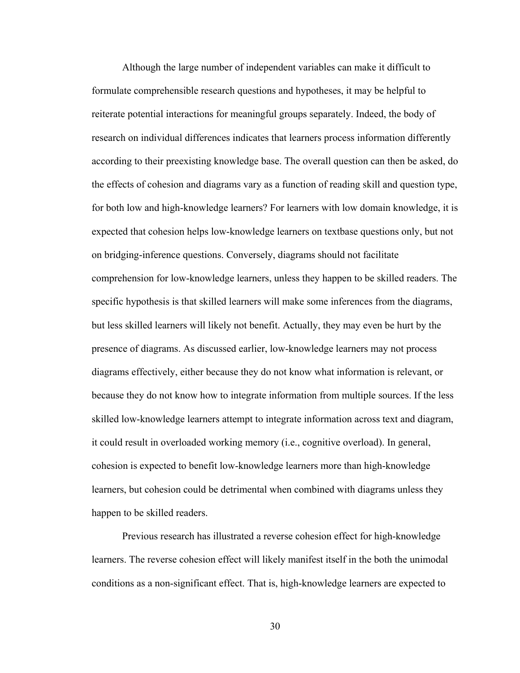Although the large number of independent variables can make it difficult to formulate comprehensible research questions and hypotheses, it may be helpful to reiterate potential interactions for meaningful groups separately. Indeed, the body of research on individual differences indicates that learners process information differently according to their preexisting knowledge base. The overall question can then be asked, do the effects of cohesion and diagrams vary as a function of reading skill and question type, for both low and high-knowledge learners? For learners with low domain knowledge, it is expected that cohesion helps low-knowledge learners on textbase questions only, but not on bridging-inference questions. Conversely, diagrams should not facilitate comprehension for low-knowledge learners, unless they happen to be skilled readers. The specific hypothesis is that skilled learners will make some inferences from the diagrams, but less skilled learners will likely not benefit. Actually, they may even be hurt by the presence of diagrams. As discussed earlier, low-knowledge learners may not process diagrams effectively, either because they do not know what information is relevant, or because they do not know how to integrate information from multiple sources. If the less skilled low-knowledge learners attempt to integrate information across text and diagram, it could result in overloaded working memory (i.e., cognitive overload). In general, cohesion is expected to benefit low-knowledge learners more than high-knowledge learners, but cohesion could be detrimental when combined with diagrams unless they happen to be skilled readers.

Previous research has illustrated a reverse cohesion effect for high-knowledge learners. The reverse cohesion effect will likely manifest itself in the both the unimodal conditions as a non-significant effect. That is, high-knowledge learners are expected to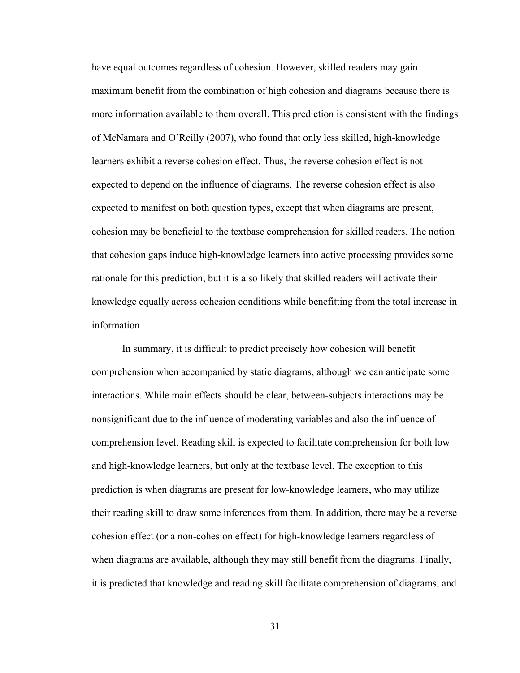have equal outcomes regardless of cohesion. However, skilled readers may gain maximum benefit from the combination of high cohesion and diagrams because there is more information available to them overall. This prediction is consistent with the findings of McNamara and O'Reilly (2007), who found that only less skilled, high-knowledge learners exhibit a reverse cohesion effect. Thus, the reverse cohesion effect is not expected to depend on the influence of diagrams. The reverse cohesion effect is also expected to manifest on both question types, except that when diagrams are present, cohesion may be beneficial to the textbase comprehension for skilled readers. The notion that cohesion gaps induce high-knowledge learners into active processing provides some rationale for this prediction, but it is also likely that skilled readers will activate their knowledge equally across cohesion conditions while benefitting from the total increase in information.

In summary, it is difficult to predict precisely how cohesion will benefit comprehension when accompanied by static diagrams, although we can anticipate some interactions. While main effects should be clear, between-subjects interactions may be nonsignificant due to the influence of moderating variables and also the influence of comprehension level. Reading skill is expected to facilitate comprehension for both low and high-knowledge learners, but only at the textbase level. The exception to this prediction is when diagrams are present for low-knowledge learners, who may utilize their reading skill to draw some inferences from them. In addition, there may be a reverse cohesion effect (or a non-cohesion effect) for high-knowledge learners regardless of when diagrams are available, although they may still benefit from the diagrams. Finally, it is predicted that knowledge and reading skill facilitate comprehension of diagrams, and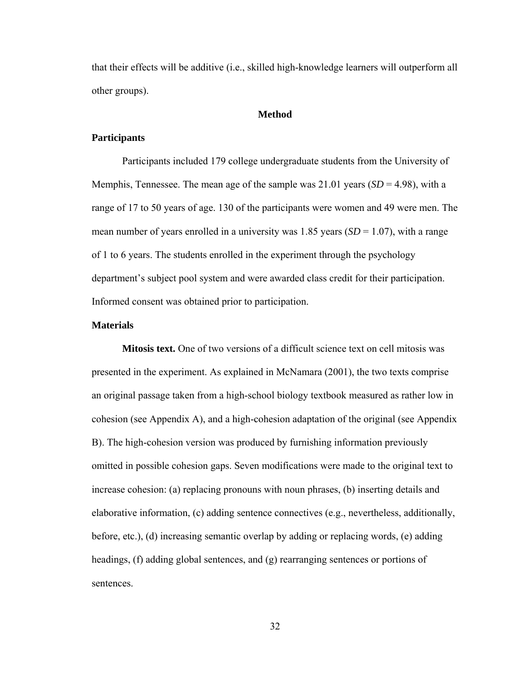that their effects will be additive (i.e., skilled high-knowledge learners will outperform all other groups).

# **Method**

## **Participants**

Participants included 179 college undergraduate students from the University of Memphis, Tennessee. The mean age of the sample was  $21.01$  years  $(SD = 4.98)$ , with a range of 17 to 50 years of age. 130 of the participants were women and 49 were men. The mean number of years enrolled in a university was 1.85 years  $(SD = 1.07)$ , with a range of 1 to 6 years. The students enrolled in the experiment through the psychology department's subject pool system and were awarded class credit for their participation. Informed consent was obtained prior to participation.

# **Materials**

**Mitosis text.** One of two versions of a difficult science text on cell mitosis was presented in the experiment. As explained in McNamara (2001), the two texts comprise an original passage taken from a high-school biology textbook measured as rather low in cohesion (see Appendix A), and a high-cohesion adaptation of the original (see Appendix B). The high-cohesion version was produced by furnishing information previously omitted in possible cohesion gaps. Seven modifications were made to the original text to increase cohesion: (a) replacing pronouns with noun phrases, (b) inserting details and elaborative information, (c) adding sentence connectives (e.g., nevertheless, additionally, before, etc.), (d) increasing semantic overlap by adding or replacing words, (e) adding headings, (f) adding global sentences, and (g) rearranging sentences or portions of sentences.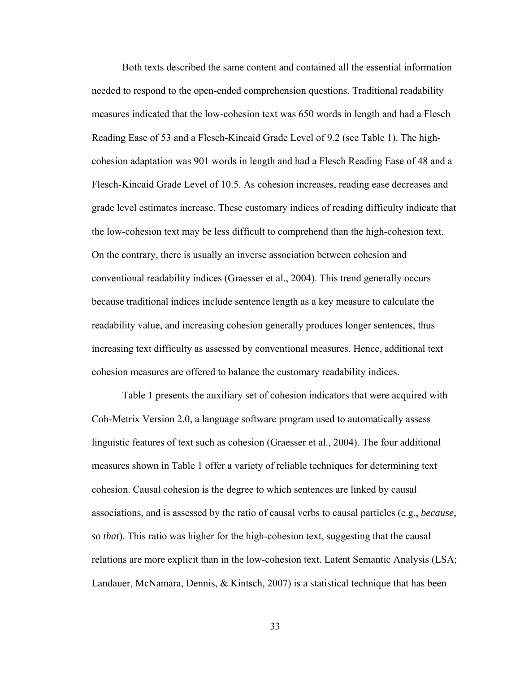Both texts described the same content and contained all the essential information needed to respond to the open-ended comprehension questions. Traditional readability measures indicated that the low-cohesion text was 650 words in length and had a Flesch Reading Ease of 53 and a Flesch-Kincaid Grade Level of 9.2 (see Table 1). The highcohesion adaptation was 901 words in length and had a Flesch Reading Ease of 48 and a Flesch-Kincaid Grade Level of 10.5. As cohesion increases, reading ease decreases and grade level estimates increase. These customary indices of reading difficulty indicate that the low-cohesion text may be less difficult to comprehend than the high-cohesion text. On the contrary, there is usually an inverse association between cohesion and conventional readability indices (Graesser et al., 2004). This trend generally occurs because traditional indices include sentence length as a key measure to calculate the readability value, and increasing cohesion generally produces longer sentences, thus increasing text difficulty as assessed by conventional measures. Hence, additional text cohesion measures are offered to balance the customary readability indices.

Table 1 presents the auxiliary set of cohesion indicators that were acquired with Coh-Metrix Version 2.0, a language software program used to automatically assess linguistic features of text such as cohesion (Graesser et al., 2004). The four additional measures shown in Table 1 offer a variety of reliable techniques for determining text cohesion. Causal cohesion is the degree to which sentences are linked by causal associations, and is assessed by the ratio of causal verbs to causal particles (e.g., *because*, *so that*). This ratio was higher for the high-cohesion text, suggesting that the causal relations are more explicit than in the low-cohesion text. Latent Semantic Analysis (LSA; Landauer, McNamara, Dennis, & Kintsch, 2007) is a statistical technique that has been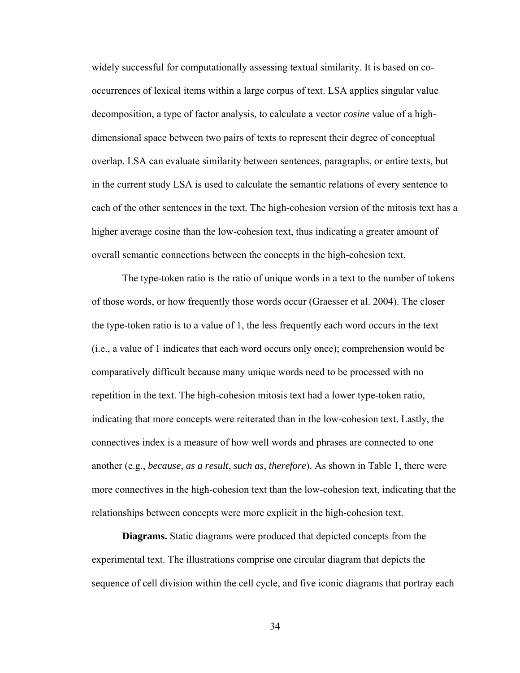widely successful for computationally assessing textual similarity. It is based on cooccurrences of lexical items within a large corpus of text. LSA applies singular value decomposition, a type of factor analysis, to calculate a vector *cosine* value of a highdimensional space between two pairs of texts to represent their degree of conceptual overlap. LSA can evaluate similarity between sentences, paragraphs, or entire texts, but in the current study LSA is used to calculate the semantic relations of every sentence to each of the other sentences in the text. The high-cohesion version of the mitosis text has a higher average cosine than the low-cohesion text, thus indicating a greater amount of overall semantic connections between the concepts in the high-cohesion text.

The type-token ratio is the ratio of unique words in a text to the number of tokens of those words, or how frequently those words occur (Graesser et al. 2004). The closer the type-token ratio is to a value of 1, the less frequently each word occurs in the text (i.e., a value of 1 indicates that each word occurs only once); comprehension would be comparatively difficult because many unique words need to be processed with no repetition in the text. The high-cohesion mitosis text had a lower type-token ratio, indicating that more concepts were reiterated than in the low-cohesion text. Lastly, the connectives index is a measure of how well words and phrases are connected to one another (e.g., *because*, *as a result*, *such as*, *therefore*). As shown in Table 1, there were more connectives in the high-cohesion text than the low-cohesion text, indicating that the relationships between concepts were more explicit in the high-cohesion text.

**Diagrams.** Static diagrams were produced that depicted concepts from the experimental text. The illustrations comprise one circular diagram that depicts the sequence of cell division within the cell cycle, and five iconic diagrams that portray each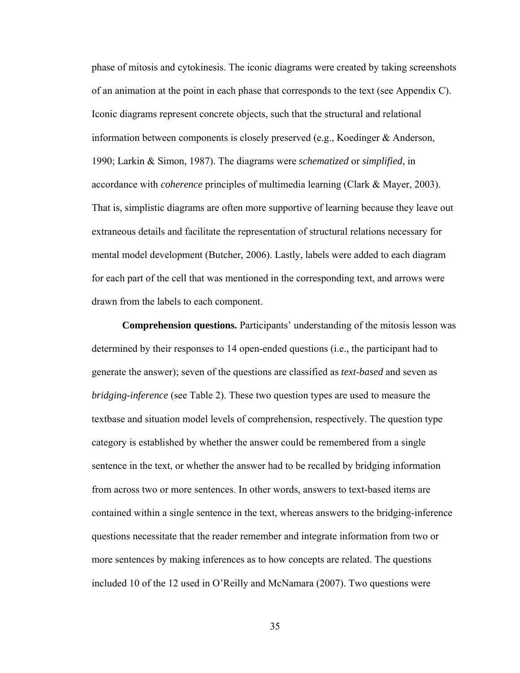phase of mitosis and cytokinesis. The iconic diagrams were created by taking screenshots of an animation at the point in each phase that corresponds to the text (see Appendix C). Iconic diagrams represent concrete objects, such that the structural and relational information between components is closely preserved (e.g., Koedinger & Anderson, 1990; Larkin & Simon, 1987). The diagrams were *schematized* or *simplified*, in accordance with *coherence* principles of multimedia learning (Clark & Mayer, 2003). That is, simplistic diagrams are often more supportive of learning because they leave out extraneous details and facilitate the representation of structural relations necessary for mental model development (Butcher, 2006). Lastly, labels were added to each diagram for each part of the cell that was mentioned in the corresponding text, and arrows were drawn from the labels to each component.

**Comprehension questions.** Participants' understanding of the mitosis lesson was determined by their responses to 14 open-ended questions (i.e., the participant had to generate the answer); seven of the questions are classified as *text-based* and seven as *bridging-inference* (see Table 2). These two question types are used to measure the textbase and situation model levels of comprehension, respectively. The question type category is established by whether the answer could be remembered from a single sentence in the text, or whether the answer had to be recalled by bridging information from across two or more sentences. In other words, answers to text-based items are contained within a single sentence in the text, whereas answers to the bridging-inference questions necessitate that the reader remember and integrate information from two or more sentences by making inferences as to how concepts are related. The questions included 10 of the 12 used in O'Reilly and McNamara (2007). Two questions were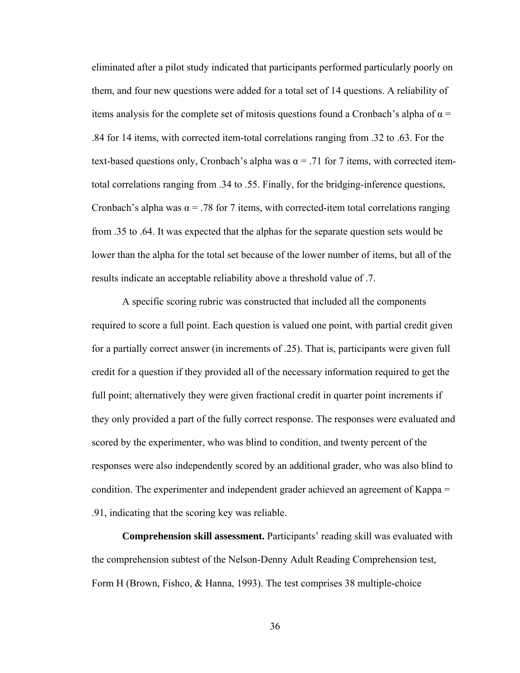eliminated after a pilot study indicated that participants performed particularly poorly on them, and four new questions were added for a total set of 14 questions. A reliability of items analysis for the complete set of mitosis questions found a Cronbach's alpha of  $\alpha$  = .84 for 14 items, with corrected item-total correlations ranging from .32 to .63. For the text-based questions only, Cronbach's alpha was  $\alpha$  = .71 for 7 items, with corrected itemtotal correlations ranging from .34 to .55. Finally, for the bridging-inference questions, Cronbach's alpha was  $\alpha = .78$  for 7 items, with corrected-item total correlations ranging from .35 to .64. It was expected that the alphas for the separate question sets would be lower than the alpha for the total set because of the lower number of items, but all of the results indicate an acceptable reliability above a threshold value of .7.

A specific scoring rubric was constructed that included all the components required to score a full point. Each question is valued one point, with partial credit given for a partially correct answer (in increments of .25). That is, participants were given full credit for a question if they provided all of the necessary information required to get the full point; alternatively they were given fractional credit in quarter point increments if they only provided a part of the fully correct response. The responses were evaluated and scored by the experimenter, who was blind to condition, and twenty percent of the responses were also independently scored by an additional grader, who was also blind to condition. The experimenter and independent grader achieved an agreement of Kappa = .91, indicating that the scoring key was reliable.

**Comprehension skill assessment.** Participants' reading skill was evaluated with the comprehension subtest of the Nelson-Denny Adult Reading Comprehension test, Form H (Brown, Fishco, & Hanna, 1993). The test comprises 38 multiple-choice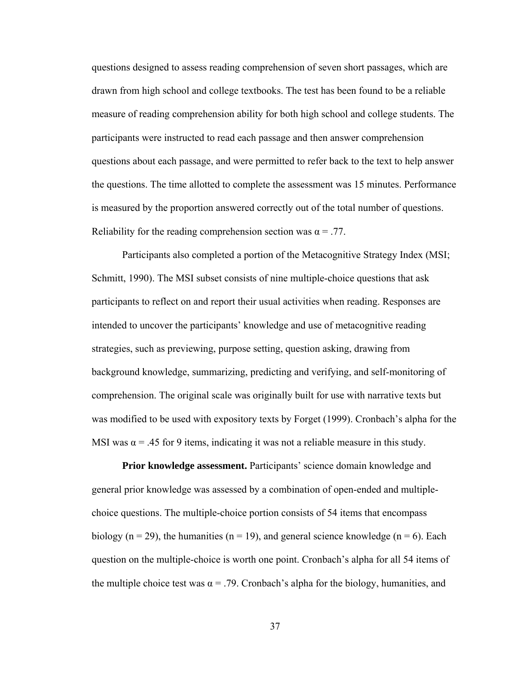questions designed to assess reading comprehension of seven short passages, which are drawn from high school and college textbooks. The test has been found to be a reliable measure of reading comprehension ability for both high school and college students. The participants were instructed to read each passage and then answer comprehension questions about each passage, and were permitted to refer back to the text to help answer the questions. The time allotted to complete the assessment was 15 minutes. Performance is measured by the proportion answered correctly out of the total number of questions. Reliability for the reading comprehension section was  $\alpha = .77$ .

Participants also completed a portion of the Metacognitive Strategy Index (MSI; Schmitt, 1990). The MSI subset consists of nine multiple-choice questions that ask participants to reflect on and report their usual activities when reading. Responses are intended to uncover the participants' knowledge and use of metacognitive reading strategies, such as previewing, purpose setting, question asking, drawing from background knowledge, summarizing, predicting and verifying, and self-monitoring of comprehension. The original scale was originally built for use with narrative texts but was modified to be used with expository texts by Forget (1999). Cronbach's alpha for the MSI was  $\alpha$  = .45 for 9 items, indicating it was not a reliable measure in this study.

**Prior knowledge assessment.** Participants' science domain knowledge and general prior knowledge was assessed by a combination of open-ended and multiplechoice questions. The multiple-choice portion consists of 54 items that encompass biology ( $n = 29$ ), the humanities ( $n = 19$ ), and general science knowledge ( $n = 6$ ). Each question on the multiple-choice is worth one point. Cronbach's alpha for all 54 items of the multiple choice test was  $\alpha = .79$ . Cronbach's alpha for the biology, humanities, and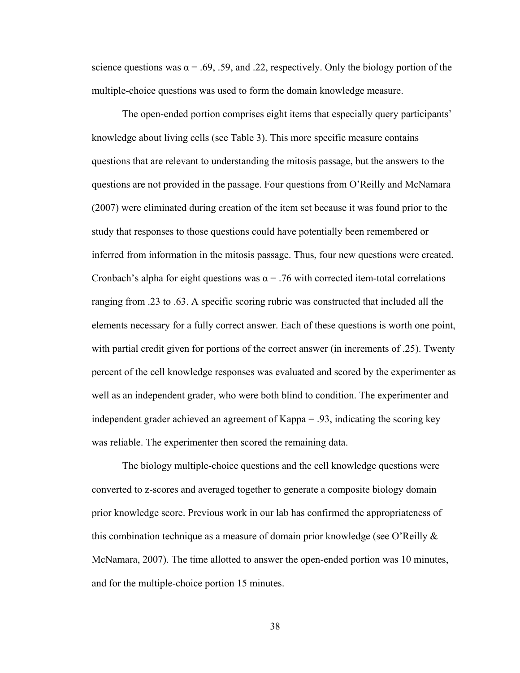science questions was  $\alpha = .69, .59,$  and .22, respectively. Only the biology portion of the multiple-choice questions was used to form the domain knowledge measure.

The open-ended portion comprises eight items that especially query participants' knowledge about living cells (see Table 3). This more specific measure contains questions that are relevant to understanding the mitosis passage, but the answers to the questions are not provided in the passage. Four questions from O'Reilly and McNamara (2007) were eliminated during creation of the item set because it was found prior to the study that responses to those questions could have potentially been remembered or inferred from information in the mitosis passage. Thus, four new questions were created. Cronbach's alpha for eight questions was  $\alpha = .76$  with corrected item-total correlations ranging from .23 to .63. A specific scoring rubric was constructed that included all the elements necessary for a fully correct answer. Each of these questions is worth one point, with partial credit given for portions of the correct answer (in increments of .25). Twenty percent of the cell knowledge responses was evaluated and scored by the experimenter as well as an independent grader, who were both blind to condition. The experimenter and independent grader achieved an agreement of Kappa = .93, indicating the scoring key was reliable. The experimenter then scored the remaining data.

The biology multiple-choice questions and the cell knowledge questions were converted to z-scores and averaged together to generate a composite biology domain prior knowledge score. Previous work in our lab has confirmed the appropriateness of this combination technique as a measure of domain prior knowledge (see O'Reilly  $\&$ McNamara, 2007). The time allotted to answer the open-ended portion was 10 minutes, and for the multiple-choice portion 15 minutes.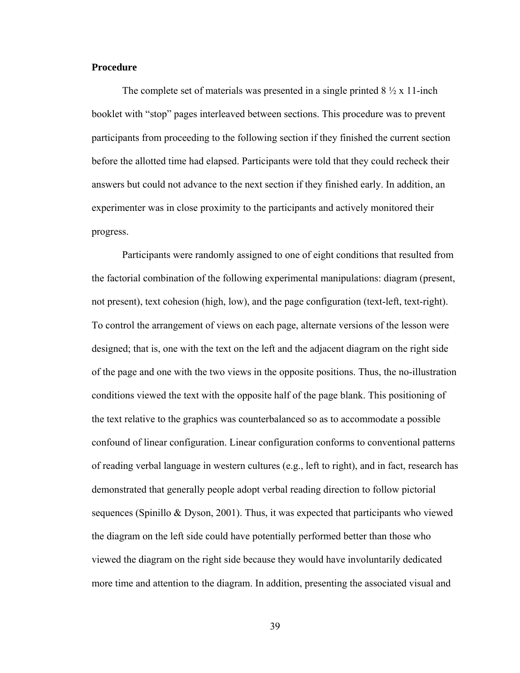# **Procedure**

The complete set of materials was presented in a single printed  $8\frac{1}{2} \times 11$ -inch booklet with "stop" pages interleaved between sections. This procedure was to prevent participants from proceeding to the following section if they finished the current section before the allotted time had elapsed. Participants were told that they could recheck their answers but could not advance to the next section if they finished early. In addition, an experimenter was in close proximity to the participants and actively monitored their progress.

Participants were randomly assigned to one of eight conditions that resulted from the factorial combination of the following experimental manipulations: diagram (present, not present), text cohesion (high, low), and the page configuration (text-left, text-right). To control the arrangement of views on each page, alternate versions of the lesson were designed; that is, one with the text on the left and the adjacent diagram on the right side of the page and one with the two views in the opposite positions. Thus, the no-illustration conditions viewed the text with the opposite half of the page blank. This positioning of the text relative to the graphics was counterbalanced so as to accommodate a possible confound of linear configuration. Linear configuration conforms to conventional patterns of reading verbal language in western cultures (e.g., left to right), and in fact, research has demonstrated that generally people adopt verbal reading direction to follow pictorial sequences (Spinillo  $\&$  Dyson, 2001). Thus, it was expected that participants who viewed the diagram on the left side could have potentially performed better than those who viewed the diagram on the right side because they would have involuntarily dedicated more time and attention to the diagram. In addition, presenting the associated visual and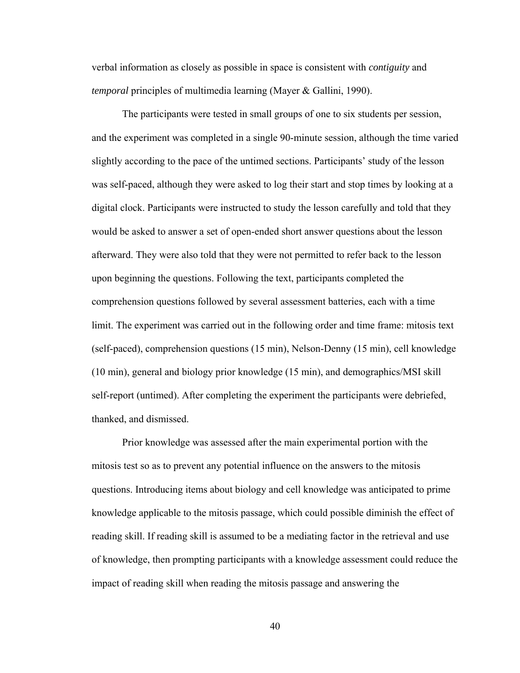verbal information as closely as possible in space is consistent with *contiguity* and *temporal* principles of multimedia learning (Mayer & Gallini, 1990).

The participants were tested in small groups of one to six students per session, and the experiment was completed in a single 90-minute session, although the time varied slightly according to the pace of the untimed sections. Participants' study of the lesson was self-paced, although they were asked to log their start and stop times by looking at a digital clock. Participants were instructed to study the lesson carefully and told that they would be asked to answer a set of open-ended short answer questions about the lesson afterward. They were also told that they were not permitted to refer back to the lesson upon beginning the questions. Following the text, participants completed the comprehension questions followed by several assessment batteries, each with a time limit. The experiment was carried out in the following order and time frame: mitosis text (self-paced), comprehension questions (15 min), Nelson-Denny (15 min), cell knowledge (10 min), general and biology prior knowledge (15 min), and demographics/MSI skill self-report (untimed). After completing the experiment the participants were debriefed, thanked, and dismissed.

Prior knowledge was assessed after the main experimental portion with the mitosis test so as to prevent any potential influence on the answers to the mitosis questions. Introducing items about biology and cell knowledge was anticipated to prime knowledge applicable to the mitosis passage, which could possible diminish the effect of reading skill. If reading skill is assumed to be a mediating factor in the retrieval and use of knowledge, then prompting participants with a knowledge assessment could reduce the impact of reading skill when reading the mitosis passage and answering the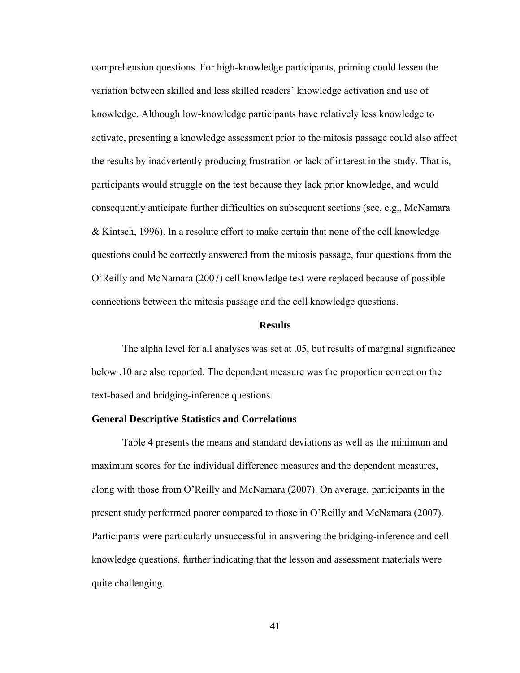comprehension questions. For high-knowledge participants, priming could lessen the variation between skilled and less skilled readers' knowledge activation and use of knowledge. Although low-knowledge participants have relatively less knowledge to activate, presenting a knowledge assessment prior to the mitosis passage could also affect the results by inadvertently producing frustration or lack of interest in the study. That is, participants would struggle on the test because they lack prior knowledge, and would consequently anticipate further difficulties on subsequent sections (see, e.g., McNamara & Kintsch, 1996). In a resolute effort to make certain that none of the cell knowledge questions could be correctly answered from the mitosis passage, four questions from the O'Reilly and McNamara (2007) cell knowledge test were replaced because of possible connections between the mitosis passage and the cell knowledge questions.

#### **Results**

 The alpha level for all analyses was set at .05, but results of marginal significance below .10 are also reported. The dependent measure was the proportion correct on the text-based and bridging-inference questions.

### **General Descriptive Statistics and Correlations**

Table 4 presents the means and standard deviations as well as the minimum and maximum scores for the individual difference measures and the dependent measures, along with those from O'Reilly and McNamara (2007). On average, participants in the present study performed poorer compared to those in O'Reilly and McNamara (2007). Participants were particularly unsuccessful in answering the bridging-inference and cell knowledge questions, further indicating that the lesson and assessment materials were quite challenging.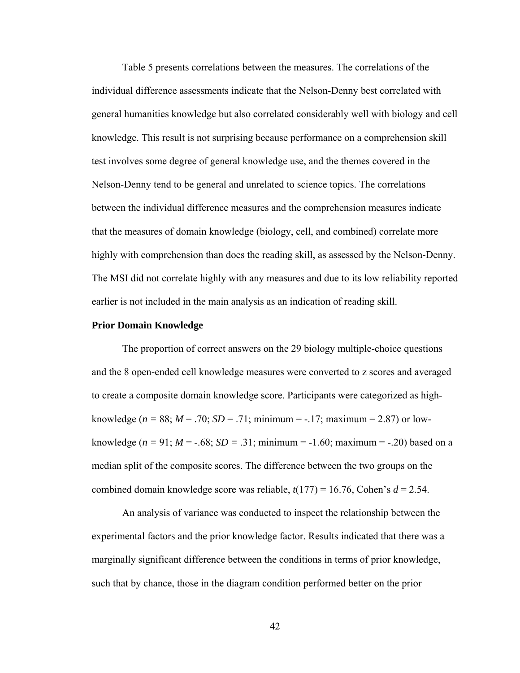Table 5 presents correlations between the measures. The correlations of the individual difference assessments indicate that the Nelson-Denny best correlated with general humanities knowledge but also correlated considerably well with biology and cell knowledge. This result is not surprising because performance on a comprehension skill test involves some degree of general knowledge use, and the themes covered in the Nelson-Denny tend to be general and unrelated to science topics. The correlations between the individual difference measures and the comprehension measures indicate that the measures of domain knowledge (biology, cell, and combined) correlate more highly with comprehension than does the reading skill, as assessed by the Nelson-Denny. The MSI did not correlate highly with any measures and due to its low reliability reported earlier is not included in the main analysis as an indication of reading skill.

### **Prior Domain Knowledge**

 The proportion of correct answers on the 29 biology multiple-choice questions and the 8 open-ended cell knowledge measures were converted to z scores and averaged to create a composite domain knowledge score. Participants were categorized as highknowledge ( $n = 88$ ;  $M = .70$ ;  $SD = .71$ ; minimum = -.17; maximum = 2.87) or lowknowledge  $(n = 91; M = -.68; SD = .31; minimum = -1.60; maximum = -.20)$  based on a median split of the composite scores. The difference between the two groups on the combined domain knowledge score was reliable,  $t(177) = 16.76$ , Cohen's  $d = 2.54$ .

An analysis of variance was conducted to inspect the relationship between the experimental factors and the prior knowledge factor. Results indicated that there was a marginally significant difference between the conditions in terms of prior knowledge, such that by chance, those in the diagram condition performed better on the prior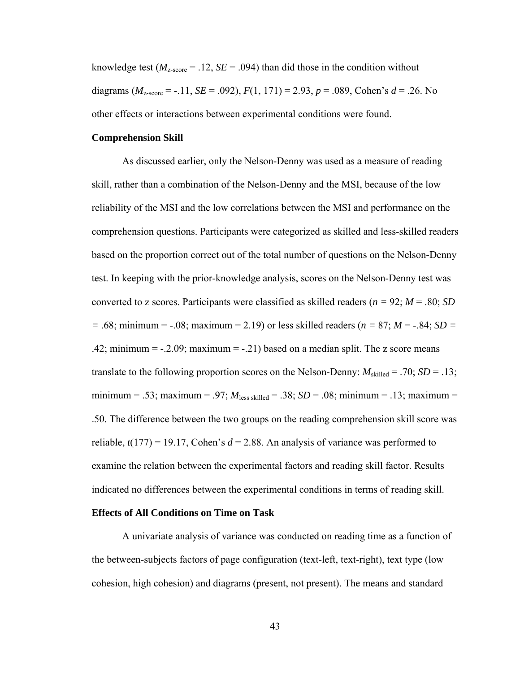knowledge test  $(M_{z\text{-score}} = .12, SE = .094)$  than did those in the condition without diagrams ( $M_{z\text{-score}} = -11$ ,  $SE = .092$ ),  $F(1, 171) = 2.93$ ,  $p = .089$ , Cohen's  $d = .26$ . No other effects or interactions between experimental conditions were found.

## **Comprehension Skill**

 As discussed earlier, only the Nelson-Denny was used as a measure of reading skill, rather than a combination of the Nelson-Denny and the MSI, because of the low reliability of the MSI and the low correlations between the MSI and performance on the comprehension questions. Participants were categorized as skilled and less-skilled readers based on the proportion correct out of the total number of questions on the Nelson-Denny test. In keeping with the prior-knowledge analysis, scores on the Nelson-Denny test was converted to z scores. Participants were classified as skilled readers (*n =* 92; *M* = .80; *SD =* .68; minimum = -.08; maximum = 2.19) or less skilled readers (*n =* 87; *M* = -.84; *SD =*  .42; minimum  $= -0.2.09$ ; maximum  $= -0.21$ ) based on a median split. The z score means translate to the following proportion scores on the Nelson-Denny:  $M<sub>skilled</sub> = .70$ ; *SD* = .13; minimum = .53; maximum = .97;  $M_{\text{less skilled}} = .38$ ;  $SD = .08$ ; minimum = .13; maximum = .50. The difference between the two groups on the reading comprehension skill score was reliable,  $t(177) = 19.17$ , Cohen's  $d = 2.88$ . An analysis of variance was performed to examine the relation between the experimental factors and reading skill factor. Results indicated no differences between the experimental conditions in terms of reading skill.

## **Effects of All Conditions on Time on Task**

A univariate analysis of variance was conducted on reading time as a function of the between-subjects factors of page configuration (text-left, text-right), text type (low cohesion, high cohesion) and diagrams (present, not present). The means and standard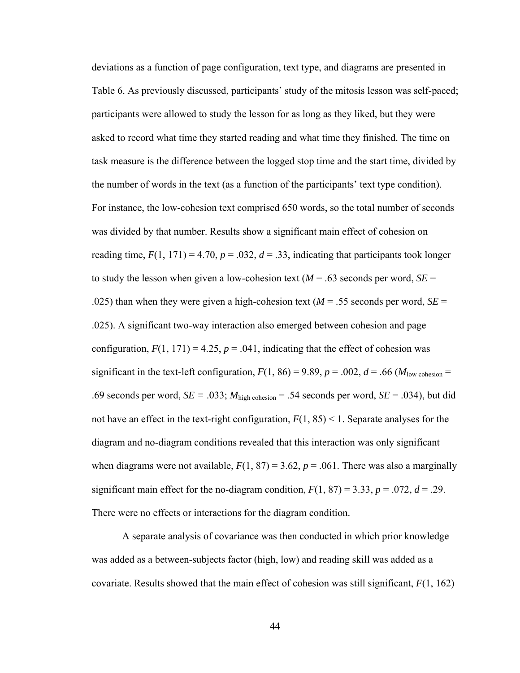deviations as a function of page configuration, text type, and diagrams are presented in Table 6. As previously discussed, participants' study of the mitosis lesson was self-paced; participants were allowed to study the lesson for as long as they liked, but they were asked to record what time they started reading and what time they finished. The time on task measure is the difference between the logged stop time and the start time, divided by the number of words in the text (as a function of the participants' text type condition). For instance, the low-cohesion text comprised 650 words, so the total number of seconds was divided by that number. Results show a significant main effect of cohesion on reading time,  $F(1, 171) = 4.70$ ,  $p = .032$ ,  $d = .33$ , indicating that participants took longer to study the lesson when given a low-cohesion text ( $M = .63$  seconds per word,  $SE =$ .025) than when they were given a high-cohesion text ( $M = .55$  seconds per word,  $SE =$ .025). A significant two-way interaction also emerged between cohesion and page configuration,  $F(1, 171) = 4.25$ ,  $p = .041$ , indicating that the effect of cohesion was significant in the text-left configuration,  $F(1, 86) = 9.89$ ,  $p = .002$ ,  $d = .66$  ( $M_{\text{low cohesion}} =$ .69 seconds per word,  $SE = .033$ ;  $M_{\text{high cohesion}} = .54$  seconds per word,  $SE = .034$ ), but did not have an effect in the text-right configuration,  $F(1, 85) < 1$ . Separate analyses for the diagram and no-diagram conditions revealed that this interaction was only significant when diagrams were not available,  $F(1, 87) = 3.62$ ,  $p = .061$ . There was also a marginally significant main effect for the no-diagram condition,  $F(1, 87) = 3.33$ ,  $p = .072$ ,  $d = .29$ . There were no effects or interactions for the diagram condition.

A separate analysis of covariance was then conducted in which prior knowledge was added as a between-subjects factor (high, low) and reading skill was added as a covariate. Results showed that the main effect of cohesion was still significant, *F*(1, 162)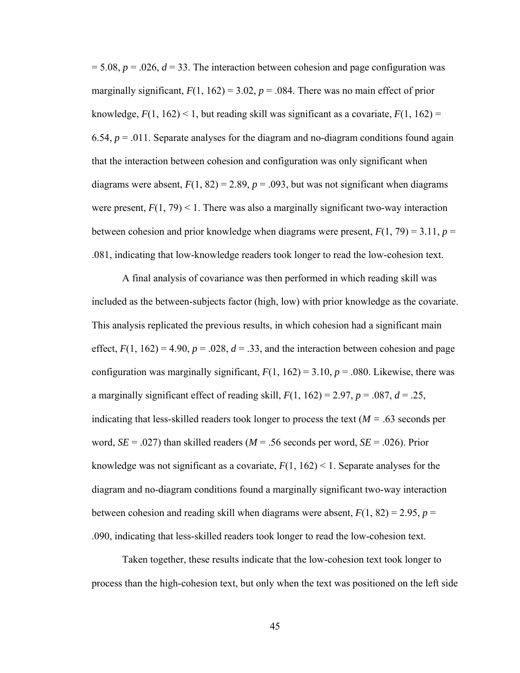$= 5.08$ ,  $p = .026$ ,  $d = 33$ . The interaction between cohesion and page configuration was marginally significant,  $F(1, 162) = 3.02$ ,  $p = .084$ . There was no main effect of prior knowledge,  $F(1, 162) < 1$ , but reading skill was significant as a covariate,  $F(1, 162) =$ 6.54,  $p = 0.011$ . Separate analyses for the diagram and no-diagram conditions found again that the interaction between cohesion and configuration was only significant when diagrams were absent,  $F(1, 82) = 2.89$ ,  $p = .093$ , but was not significant when diagrams were present,  $F(1, 79)$  < 1. There was also a marginally significant two-way interaction between cohesion and prior knowledge when diagrams were present,  $F(1, 79) = 3.11$ ,  $p =$ .081, indicating that low-knowledge readers took longer to read the low-cohesion text.

A final analysis of covariance was then performed in which reading skill was included as the between-subjects factor (high, low) with prior knowledge as the covariate. This analysis replicated the previous results, in which cohesion had a significant main effect,  $F(1, 162) = 4.90$ ,  $p = .028$ ,  $d = .33$ , and the interaction between cohesion and page configuration was marginally significant,  $F(1, 162) = 3.10$ ,  $p = .080$ . Likewise, there was a marginally significant effect of reading skill,  $F(1, 162) = 2.97$ ,  $p = .087$ ,  $d = .25$ , indicating that less-skilled readers took longer to process the text (*M =* .63 seconds per word,  $SE = .027$ ) than skilled readers ( $M = .56$  seconds per word,  $SE = .026$ ). Prior knowledge was not significant as a covariate,  $F(1, 162) < 1$ . Separate analyses for the diagram and no-diagram conditions found a marginally significant two-way interaction between cohesion and reading skill when diagrams were absent,  $F(1, 82) = 2.95$ ,  $p =$ .090, indicating that less-skilled readers took longer to read the low-cohesion text.

Taken together, these results indicate that the low-cohesion text took longer to process than the high-cohesion text, but only when the text was positioned on the left side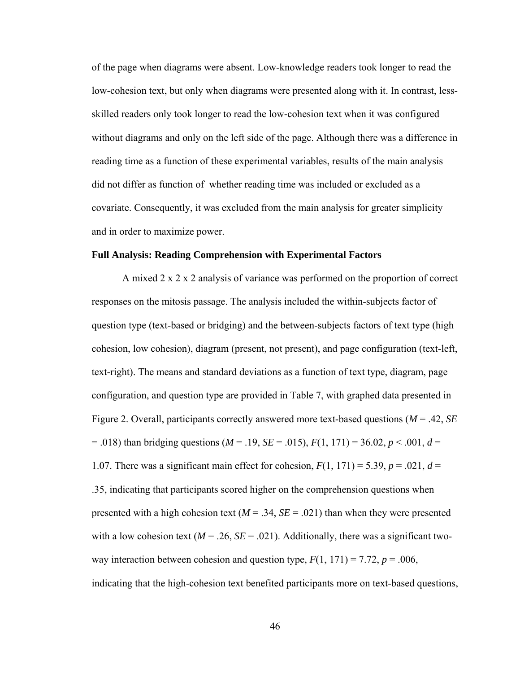of the page when diagrams were absent. Low-knowledge readers took longer to read the low-cohesion text, but only when diagrams were presented along with it. In contrast, lessskilled readers only took longer to read the low-cohesion text when it was configured without diagrams and only on the left side of the page. Although there was a difference in reading time as a function of these experimental variables, results of the main analysis did not differ as function of whether reading time was included or excluded as a covariate. Consequently, it was excluded from the main analysis for greater simplicity and in order to maximize power.

### **Full Analysis: Reading Comprehension with Experimental Factors**

A mixed 2 x 2 x 2 analysis of variance was performed on the proportion of correct responses on the mitosis passage. The analysis included the within-subjects factor of question type (text-based or bridging) and the between-subjects factors of text type (high cohesion, low cohesion), diagram (present, not present), and page configuration (text-left, text-right). The means and standard deviations as a function of text type, diagram, page configuration, and question type are provided in Table 7, with graphed data presented in Figure 2. Overall, participants correctly answered more text-based questions (*M* = .42, *SE*  $= .018$ ) than bridging questions (*M* = .19, *SE* = .015),  $F(1, 171) = 36.02$ ,  $p < .001$ ,  $d =$ 1.07. There was a significant main effect for cohesion,  $F(1, 171) = 5.39$ ,  $p = .021$ ,  $d =$ .35, indicating that participants scored higher on the comprehension questions when presented with a high cohesion text  $(M = .34, SE = .021)$  than when they were presented with a low cohesion text ( $M = 0.26$ ,  $SE = 0.021$ ). Additionally, there was a significant twoway interaction between cohesion and question type,  $F(1, 171) = 7.72$ ,  $p = .006$ , indicating that the high-cohesion text benefited participants more on text-based questions,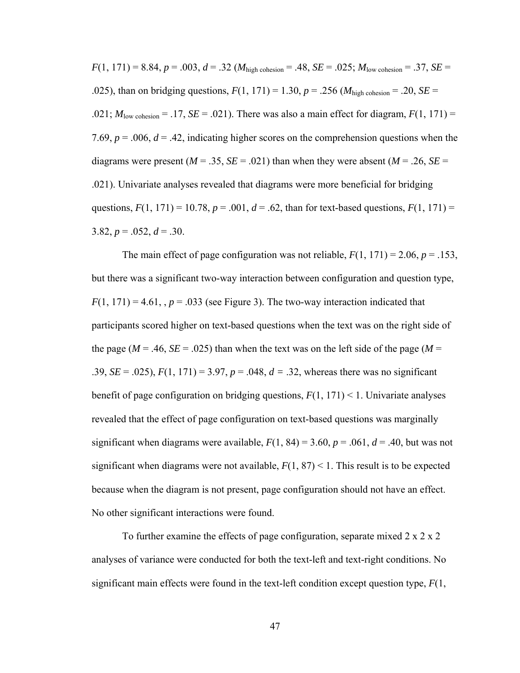$F(1, 171) = 8.84, p = .003, d = .32$  (*M*<sub>high cohesion</sub> = .48, *SE* = .025; *M*<sub>low cohesion</sub> = .37, *SE* = .025), than on bridging questions,  $F(1, 171) = 1.30$ ,  $p = .256$  ( $M_{\text{high cohesion}} = .20$ ,  $SE =$ .021;  $M_{\text{low cohesion}} = .17$ ,  $SE = .021$ ). There was also a main effect for diagram,  $F(1, 171) =$ 7.69,  $p = 0.006$ ,  $d = 0.42$ , indicating higher scores on the comprehension questions when the diagrams were present ( $M = .35$ ,  $SE = .021$ ) than when they were absent ( $M = .26$ ,  $SE =$ .021). Univariate analyses revealed that diagrams were more beneficial for bridging questions,  $F(1, 171) = 10.78$ ,  $p = .001$ ,  $d = .62$ , than for text-based questions,  $F(1, 171) =$ 3.82,  $p = .052$ ,  $d = .30$ .

The main effect of page configuration was not reliable,  $F(1, 171) = 2.06$ ,  $p = .153$ , but there was a significant two-way interaction between configuration and question type,  $F(1, 171) = 4.61$ ,  $p = .033$  (see Figure 3). The two-way interaction indicated that participants scored higher on text-based questions when the text was on the right side of the page ( $M = .46$ ,  $SE = .025$ ) than when the text was on the left side of the page ( $M =$ .39, *SE* = .025), *F*(1, 171) = 3.97, *p* = .048, *d =* .32, whereas there was no significant benefit of page configuration on bridging questions,  $F(1, 171) < 1$ . Univariate analyses revealed that the effect of page configuration on text-based questions was marginally significant when diagrams were available,  $F(1, 84) = 3.60$ ,  $p = .061$ ,  $d = .40$ , but was not significant when diagrams were not available,  $F(1, 87)$  < 1. This result is to be expected because when the diagram is not present, page configuration should not have an effect. No other significant interactions were found.

To further examine the effects of page configuration, separate mixed  $2 \times 2 \times 2$ analyses of variance were conducted for both the text-left and text-right conditions. No significant main effects were found in the text-left condition except question type, *F*(1,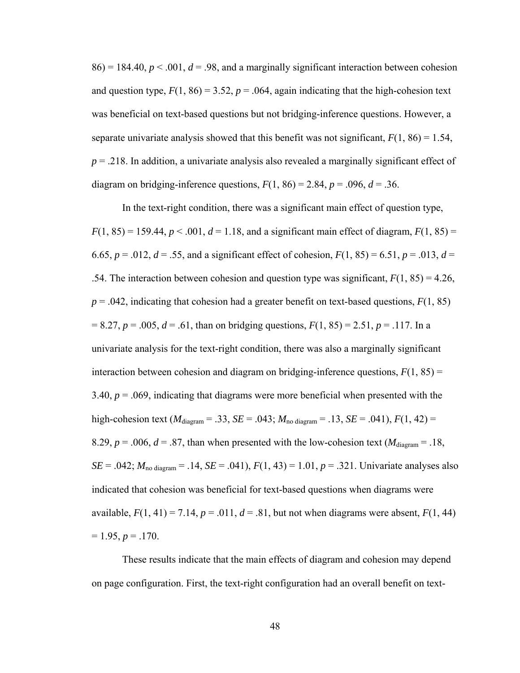$86$ ) = 184.40,  $p < .001$ ,  $d = .98$ , and a marginally significant interaction between cohesion and question type,  $F(1, 86) = 3.52$ ,  $p = .064$ , again indicating that the high-cohesion text was beneficial on text-based questions but not bridging-inference questions. However, a separate univariate analysis showed that this benefit was not significant,  $F(1, 86) = 1.54$ ,  $p = 0.218$ . In addition, a univariate analysis also revealed a marginally significant effect of diagram on bridging-inference questions,  $F(1, 86) = 2.84$ ,  $p = .096$ ,  $d = .36$ .

In the text-right condition, there was a significant main effect of question type,  $F(1, 85) = 159.44$ ,  $p < .001$ ,  $d = 1.18$ , and a significant main effect of diagram,  $F(1, 85) =$ 6.65,  $p = .012$ ,  $d = .55$ , and a significant effect of cohesion,  $F(1, 85) = 6.51$ ,  $p = .013$ ,  $d =$ .54. The interaction between cohesion and question type was significant,  $F(1, 85) = 4.26$ ,  $p = .042$ , indicating that cohesion had a greater benefit on text-based questions,  $F(1, 85)$  $= 8.27, p = .005, d = .61$ , than on bridging questions,  $F(1, 85) = 2.51, p = .117$ . In a univariate analysis for the text-right condition, there was also a marginally significant interaction between cohesion and diagram on bridging-inference questions,  $F(1, 85)$  = 3.40,  $p = 0.069$ , indicating that diagrams were more beneficial when presented with the high-cohesion text ( $M_{\text{diagram}} = .33$ ,  $SE = .043$ ;  $M_{\text{no diagram}} = .13$ ,  $SE = .041$ ),  $F(1, 42) =$ 8.29,  $p = .006$ ,  $d = .87$ , than when presented with the low-cohesion text ( $M_{\text{diagram}} = .18$ ,  $SE = .042$ ;  $M_{\text{no diagram}} = .14$ ,  $SE = .041$ ),  $F(1, 43) = 1.01$ ,  $p = .321$ . Univariate analyses also indicated that cohesion was beneficial for text-based questions when diagrams were available,  $F(1, 41) = 7.14$ ,  $p = .011$ ,  $d = .81$ , but not when diagrams were absent,  $F(1, 44)$  $= 1.95, p = .170.$ 

These results indicate that the main effects of diagram and cohesion may depend on page configuration. First, the text-right configuration had an overall benefit on text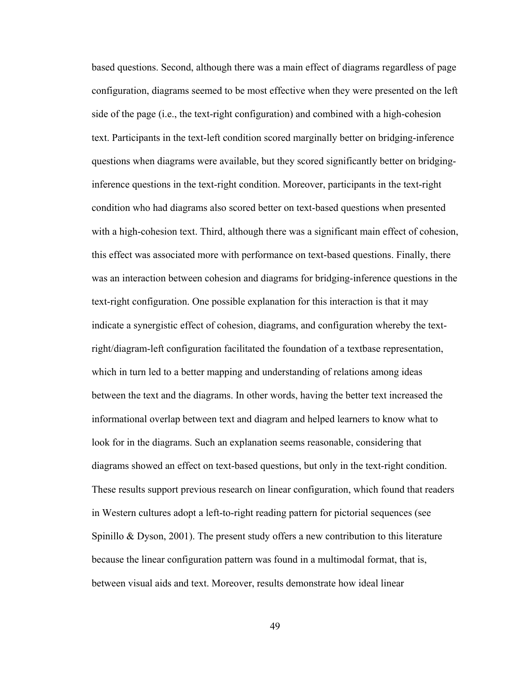based questions. Second, although there was a main effect of diagrams regardless of page configuration, diagrams seemed to be most effective when they were presented on the left side of the page (i.e., the text-right configuration) and combined with a high-cohesion text. Participants in the text-left condition scored marginally better on bridging-inference questions when diagrams were available, but they scored significantly better on bridginginference questions in the text-right condition. Moreover, participants in the text-right condition who had diagrams also scored better on text-based questions when presented with a high-cohesion text. Third, although there was a significant main effect of cohesion, this effect was associated more with performance on text-based questions. Finally, there was an interaction between cohesion and diagrams for bridging-inference questions in the text-right configuration. One possible explanation for this interaction is that it may indicate a synergistic effect of cohesion, diagrams, and configuration whereby the textright/diagram-left configuration facilitated the foundation of a textbase representation, which in turn led to a better mapping and understanding of relations among ideas between the text and the diagrams. In other words, having the better text increased the informational overlap between text and diagram and helped learners to know what to look for in the diagrams. Such an explanation seems reasonable, considering that diagrams showed an effect on text-based questions, but only in the text-right condition. These results support previous research on linear configuration, which found that readers in Western cultures adopt a left-to-right reading pattern for pictorial sequences (see Spinillo & Dyson, 2001). The present study offers a new contribution to this literature because the linear configuration pattern was found in a multimodal format, that is, between visual aids and text. Moreover, results demonstrate how ideal linear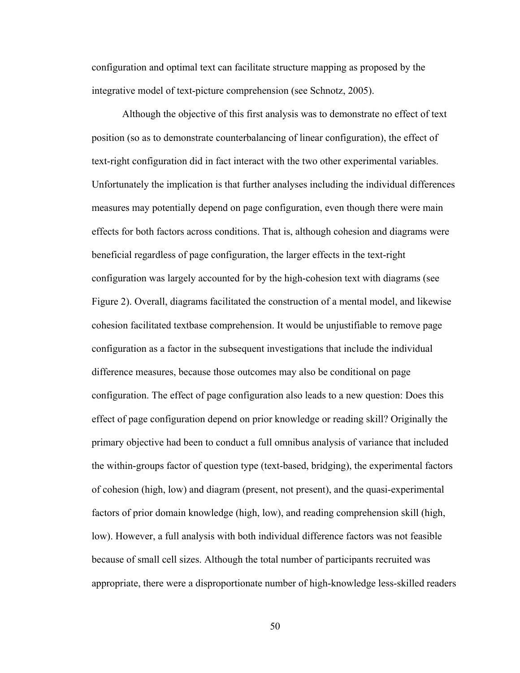configuration and optimal text can facilitate structure mapping as proposed by the integrative model of text-picture comprehension (see Schnotz, 2005).

Although the objective of this first analysis was to demonstrate no effect of text position (so as to demonstrate counterbalancing of linear configuration), the effect of text-right configuration did in fact interact with the two other experimental variables. Unfortunately the implication is that further analyses including the individual differences measures may potentially depend on page configuration, even though there were main effects for both factors across conditions. That is, although cohesion and diagrams were beneficial regardless of page configuration, the larger effects in the text-right configuration was largely accounted for by the high-cohesion text with diagrams (see Figure 2). Overall, diagrams facilitated the construction of a mental model, and likewise cohesion facilitated textbase comprehension. It would be unjustifiable to remove page configuration as a factor in the subsequent investigations that include the individual difference measures, because those outcomes may also be conditional on page configuration. The effect of page configuration also leads to a new question: Does this effect of page configuration depend on prior knowledge or reading skill? Originally the primary objective had been to conduct a full omnibus analysis of variance that included the within-groups factor of question type (text-based, bridging), the experimental factors of cohesion (high, low) and diagram (present, not present), and the quasi-experimental factors of prior domain knowledge (high, low), and reading comprehension skill (high, low). However, a full analysis with both individual difference factors was not feasible because of small cell sizes. Although the total number of participants recruited was appropriate, there were a disproportionate number of high-knowledge less-skilled readers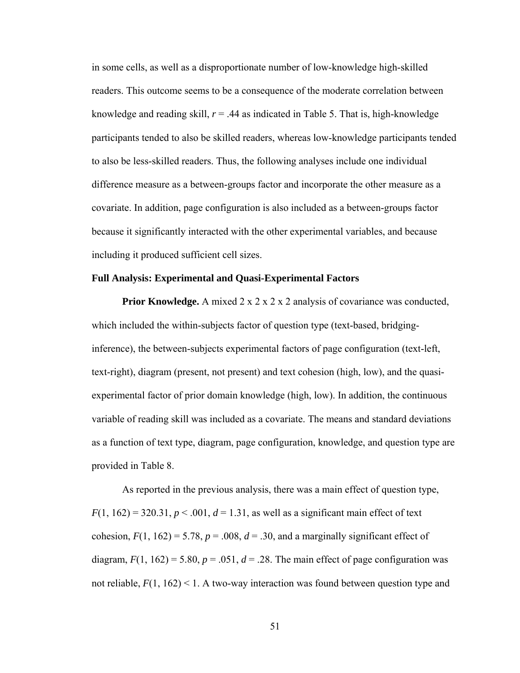in some cells, as well as a disproportionate number of low-knowledge high-skilled readers. This outcome seems to be a consequence of the moderate correlation between knowledge and reading skill,  $r = .44$  as indicated in Table 5. That is, high-knowledge participants tended to also be skilled readers, whereas low-knowledge participants tended to also be less-skilled readers. Thus, the following analyses include one individual difference measure as a between-groups factor and incorporate the other measure as a covariate. In addition, page configuration is also included as a between-groups factor because it significantly interacted with the other experimental variables, and because including it produced sufficient cell sizes.

# **Full Analysis: Experimental and Quasi-Experimental Factors**

**Prior Knowledge.** A mixed 2 x 2 x 2 x 2 analysis of covariance was conducted, which included the within-subjects factor of question type (text-based, bridginginference), the between-subjects experimental factors of page configuration (text-left, text-right), diagram (present, not present) and text cohesion (high, low), and the quasiexperimental factor of prior domain knowledge (high, low). In addition, the continuous variable of reading skill was included as a covariate. The means and standard deviations as a function of text type, diagram, page configuration, knowledge, and question type are provided in Table 8.

As reported in the previous analysis, there was a main effect of question type,  $F(1, 162) = 320.31, p < .001, d = 1.31$ , as well as a significant main effect of text cohesion,  $F(1, 162) = 5.78$ ,  $p = .008$ ,  $d = .30$ , and a marginally significant effect of diagram,  $F(1, 162) = 5.80$ ,  $p = .051$ ,  $d = .28$ . The main effect of page configuration was not reliable,  $F(1, 162)$  < 1. A two-way interaction was found between question type and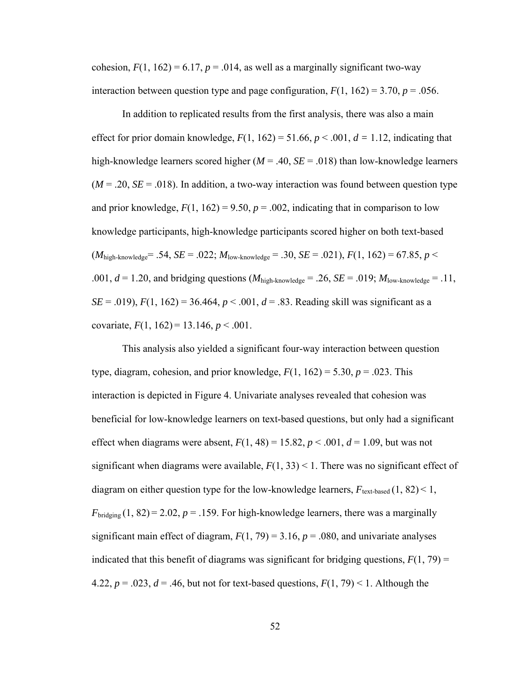cohesion,  $F(1, 162) = 6.17$ ,  $p = .014$ , as well as a marginally significant two-way interaction between question type and page configuration,  $F(1, 162) = 3.70$ ,  $p = .056$ .

In addition to replicated results from the first analysis, there was also a main effect for prior domain knowledge,  $F(1, 162) = 51.66$ ,  $p < .001$ ,  $d = 1.12$ , indicating that high-knowledge learners scored higher (*M* = .40, *SE* = .018) than low-knowledge learners  $(M = .20, SE = .018)$ . In addition, a two-way interaction was found between question type and prior knowledge,  $F(1, 162) = 9.50$ ,  $p = .002$ , indicating that in comparison to low knowledge participants, high-knowledge participants scored higher on both text-based  $(M_{\text{high-knowledge}} = .54, SE = .022; M_{\text{low-knowledge}} = .30, SE = .021), F(1, 162) = 67.85, p <$ .001,  $d = 1.20$ , and bridging questions ( $M_{\text{high-knowledge}} = .26$ ,  $SE = .019$ ;  $M_{\text{low-knowledge}} = .11$ , *SE* = .019),  $F(1, 162) = 36.464$ ,  $p < .001$ ,  $d = .83$ . Reading skill was significant as a covariate,  $F(1, 162) = 13.146$ ,  $p < .001$ .

This analysis also yielded a significant four-way interaction between question type, diagram, cohesion, and prior knowledge,  $F(1, 162) = 5.30$ ,  $p = .023$ . This interaction is depicted in Figure 4. Univariate analyses revealed that cohesion was beneficial for low-knowledge learners on text-based questions, but only had a significant effect when diagrams were absent,  $F(1, 48) = 15.82$ ,  $p < .001$ ,  $d = 1.09$ , but was not significant when diagrams were available,  $F(1, 33)$  < 1. There was no significant effect of diagram on either question type for the low-knowledge learners,  $F_{text, test-based}(1, 82) < 1$ ,  $F_{\text{bridge}}(1, 82) = 2.02$ ,  $p = 0.159$ . For high-knowledge learners, there was a marginally significant main effect of diagram,  $F(1, 79) = 3.16$ ,  $p = .080$ , and univariate analyses indicated that this benefit of diagrams was significant for bridging questions,  $F(1, 79) =$ 4.22,  $p = 0.023$ ,  $d = 0.46$ , but not for text-based questions,  $F(1, 79) < 1$ . Although the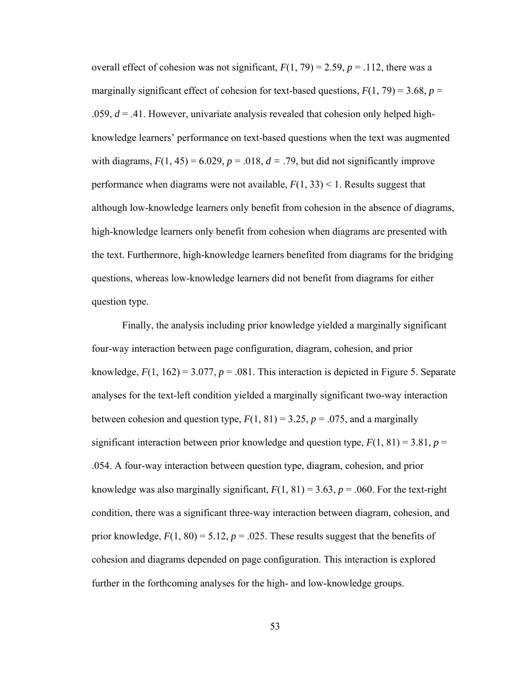overall effect of cohesion was not significant,  $F(1, 79) = 2.59$ ,  $p = .112$ , there was a marginally significant effect of cohesion for text-based questions,  $F(1, 79) = 3.68$ ,  $p =$ .059,  $d = .41$ . However, univariate analysis revealed that cohesion only helped highknowledge learners' performance on text-based questions when the text was augmented with diagrams,  $F(1, 45) = 6.029$ ,  $p = .018$ ,  $d = .79$ , but did not significantly improve performance when diagrams were not available,  $F(1, 33) \le 1$ . Results suggest that although low-knowledge learners only benefit from cohesion in the absence of diagrams, high-knowledge learners only benefit from cohesion when diagrams are presented with the text. Furthermore, high-knowledge learners benefited from diagrams for the bridging questions, whereas low-knowledge learners did not benefit from diagrams for either question type.

Finally, the analysis including prior knowledge yielded a marginally significant four-way interaction between page configuration, diagram, cohesion, and prior knowledge,  $F(1, 162) = 3.077$ ,  $p = .081$ . This interaction is depicted in Figure 5. Separate analyses for the text-left condition yielded a marginally significant two-way interaction between cohesion and question type,  $F(1, 81) = 3.25$ ,  $p = .075$ , and a marginally significant interaction between prior knowledge and question type,  $F(1, 81) = 3.81$ ,  $p =$ .054. A four-way interaction between question type, diagram, cohesion, and prior knowledge was also marginally significant,  $F(1, 81) = 3.63$ ,  $p = .060$ . For the text-right condition, there was a significant three-way interaction between diagram, cohesion, and prior knowledge,  $F(1, 80) = 5.12$ ,  $p = .025$ . These results suggest that the benefits of cohesion and diagrams depended on page configuration. This interaction is explored further in the forthcoming analyses for the high- and low-knowledge groups.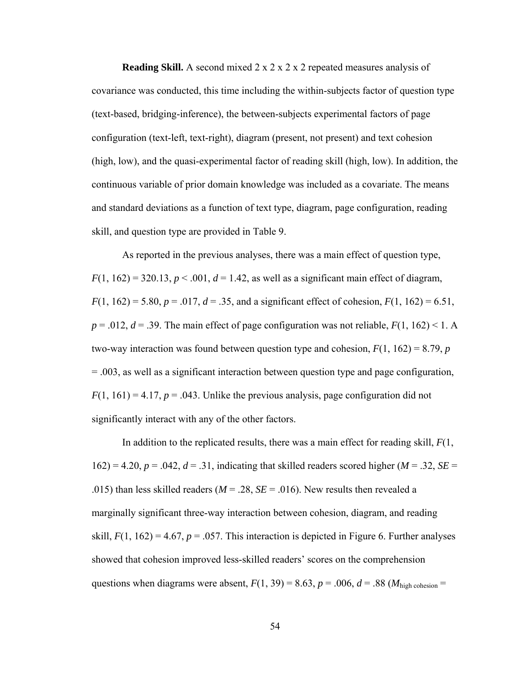**Reading Skill.** A second mixed 2 x 2 x 2 x 2 repeated measures analysis of covariance was conducted, this time including the within-subjects factor of question type (text-based, bridging-inference), the between-subjects experimental factors of page configuration (text-left, text-right), diagram (present, not present) and text cohesion (high, low), and the quasi-experimental factor of reading skill (high, low). In addition, the continuous variable of prior domain knowledge was included as a covariate. The means and standard deviations as a function of text type, diagram, page configuration, reading skill, and question type are provided in Table 9.

As reported in the previous analyses, there was a main effect of question type,  $F(1, 162) = 320.13$ ,  $p < .001$ ,  $d = 1.42$ , as well as a significant main effect of diagram,  $F(1, 162) = 5.80$ ,  $p = .017$ ,  $d = .35$ , and a significant effect of cohesion,  $F(1, 162) = 6.51$ ,  $p = .012$ ,  $d = .39$ . The main effect of page configuration was not reliable,  $F(1, 162) < 1$ . A two-way interaction was found between question type and cohesion,  $F(1, 162) = 8.79$ , *p* = .003, as well as a significant interaction between question type and page configuration,  $F(1, 161) = 4.17$ ,  $p = .043$ . Unlike the previous analysis, page configuration did not significantly interact with any of the other factors.

In addition to the replicated results, there was a main effect for reading skill, *F*(1, 162) = 4.20,  $p = .042$ ,  $d = .31$ , indicating that skilled readers scored higher ( $M = .32$ ,  $SE =$ .015) than less skilled readers ( $M = .28$ ,  $SE = .016$ ). New results then revealed a marginally significant three-way interaction between cohesion, diagram, and reading skill,  $F(1, 162) = 4.67$ ,  $p = .057$ . This interaction is depicted in Figure 6. Further analyses showed that cohesion improved less-skilled readers' scores on the comprehension questions when diagrams were absent,  $F(1, 39) = 8.63$ ,  $p = .006$ ,  $d = .88$  ( $M<sub>high</sub>$ <sub>cohesion</sub> =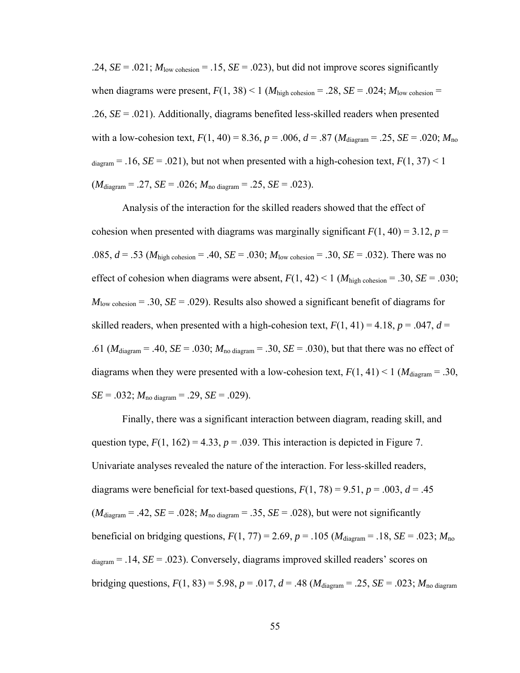.24,  $SE = .021$ ;  $M_{low\text{ cohesion}} = .15$ ,  $SE = .023$ ), but did not improve scores significantly when diagrams were present,  $F(1, 38) \le 1$  ( $M_{\text{high cohesion}} = .28$ ,  $SE = .024$ ;  $M_{\text{low cohesion}} =$  $.26, SE = .021$ ). Additionally, diagrams benefited less-skilled readers when presented with a low-cohesion text,  $F(1, 40) = 8.36$ ,  $p = .006$ ,  $d = .87$  ( $M_{\text{diagram}} = .25$ ,  $SE = .020$ ;  $M_{\text{no}}$  $diam = .16$ , *SE* = .021), but not when presented with a high-cohesion text,  $F(1, 37)$  < 1  $(M_{\text{diagram}} = .27, SE = .026; M_{\text{no diagram}} = .25, SE = .023).$ 

Analysis of the interaction for the skilled readers showed that the effect of cohesion when presented with diagrams was marginally significant  $F(1, 40) = 3.12$ ,  $p =$ .085,  $d = .53$  ( $M_{\text{high cohesion}} = .40$ ,  $SE = .030$ ;  $M_{\text{low cohesion}} = .30$ ,  $SE = .032$ ). There was no effect of cohesion when diagrams were absent,  $F(1, 42) < 1$  ( $M_{\text{high cohesion}} = .30$ ,  $SE = .030$ ;  $M_{\text{low cohesion}} = .30$ , *SE* = .029). Results also showed a significant benefit of diagrams for skilled readers, when presented with a high-cohesion text,  $F(1, 41) = 4.18$ ,  $p = .047$ ,  $d =$ .61 ( $M_{\text{diagram}}$  = .40, *SE* = .030;  $M_{\text{no diagram}}$  = .30, *SE* = .030), but that there was no effect of diagrams when they were presented with a low-cohesion text,  $F(1, 41) < 1$  ( $M_{\text{diagram}} = .30$ ,  $SE = .032$ ;  $M_{\text{no diagram}} = .29$ ,  $SE = .029$ ).

Finally, there was a significant interaction between diagram, reading skill, and question type,  $F(1, 162) = 4.33$ ,  $p = .039$ . This interaction is depicted in Figure 7. Univariate analyses revealed the nature of the interaction. For less-skilled readers, diagrams were beneficial for text-based questions,  $F(1, 78) = 9.51$ ,  $p = .003$ ,  $d = .45$  $(M_{\text{diagram}} = .42, SE = .028; M_{\text{no diagram}} = .35, SE = .028)$ , but were not significantly beneficial on bridging questions,  $F(1, 77) = 2.69$ ,  $p = .105$  ( $M_{\text{diagram}} = .18$ ,  $SE = .023$ ;  $M_{\text{no}}$  $_{diagram} = .14$ ,  $SE = .023$ ). Conversely, diagrams improved skilled readers' scores on bridging questions,  $F(1, 83) = 5.98$ ,  $p = .017$ ,  $d = .48$  ( $M_{\text{diagram}} = .25$ ,  $SE = .023$ ;  $M_{\text{no diagram}}$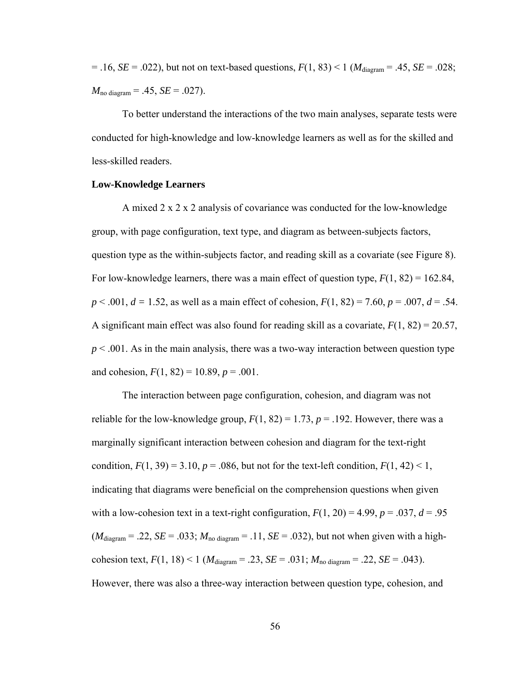$= .16$ , *SE* = .022), but not on text-based questions,  $F(1, 83) < 1$  ( $M_{\text{diagram}} = .45$ , *SE* = .028;  $M_{\text{no diagram}} = .45, SE = .027$ .

To better understand the interactions of the two main analyses, separate tests were conducted for high-knowledge and low-knowledge learners as well as for the skilled and less-skilled readers.

# **Low-Knowledge Learners**

A mixed 2 x 2 x 2 analysis of covariance was conducted for the low-knowledge group, with page configuration, text type, and diagram as between-subjects factors, question type as the within-subjects factor, and reading skill as a covariate (see Figure 8). For low-knowledge learners, there was a main effect of question type,  $F(1, 82) = 162.84$ , *p* < .001, *d =* 1.52, as well as a main effect of cohesion, *F*(1, 82) = 7.60, *p* = .007, *d* = .54. A significant main effect was also found for reading skill as a covariate,  $F(1, 82) = 20.57$ ,  $p < .001$ . As in the main analysis, there was a two-way interaction between question type and cohesion,  $F(1, 82) = 10.89$ ,  $p = .001$ .

The interaction between page configuration, cohesion, and diagram was not reliable for the low-knowledge group,  $F(1, 82) = 1.73$ ,  $p = .192$ . However, there was a marginally significant interaction between cohesion and diagram for the text-right condition,  $F(1, 39) = 3.10$ ,  $p = .086$ , but not for the text-left condition,  $F(1, 42) < 1$ , indicating that diagrams were beneficial on the comprehension questions when given with a low-cohesion text in a text-right configuration,  $F(1, 20) = 4.99$ ,  $p = .037$ ,  $d = .95$  $(M_{\text{diagram}} = .22, SE = .033; M_{\text{no diagram}} = .11, SE = .032)$ , but not when given with a highcohesion text,  $F(1, 18) < 1$  ( $M_{\text{diagram}} = .23$ ,  $SE = .031$ ;  $M_{\text{no diagram}} = .22$ ,  $SE = .043$ ). However, there was also a three-way interaction between question type, cohesion, and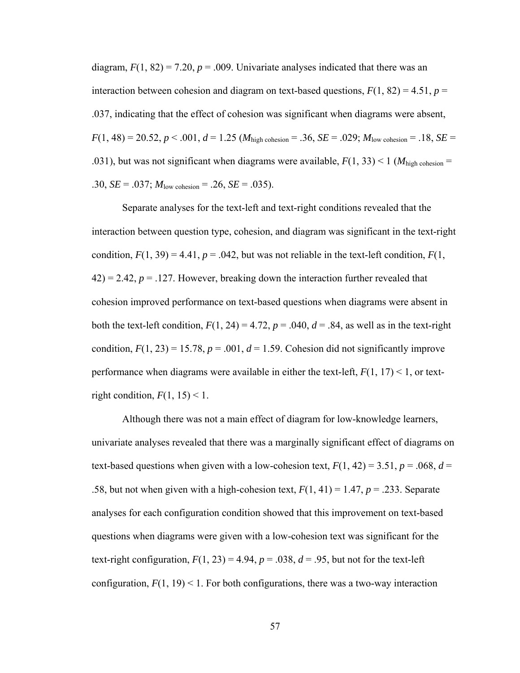diagram,  $F(1, 82) = 7.20$ ,  $p = .009$ . Univariate analyses indicated that there was an interaction between cohesion and diagram on text-based questions,  $F(1, 82) = 4.51$ ,  $p =$ .037, indicating that the effect of cohesion was significant when diagrams were absent,  $F(1, 48) = 20.52, p < .001, d = 1.25$  (*M*<sub>high cohesion</sub> = .36, *SE* = .029; *M*<sub>low cohesion</sub> = .18, *SE* = .031), but was not significant when diagrams were available,  $F(1, 33) < 1$  ( $M<sub>high cohesion</sub> =$ .30, *SE* = .037;  $M_{\text{low cohesion}}$  = .26, *SE* = .035).

Separate analyses for the text-left and text-right conditions revealed that the interaction between question type, cohesion, and diagram was significant in the text-right condition,  $F(1, 39) = 4.41$ ,  $p = .042$ , but was not reliable in the text-left condition,  $F(1, 16)$  $42$ ) = 2.42,  $p = 0.127$ . However, breaking down the interaction further revealed that cohesion improved performance on text-based questions when diagrams were absent in both the text-left condition,  $F(1, 24) = 4.72$ ,  $p = .040$ ,  $d = .84$ , as well as in the text-right condition,  $F(1, 23) = 15.78$ ,  $p = .001$ ,  $d = 1.59$ . Cohesion did not significantly improve performance when diagrams were available in either the text-left,  $F(1, 17) < 1$ , or textright condition,  $F(1, 15) < 1$ .

Although there was not a main effect of diagram for low-knowledge learners, univariate analyses revealed that there was a marginally significant effect of diagrams on text-based questions when given with a low-cohesion text,  $F(1, 42) = 3.51$ ,  $p = .068$ ,  $d =$ .58, but not when given with a high-cohesion text,  $F(1, 41) = 1.47$ ,  $p = .233$ . Separate analyses for each configuration condition showed that this improvement on text-based questions when diagrams were given with a low-cohesion text was significant for the text-right configuration,  $F(1, 23) = 4.94$ ,  $p = .038$ ,  $d = .95$ , but not for the text-left configuration,  $F(1, 19)$  < 1. For both configurations, there was a two-way interaction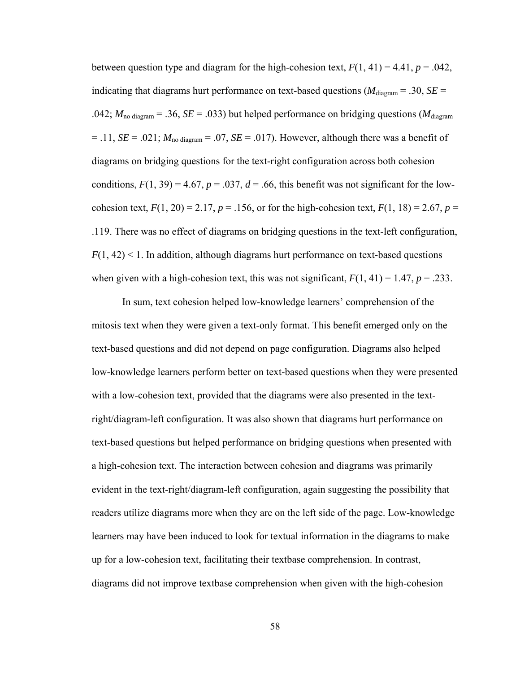between question type and diagram for the high-cohesion text,  $F(1, 41) = 4.41$ ,  $p = .042$ , indicating that diagrams hurt performance on text-based questions ( $M_{\text{diagram}} = .30$ , *SE* = .042;  $M_{\text{no diagram}} = .36$ ,  $SE = .033$ ) but helped performance on bridging questions ( $M_{\text{diagram}}$ )  $= .11, SE = .021; M_{\text{no diagram}} = .07, SE = .017)$ . However, although there was a benefit of diagrams on bridging questions for the text-right configuration across both cohesion conditions,  $F(1, 39) = 4.67$ ,  $p = .037$ ,  $d = .66$ , this benefit was not significant for the lowcohesion text,  $F(1, 20) = 2.17$ ,  $p = .156$ , or for the high-cohesion text,  $F(1, 18) = 2.67$ ,  $p =$ .119. There was no effect of diagrams on bridging questions in the text-left configuration,  $F(1, 42)$  < 1. In addition, although diagrams hurt performance on text-based questions when given with a high-cohesion text, this was not significant,  $F(1, 41) = 1.47$ ,  $p = .233$ .

In sum, text cohesion helped low-knowledge learners' comprehension of the mitosis text when they were given a text-only format. This benefit emerged only on the text-based questions and did not depend on page configuration. Diagrams also helped low-knowledge learners perform better on text-based questions when they were presented with a low-cohesion text, provided that the diagrams were also presented in the textright/diagram-left configuration. It was also shown that diagrams hurt performance on text-based questions but helped performance on bridging questions when presented with a high-cohesion text. The interaction between cohesion and diagrams was primarily evident in the text-right/diagram-left configuration, again suggesting the possibility that readers utilize diagrams more when they are on the left side of the page. Low-knowledge learners may have been induced to look for textual information in the diagrams to make up for a low-cohesion text, facilitating their textbase comprehension. In contrast, diagrams did not improve textbase comprehension when given with the high-cohesion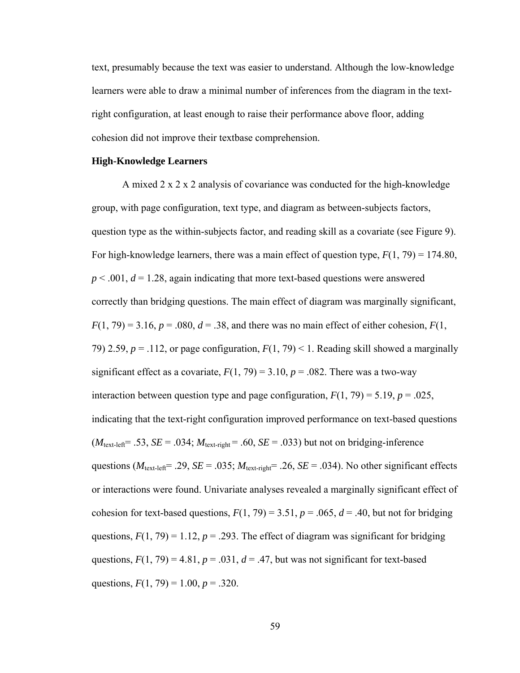text, presumably because the text was easier to understand. Although the low-knowledge learners were able to draw a minimal number of inferences from the diagram in the textright configuration, at least enough to raise their performance above floor, adding cohesion did not improve their textbase comprehension.

# **High-Knowledge Learners**

A mixed 2 x 2 x 2 analysis of covariance was conducted for the high-knowledge group, with page configuration, text type, and diagram as between-subjects factors, question type as the within-subjects factor, and reading skill as a covariate (see Figure 9). For high-knowledge learners, there was a main effect of question type,  $F(1, 79) = 174.80$ ,  $p < .001$ ,  $d = 1.28$ , again indicating that more text-based questions were answered correctly than bridging questions. The main effect of diagram was marginally significant,  $F(1, 79) = 3.16$ ,  $p = .080$ ,  $d = .38$ , and there was no main effect of either cohesion,  $F(1, 79)$ 79) 2.59,  $p = 0.112$ , or page configuration,  $F(1, 79) < 1$ . Reading skill showed a marginally significant effect as a covariate,  $F(1, 79) = 3.10$ ,  $p = .082$ . There was a two-way interaction between question type and page configuration,  $F(1, 79) = 5.19$ ,  $p = .025$ , indicating that the text-right configuration improved performance on text-based questions  $(M_{\text{text-left}}= .53, SE=.034; M_{\text{text-right}}=.60, SE=.033)$  but not on bridging-inference questions ( $M_{\text{text-left}} = .29$ ,  $SE = .035$ ;  $M_{\text{text-right}} = .26$ ,  $SE = .034$ ). No other significant effects or interactions were found. Univariate analyses revealed a marginally significant effect of cohesion for text-based questions,  $F(1, 79) = 3.51$ ,  $p = .065$ ,  $d = .40$ , but not for bridging questions,  $F(1, 79) = 1.12$ ,  $p = .293$ . The effect of diagram was significant for bridging questions,  $F(1, 79) = 4.81$ ,  $p = .031$ ,  $d = .47$ , but was not significant for text-based questions,  $F(1, 79) = 1.00$ ,  $p = .320$ .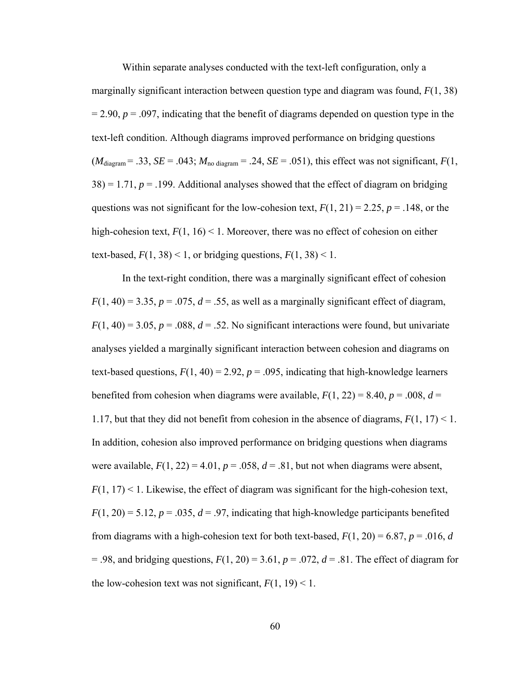Within separate analyses conducted with the text-left configuration, only a marginally significant interaction between question type and diagram was found, *F*(1, 38)  $= 2.90, p = .097$ , indicating that the benefit of diagrams depended on question type in the text-left condition. Although diagrams improved performance on bridging questions  $(M_{\text{diagram}} = .33, SE = .043; M_{\text{no diagram}} = .24, SE = .051)$ , this effect was not significant,  $F(1,$  $38$ ) = 1.71,  $p = 0.199$ . Additional analyses showed that the effect of diagram on bridging questions was not significant for the low-cohesion text,  $F(1, 21) = 2.25$ ,  $p = .148$ , or the high-cohesion text,  $F(1, 16) \le 1$ . Moreover, there was no effect of cohesion on either text-based,  $F(1, 38) < 1$ , or bridging questions,  $F(1, 38) < 1$ .

In the text-right condition, there was a marginally significant effect of cohesion  $F(1, 40) = 3.35$ ,  $p = .075$ ,  $d = .55$ , as well as a marginally significant effect of diagram,  $F(1, 40) = 3.05$ ,  $p = .088$ ,  $d = .52$ . No significant interactions were found, but univariate analyses yielded a marginally significant interaction between cohesion and diagrams on text-based questions,  $F(1, 40) = 2.92$ ,  $p = .095$ , indicating that high-knowledge learners benefited from cohesion when diagrams were available,  $F(1, 22) = 8.40$ ,  $p = .008$ ,  $d =$ 1.17, but that they did not benefit from cohesion in the absence of diagrams,  $F(1, 17) < 1$ . In addition, cohesion also improved performance on bridging questions when diagrams were available,  $F(1, 22) = 4.01$ ,  $p = .058$ ,  $d = .81$ , but not when diagrams were absent,  $F(1, 17)$  < 1. Likewise, the effect of diagram was significant for the high-cohesion text,  $F(1, 20) = 5.12$ ,  $p = .035$ ,  $d = .97$ , indicating that high-knowledge participants benefited from diagrams with a high-cohesion text for both text-based,  $F(1, 20) = 6.87$ ,  $p = .016$ , *d*  $= .98$ , and bridging questions,  $F(1, 20) = 3.61$ ,  $p = .072$ ,  $d = .81$ . The effect of diagram for the low-cohesion text was not significant,  $F(1, 19) < 1$ .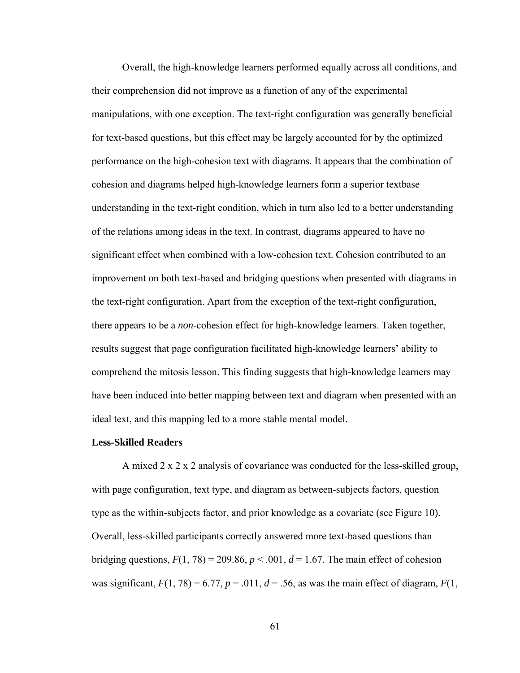Overall, the high-knowledge learners performed equally across all conditions, and their comprehension did not improve as a function of any of the experimental manipulations, with one exception. The text-right configuration was generally beneficial for text-based questions, but this effect may be largely accounted for by the optimized performance on the high-cohesion text with diagrams. It appears that the combination of cohesion and diagrams helped high-knowledge learners form a superior textbase understanding in the text-right condition, which in turn also led to a better understanding of the relations among ideas in the text. In contrast, diagrams appeared to have no significant effect when combined with a low-cohesion text. Cohesion contributed to an improvement on both text-based and bridging questions when presented with diagrams in the text-right configuration. Apart from the exception of the text-right configuration, there appears to be a *non*-cohesion effect for high-knowledge learners. Taken together, results suggest that page configuration facilitated high-knowledge learners' ability to comprehend the mitosis lesson. This finding suggests that high-knowledge learners may have been induced into better mapping between text and diagram when presented with an ideal text, and this mapping led to a more stable mental model.

#### **Less-Skilled Readers**

A mixed 2 x 2 x 2 analysis of covariance was conducted for the less-skilled group, with page configuration, text type, and diagram as between-subjects factors, question type as the within-subjects factor, and prior knowledge as a covariate (see Figure 10). Overall, less-skilled participants correctly answered more text-based questions than bridging questions,  $F(1, 78) = 209.86$ ,  $p < .001$ ,  $d = 1.67$ . The main effect of cohesion was significant,  $F(1, 78) = 6.77$ ,  $p = .011$ ,  $d = .56$ , as was the main effect of diagram,  $F(1, 78)$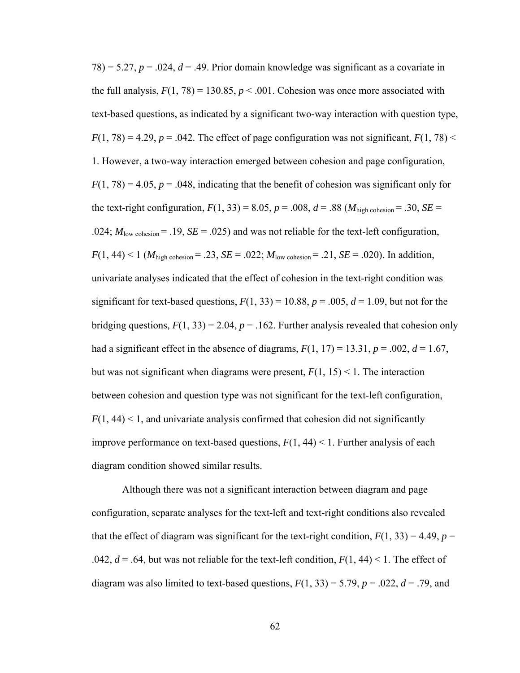$78$ ) = 5.27,  $p = 0.024$ ,  $d = 0.49$ . Prior domain knowledge was significant as a covariate in the full analysis,  $F(1, 78) = 130.85$ ,  $p < .001$ . Cohesion was once more associated with text-based questions, as indicated by a significant two-way interaction with question type,  $F(1, 78) = 4.29$ ,  $p = .042$ . The effect of page configuration was not significant,  $F(1, 78)$  < 1. However, a two-way interaction emerged between cohesion and page configuration,  $F(1, 78) = 4.05$ ,  $p = .048$ , indicating that the benefit of cohesion was significant only for the text-right configuration,  $F(1, 33) = 8.05$ ,  $p = .008$ ,  $d = .88$  ( $M_{\text{high cohesion}} = .30$ ,  $SE =$ .024;  $M_{\text{low cohesion}} = .19$ ,  $SE = .025$ ) and was not reliable for the text-left configuration,  $F(1, 44)$  < 1 ( $M_{\text{high cohesion}}$  = .23, *SE* = .022;  $M_{\text{low cohesion}}$  = .21, *SE* = .020). In addition, univariate analyses indicated that the effect of cohesion in the text-right condition was significant for text-based questions,  $F(1, 33) = 10.88$ ,  $p = .005$ ,  $d = 1.09$ , but not for the bridging questions,  $F(1, 33) = 2.04$ ,  $p = .162$ . Further analysis revealed that cohesion only had a significant effect in the absence of diagrams,  $F(1, 17) = 13.31$ ,  $p = .002$ ,  $d = 1.67$ , but was not significant when diagrams were present,  $F(1, 15) < 1$ . The interaction between cohesion and question type was not significant for the text-left configuration,  $F(1, 44)$  < 1, and univariate analysis confirmed that cohesion did not significantly improve performance on text-based questions,  $F(1, 44) < 1$ . Further analysis of each diagram condition showed similar results.

Although there was not a significant interaction between diagram and page configuration, separate analyses for the text-left and text-right conditions also revealed that the effect of diagram was significant for the text-right condition,  $F(1, 33) = 4.49$ ,  $p =$ .042,  $d = .64$ , but was not reliable for the text-left condition,  $F(1, 44) < 1$ . The effect of diagram was also limited to text-based questions,  $F(1, 33) = 5.79$ ,  $p = .022$ ,  $d = .79$ , and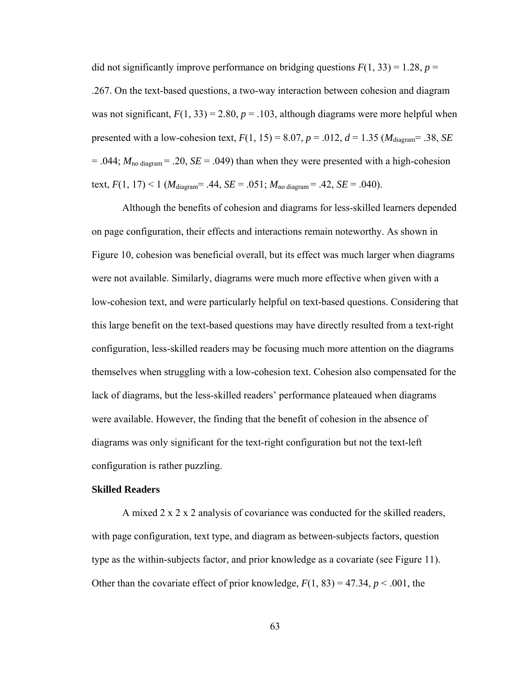did not significantly improve performance on bridging questions  $F(1, 33) = 1.28$ ,  $p =$ .267. On the text-based questions, a two-way interaction between cohesion and diagram was not significant,  $F(1, 33) = 2.80$ ,  $p = .103$ , although diagrams were more helpful when presented with a low-cohesion text,  $F(1, 15) = 8.07$ ,  $p = .012$ ,  $d = 1.35$  ( $M_{\text{diagram}} = .38$ , *SE*  $= .044$ ;  $M_{\text{no diagram}} = .20$ ,  $SE = .049$ ) than when they were presented with a high-cohesion text,  $F(1, 17) < 1$  ( $M_{\text{diagram}} = .44$ ,  $SE = .051$ ;  $M_{\text{no diagram}} = .42$ ,  $SE = .040$ ).

Although the benefits of cohesion and diagrams for less-skilled learners depended on page configuration, their effects and interactions remain noteworthy. As shown in Figure 10, cohesion was beneficial overall, but its effect was much larger when diagrams were not available. Similarly, diagrams were much more effective when given with a low-cohesion text, and were particularly helpful on text-based questions. Considering that this large benefit on the text-based questions may have directly resulted from a text-right configuration, less-skilled readers may be focusing much more attention on the diagrams themselves when struggling with a low-cohesion text. Cohesion also compensated for the lack of diagrams, but the less-skilled readers' performance plateaued when diagrams were available. However, the finding that the benefit of cohesion in the absence of diagrams was only significant for the text-right configuration but not the text-left configuration is rather puzzling.

### **Skilled Readers**

 A mixed 2 x 2 x 2 analysis of covariance was conducted for the skilled readers, with page configuration, text type, and diagram as between-subjects factors, question type as the within-subjects factor, and prior knowledge as a covariate (see Figure 11). Other than the covariate effect of prior knowledge,  $F(1, 83) = 47.34$ ,  $p < .001$ , the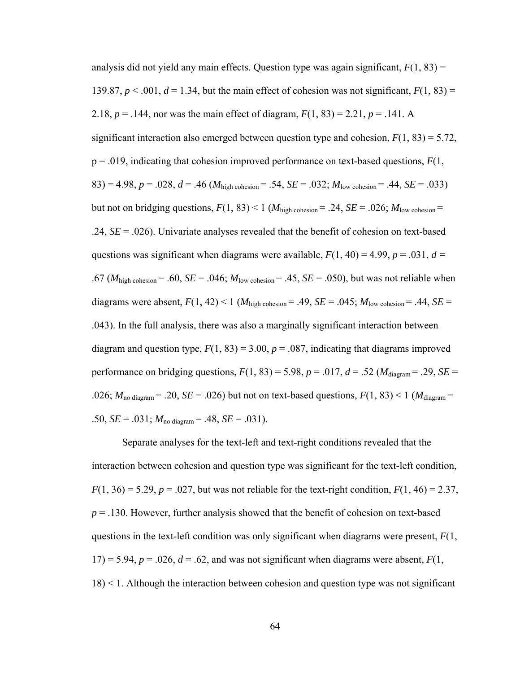analysis did not yield any main effects. Question type was again significant,  $F(1, 83) =$ 139.87,  $p < .001$ ,  $d = 1.34$ , but the main effect of cohesion was not significant,  $F(1, 83) =$ 2.18,  $p = 0.144$ , nor was the main effect of diagram,  $F(1, 83) = 2.21$ ,  $p = 0.141$ . A significant interaction also emerged between question type and cohesion,  $F(1, 83) = 5.72$ , p = .019, indicating that cohesion improved performance on text-based questions, *F*(1, 83) = 4.98,  $p = .028$ ,  $d = .46$  ( $M_{\text{high cohesion}} = .54$ ,  $SE = .032$ ;  $M_{\text{low cohesion}} = .44$ ,  $SE = .033$ ) but not on bridging questions,  $F(1, 83) < 1$  ( $M_{\text{high cohesion}} = .24$ ,  $SE = .026$ ;  $M_{\text{low cohesion}} =$ .24, *SE* = .026). Univariate analyses revealed that the benefit of cohesion on text-based questions was significant when diagrams were available,  $F(1, 40) = 4.99$ ,  $p = .031$ ,  $d =$ .67 ( $M_{\text{high cohesion}}$  = .60, *SE* = .046;  $M_{\text{low cohesion}}$  = .45, *SE* = .050), but was not reliable when diagrams were absent,  $F(1, 42) < 1$  ( $M_{\text{high cohesion}} = .49$ ,  $SE = .045$ ;  $M_{\text{low cohesion}} = .44$ ,  $SE =$ .043). In the full analysis, there was also a marginally significant interaction between diagram and question type,  $F(1, 83) = 3.00$ ,  $p = .087$ , indicating that diagrams improved performance on bridging questions,  $F(1, 83) = 5.98$ ,  $p = .017$ ,  $d = .52$  ( $M_{\text{diagram}} = .29$ ,  $SE =$ .026;  $M_{\text{no diagram}} = .20$ ,  $SE = .026$ ) but not on text-based questions,  $F(1, 83) < 1$  ( $M_{\text{diagram}} =$  $.50, SE = .031; M_{no\ diagram} = .48, SE = .031$ .

Separate analyses for the text-left and text-right conditions revealed that the interaction between cohesion and question type was significant for the text-left condition,  $F(1, 36) = 5.29$ ,  $p = .027$ , but was not reliable for the text-right condition,  $F(1, 46) = 2.37$ ,  $p = 0.130$ . However, further analysis showed that the benefit of cohesion on text-based questions in the text-left condition was only significant when diagrams were present,  $F(1)$ ,  $17$ ) = 5.94,  $p = 0.026$ ,  $d = 0.62$ , and was not significant when diagrams were absent,  $F(1)$ , 18) < 1. Although the interaction between cohesion and question type was not significant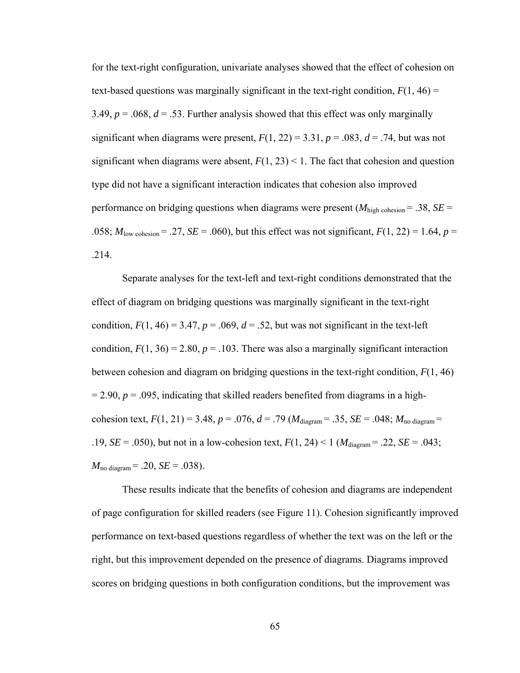for the text-right configuration, univariate analyses showed that the effect of cohesion on text-based questions was marginally significant in the text-right condition,  $F(1, 46)$  = 3.49,  $p = 0.068$ ,  $d = 0.53$ . Further analysis showed that this effect was only marginally significant when diagrams were present,  $F(1, 22) = 3.31$ ,  $p = .083$ ,  $d = .74$ , but was not significant when diagrams were absent,  $F(1, 23) < 1$ . The fact that cohesion and question type did not have a significant interaction indicates that cohesion also improved performance on bridging questions when diagrams were present  $(M_{\text{high cohesion}} = .38, SE =$ .058;  $M_{\text{low cohesion}} = .27$ ,  $SE = .060$ , but this effect was not significant,  $F(1, 22) = 1.64$ ,  $p =$ .214.

Separate analyses for the text-left and text-right conditions demonstrated that the effect of diagram on bridging questions was marginally significant in the text-right condition,  $F(1, 46) = 3.47$ ,  $p = .069$ ,  $d = .52$ , but was not significant in the text-left condition,  $F(1, 36) = 2.80$ ,  $p = .103$ . There was also a marginally significant interaction between cohesion and diagram on bridging questions in the text-right condition, *F*(1, 46)  $= 2.90, p = .095$ , indicating that skilled readers benefited from diagrams in a highcohesion text,  $F(1, 21) = 3.48$ ,  $p = .076$ ,  $d = .79$  ( $M_{\text{diagram}} = .35$ ,  $SE = .048$ ;  $M_{\text{no diagram}} =$ .19, *SE* = .050), but not in a low-cohesion text,  $F(1, 24)$  < 1 ( $M_{\text{diagram}}$  = .22, *SE* = .043;  $M_{\text{no diagram}} = .20, SE = .038$ .

These results indicate that the benefits of cohesion and diagrams are independent of page configuration for skilled readers (see Figure 11). Cohesion significantly improved performance on text-based questions regardless of whether the text was on the left or the right, but this improvement depended on the presence of diagrams. Diagrams improved scores on bridging questions in both configuration conditions, but the improvement was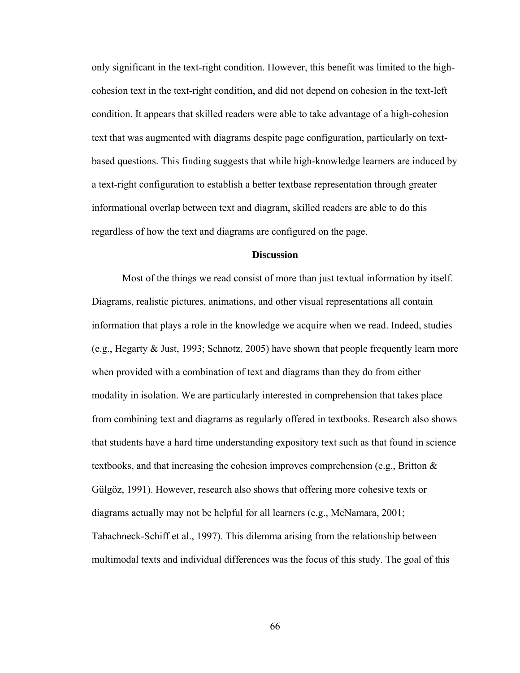only significant in the text-right condition. However, this benefit was limited to the highcohesion text in the text-right condition, and did not depend on cohesion in the text-left condition. It appears that skilled readers were able to take advantage of a high-cohesion text that was augmented with diagrams despite page configuration, particularly on textbased questions. This finding suggests that while high-knowledge learners are induced by a text-right configuration to establish a better textbase representation through greater informational overlap between text and diagram, skilled readers are able to do this regardless of how the text and diagrams are configured on the page.

### **Discussion**

Most of the things we read consist of more than just textual information by itself. Diagrams, realistic pictures, animations, and other visual representations all contain information that plays a role in the knowledge we acquire when we read. Indeed, studies (e.g., Hegarty & Just, 1993; Schnotz, 2005) have shown that people frequently learn more when provided with a combination of text and diagrams than they do from either modality in isolation. We are particularly interested in comprehension that takes place from combining text and diagrams as regularly offered in textbooks. Research also shows that students have a hard time understanding expository text such as that found in science textbooks, and that increasing the cohesion improves comprehension (e.g., Britton  $\&$ Gülgöz, 1991). However, research also shows that offering more cohesive texts or diagrams actually may not be helpful for all learners (e.g., McNamara, 2001; Tabachneck-Schiff et al., 1997). This dilemma arising from the relationship between multimodal texts and individual differences was the focus of this study. The goal of this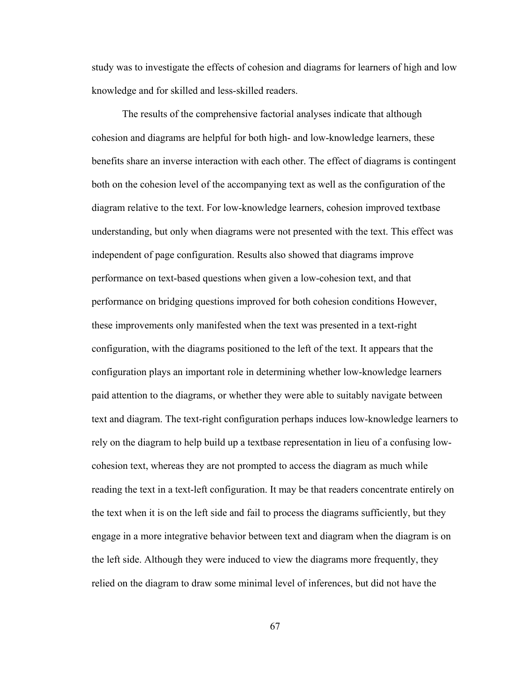study was to investigate the effects of cohesion and diagrams for learners of high and low knowledge and for skilled and less-skilled readers.

 The results of the comprehensive factorial analyses indicate that although cohesion and diagrams are helpful for both high- and low-knowledge learners, these benefits share an inverse interaction with each other. The effect of diagrams is contingent both on the cohesion level of the accompanying text as well as the configuration of the diagram relative to the text. For low-knowledge learners, cohesion improved textbase understanding, but only when diagrams were not presented with the text. This effect was independent of page configuration. Results also showed that diagrams improve performance on text-based questions when given a low-cohesion text, and that performance on bridging questions improved for both cohesion conditions However, these improvements only manifested when the text was presented in a text-right configuration, with the diagrams positioned to the left of the text. It appears that the configuration plays an important role in determining whether low-knowledge learners paid attention to the diagrams, or whether they were able to suitably navigate between text and diagram. The text-right configuration perhaps induces low-knowledge learners to rely on the diagram to help build up a textbase representation in lieu of a confusing lowcohesion text, whereas they are not prompted to access the diagram as much while reading the text in a text-left configuration. It may be that readers concentrate entirely on the text when it is on the left side and fail to process the diagrams sufficiently, but they engage in a more integrative behavior between text and diagram when the diagram is on the left side. Although they were induced to view the diagrams more frequently, they relied on the diagram to draw some minimal level of inferences, but did not have the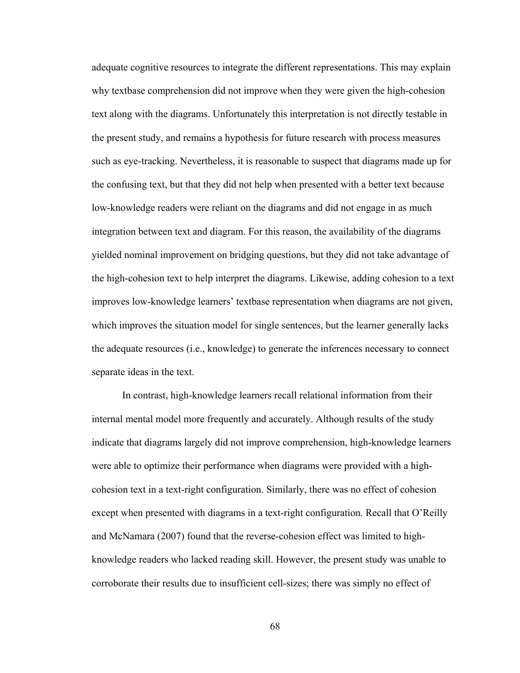adequate cognitive resources to integrate the different representations. This may explain why textbase comprehension did not improve when they were given the high-cohesion text along with the diagrams. Unfortunately this interpretation is not directly testable in the present study, and remains a hypothesis for future research with process measures such as eye-tracking. Nevertheless, it is reasonable to suspect that diagrams made up for the confusing text, but that they did not help when presented with a better text because low-knowledge readers were reliant on the diagrams and did not engage in as much integration between text and diagram. For this reason, the availability of the diagrams yielded nominal improvement on bridging questions, but they did not take advantage of the high-cohesion text to help interpret the diagrams. Likewise, adding cohesion to a text improves low-knowledge learners' textbase representation when diagrams are not given, which improves the situation model for single sentences, but the learner generally lacks the adequate resources (i.e., knowledge) to generate the inferences necessary to connect separate ideas in the text.

 In contrast, high-knowledge learners recall relational information from their internal mental model more frequently and accurately. Although results of the study indicate that diagrams largely did not improve comprehension, high-knowledge learners were able to optimize their performance when diagrams were provided with a highcohesion text in a text-right configuration. Similarly, there was no effect of cohesion except when presented with diagrams in a text-right configuration. Recall that O'Reilly and McNamara (2007) found that the reverse-cohesion effect was limited to highknowledge readers who lacked reading skill. However, the present study was unable to corroborate their results due to insufficient cell-sizes; there was simply no effect of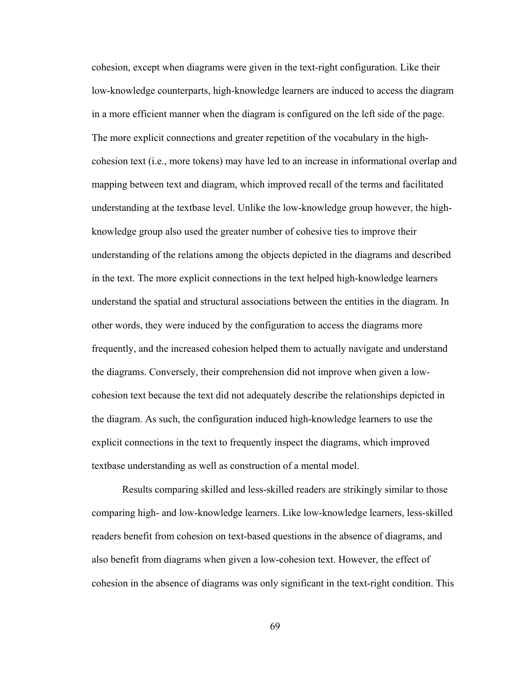cohesion, except when diagrams were given in the text-right configuration. Like their low-knowledge counterparts, high-knowledge learners are induced to access the diagram in a more efficient manner when the diagram is configured on the left side of the page. The more explicit connections and greater repetition of the vocabulary in the highcohesion text (i.e., more tokens) may have led to an increase in informational overlap and mapping between text and diagram, which improved recall of the terms and facilitated understanding at the textbase level. Unlike the low-knowledge group however, the highknowledge group also used the greater number of cohesive ties to improve their understanding of the relations among the objects depicted in the diagrams and described in the text. The more explicit connections in the text helped high-knowledge learners understand the spatial and structural associations between the entities in the diagram. In other words, they were induced by the configuration to access the diagrams more frequently, and the increased cohesion helped them to actually navigate and understand the diagrams. Conversely, their comprehension did not improve when given a lowcohesion text because the text did not adequately describe the relationships depicted in the diagram. As such, the configuration induced high-knowledge learners to use the explicit connections in the text to frequently inspect the diagrams, which improved textbase understanding as well as construction of a mental model.

 Results comparing skilled and less-skilled readers are strikingly similar to those comparing high- and low-knowledge learners. Like low-knowledge learners, less-skilled readers benefit from cohesion on text-based questions in the absence of diagrams, and also benefit from diagrams when given a low-cohesion text. However, the effect of cohesion in the absence of diagrams was only significant in the text-right condition. This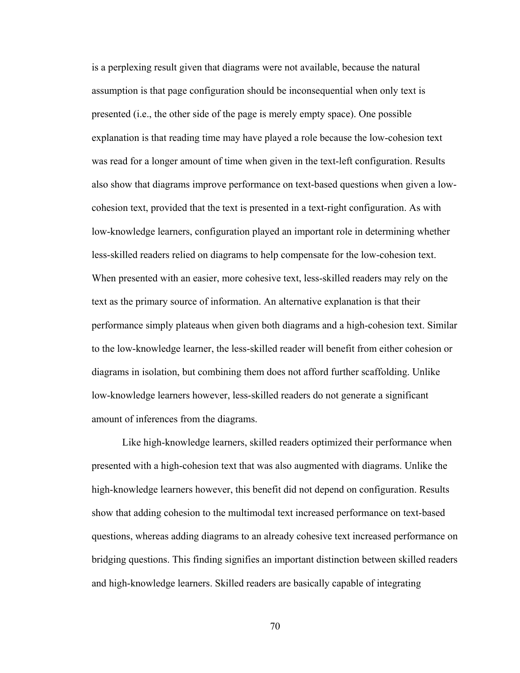is a perplexing result given that diagrams were not available, because the natural assumption is that page configuration should be inconsequential when only text is presented (i.e., the other side of the page is merely empty space). One possible explanation is that reading time may have played a role because the low-cohesion text was read for a longer amount of time when given in the text-left configuration. Results also show that diagrams improve performance on text-based questions when given a lowcohesion text, provided that the text is presented in a text-right configuration. As with low-knowledge learners, configuration played an important role in determining whether less-skilled readers relied on diagrams to help compensate for the low-cohesion text. When presented with an easier, more cohesive text, less-skilled readers may rely on the text as the primary source of information. An alternative explanation is that their performance simply plateaus when given both diagrams and a high-cohesion text. Similar to the low-knowledge learner, the less-skilled reader will benefit from either cohesion or diagrams in isolation, but combining them does not afford further scaffolding. Unlike low-knowledge learners however, less-skilled readers do not generate a significant amount of inferences from the diagrams.

 Like high-knowledge learners, skilled readers optimized their performance when presented with a high-cohesion text that was also augmented with diagrams. Unlike the high-knowledge learners however, this benefit did not depend on configuration. Results show that adding cohesion to the multimodal text increased performance on text-based questions, whereas adding diagrams to an already cohesive text increased performance on bridging questions. This finding signifies an important distinction between skilled readers and high-knowledge learners. Skilled readers are basically capable of integrating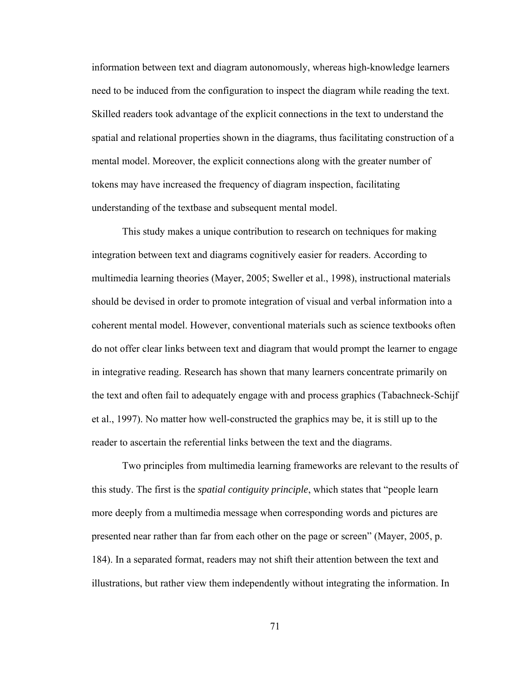information between text and diagram autonomously, whereas high-knowledge learners need to be induced from the configuration to inspect the diagram while reading the text. Skilled readers took advantage of the explicit connections in the text to understand the spatial and relational properties shown in the diagrams, thus facilitating construction of a mental model. Moreover, the explicit connections along with the greater number of tokens may have increased the frequency of diagram inspection, facilitating understanding of the textbase and subsequent mental model.

 This study makes a unique contribution to research on techniques for making integration between text and diagrams cognitively easier for readers. According to multimedia learning theories (Mayer, 2005; Sweller et al., 1998), instructional materials should be devised in order to promote integration of visual and verbal information into a coherent mental model. However, conventional materials such as science textbooks often do not offer clear links between text and diagram that would prompt the learner to engage in integrative reading. Research has shown that many learners concentrate primarily on the text and often fail to adequately engage with and process graphics (Tabachneck-Schijf et al., 1997). No matter how well-constructed the graphics may be, it is still up to the reader to ascertain the referential links between the text and the diagrams.

Two principles from multimedia learning frameworks are relevant to the results of this study. The first is the *spatial contiguity principle*, which states that "people learn more deeply from a multimedia message when corresponding words and pictures are presented near rather than far from each other on the page or screen" (Mayer, 2005, p. 184). In a separated format, readers may not shift their attention between the text and illustrations, but rather view them independently without integrating the information. In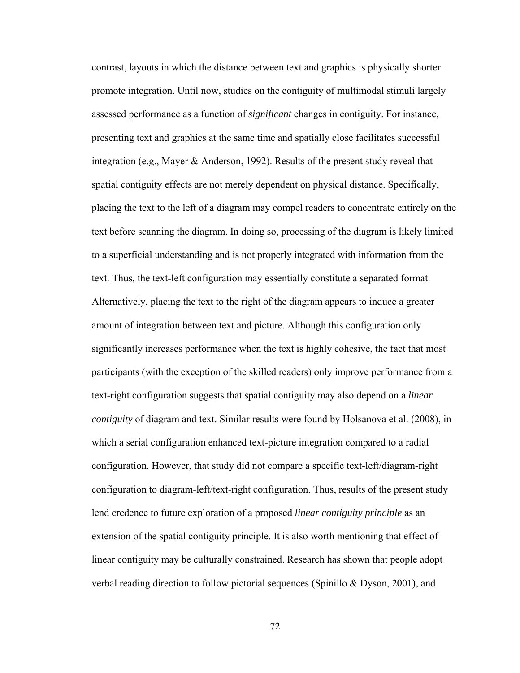contrast, layouts in which the distance between text and graphics is physically shorter promote integration. Until now, studies on the contiguity of multimodal stimuli largely assessed performance as a function of *significant* changes in contiguity. For instance, presenting text and graphics at the same time and spatially close facilitates successful integration (e.g., Mayer & Anderson, 1992). Results of the present study reveal that spatial contiguity effects are not merely dependent on physical distance. Specifically, placing the text to the left of a diagram may compel readers to concentrate entirely on the text before scanning the diagram. In doing so, processing of the diagram is likely limited to a superficial understanding and is not properly integrated with information from the text. Thus, the text-left configuration may essentially constitute a separated format. Alternatively, placing the text to the right of the diagram appears to induce a greater amount of integration between text and picture. Although this configuration only significantly increases performance when the text is highly cohesive, the fact that most participants (with the exception of the skilled readers) only improve performance from a text-right configuration suggests that spatial contiguity may also depend on a *linear contiguity* of diagram and text. Similar results were found by Holsanova et al. (2008), in which a serial configuration enhanced text-picture integration compared to a radial configuration. However, that study did not compare a specific text-left/diagram-right configuration to diagram-left/text-right configuration. Thus, results of the present study lend credence to future exploration of a proposed *linear contiguity principle* as an extension of the spatial contiguity principle. It is also worth mentioning that effect of linear contiguity may be culturally constrained. Research has shown that people adopt verbal reading direction to follow pictorial sequences (Spinillo & Dyson, 2001), and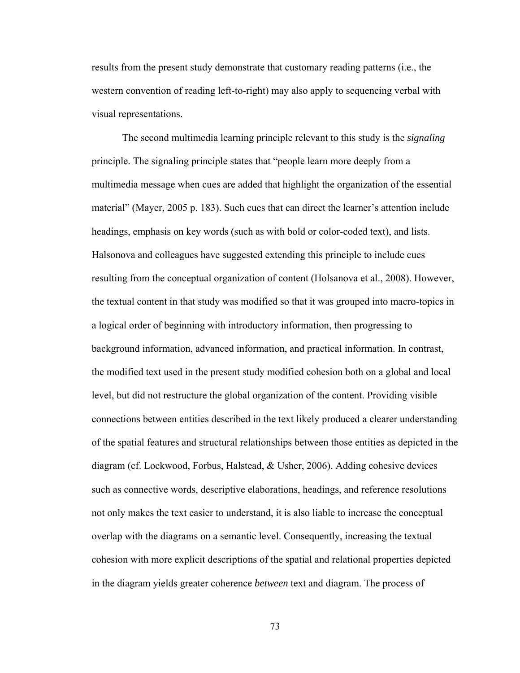results from the present study demonstrate that customary reading patterns (i.e., the western convention of reading left-to-right) may also apply to sequencing verbal with visual representations.

 The second multimedia learning principle relevant to this study is the *signaling* principle. The signaling principle states that "people learn more deeply from a multimedia message when cues are added that highlight the organization of the essential material" (Mayer, 2005 p. 183). Such cues that can direct the learner's attention include headings, emphasis on key words (such as with bold or color-coded text), and lists. Halsonova and colleagues have suggested extending this principle to include cues resulting from the conceptual organization of content (Holsanova et al., 2008). However, the textual content in that study was modified so that it was grouped into macro-topics in a logical order of beginning with introductory information, then progressing to background information, advanced information, and practical information. In contrast, the modified text used in the present study modified cohesion both on a global and local level, but did not restructure the global organization of the content. Providing visible connections between entities described in the text likely produced a clearer understanding of the spatial features and structural relationships between those entities as depicted in the diagram (cf. Lockwood, Forbus, Halstead, & Usher, 2006). Adding cohesive devices such as connective words, descriptive elaborations, headings, and reference resolutions not only makes the text easier to understand, it is also liable to increase the conceptual overlap with the diagrams on a semantic level. Consequently, increasing the textual cohesion with more explicit descriptions of the spatial and relational properties depicted in the diagram yields greater coherence *between* text and diagram. The process of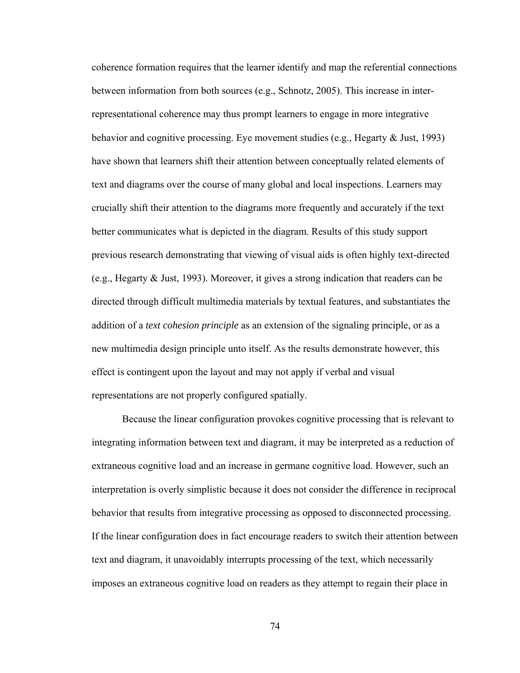coherence formation requires that the learner identify and map the referential connections between information from both sources (e.g., Schnotz, 2005). This increase in interrepresentational coherence may thus prompt learners to engage in more integrative behavior and cognitive processing. Eye movement studies (e.g., Hegarty & Just, 1993) have shown that learners shift their attention between conceptually related elements of text and diagrams over the course of many global and local inspections. Learners may crucially shift their attention to the diagrams more frequently and accurately if the text better communicates what is depicted in the diagram. Results of this study support previous research demonstrating that viewing of visual aids is often highly text-directed (e.g., Hegarty & Just, 1993). Moreover, it gives a strong indication that readers can be directed through difficult multimedia materials by textual features, and substantiates the addition of a *text cohesion principle* as an extension of the signaling principle, or as a new multimedia design principle unto itself. As the results demonstrate however, this effect is contingent upon the layout and may not apply if verbal and visual representations are not properly configured spatially.

Because the linear configuration provokes cognitive processing that is relevant to integrating information between text and diagram, it may be interpreted as a reduction of extraneous cognitive load and an increase in germane cognitive load. However, such an interpretation is overly simplistic because it does not consider the difference in reciprocal behavior that results from integrative processing as opposed to disconnected processing. If the linear configuration does in fact encourage readers to switch their attention between text and diagram, it unavoidably interrupts processing of the text, which necessarily imposes an extraneous cognitive load on readers as they attempt to regain their place in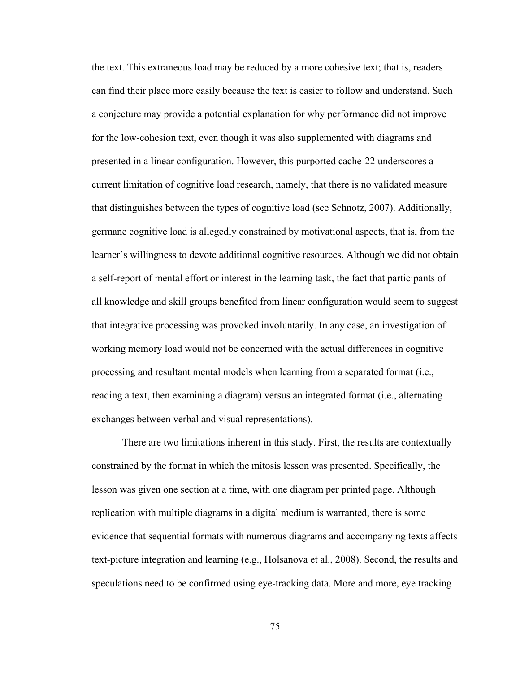the text. This extraneous load may be reduced by a more cohesive text; that is, readers can find their place more easily because the text is easier to follow and understand. Such a conjecture may provide a potential explanation for why performance did not improve for the low-cohesion text, even though it was also supplemented with diagrams and presented in a linear configuration. However, this purported cache-22 underscores a current limitation of cognitive load research, namely, that there is no validated measure that distinguishes between the types of cognitive load (see Schnotz, 2007). Additionally, germane cognitive load is allegedly constrained by motivational aspects, that is, from the learner's willingness to devote additional cognitive resources. Although we did not obtain a self-report of mental effort or interest in the learning task, the fact that participants of all knowledge and skill groups benefited from linear configuration would seem to suggest that integrative processing was provoked involuntarily. In any case, an investigation of working memory load would not be concerned with the actual differences in cognitive processing and resultant mental models when learning from a separated format (i.e., reading a text, then examining a diagram) versus an integrated format (i.e., alternating exchanges between verbal and visual representations).

 There are two limitations inherent in this study. First, the results are contextually constrained by the format in which the mitosis lesson was presented. Specifically, the lesson was given one section at a time, with one diagram per printed page. Although replication with multiple diagrams in a digital medium is warranted, there is some evidence that sequential formats with numerous diagrams and accompanying texts affects text-picture integration and learning (e.g., Holsanova et al., 2008). Second, the results and speculations need to be confirmed using eye-tracking data. More and more, eye tracking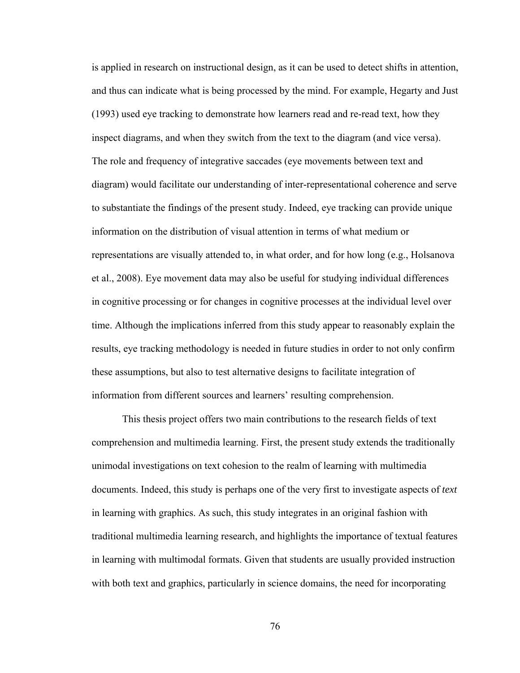is applied in research on instructional design, as it can be used to detect shifts in attention, and thus can indicate what is being processed by the mind. For example, Hegarty and Just (1993) used eye tracking to demonstrate how learners read and re-read text, how they inspect diagrams, and when they switch from the text to the diagram (and vice versa). The role and frequency of integrative saccades (eye movements between text and diagram) would facilitate our understanding of inter-representational coherence and serve to substantiate the findings of the present study. Indeed, eye tracking can provide unique information on the distribution of visual attention in terms of what medium or representations are visually attended to, in what order, and for how long (e.g., Holsanova et al., 2008). Eye movement data may also be useful for studying individual differences in cognitive processing or for changes in cognitive processes at the individual level over time. Although the implications inferred from this study appear to reasonably explain the results, eye tracking methodology is needed in future studies in order to not only confirm these assumptions, but also to test alternative designs to facilitate integration of information from different sources and learners' resulting comprehension.

This thesis project offers two main contributions to the research fields of text comprehension and multimedia learning. First, the present study extends the traditionally unimodal investigations on text cohesion to the realm of learning with multimedia documents. Indeed, this study is perhaps one of the very first to investigate aspects of *text* in learning with graphics. As such, this study integrates in an original fashion with traditional multimedia learning research, and highlights the importance of textual features in learning with multimodal formats. Given that students are usually provided instruction with both text and graphics, particularly in science domains, the need for incorporating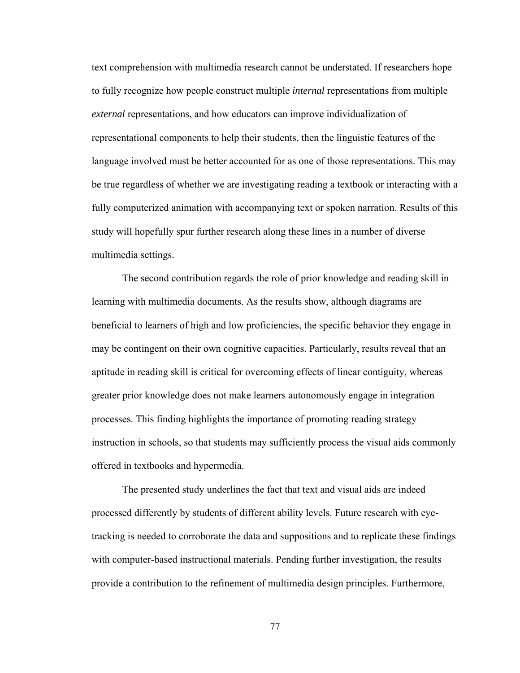text comprehension with multimedia research cannot be understated. If researchers hope to fully recognize how people construct multiple *internal* representations from multiple *external* representations, and how educators can improve individualization of representational components to help their students, then the linguistic features of the language involved must be better accounted for as one of those representations. This may be true regardless of whether we are investigating reading a textbook or interacting with a fully computerized animation with accompanying text or spoken narration. Results of this study will hopefully spur further research along these lines in a number of diverse multimedia settings.

The second contribution regards the role of prior knowledge and reading skill in learning with multimedia documents. As the results show, although diagrams are beneficial to learners of high and low proficiencies, the specific behavior they engage in may be contingent on their own cognitive capacities. Particularly, results reveal that an aptitude in reading skill is critical for overcoming effects of linear contiguity, whereas greater prior knowledge does not make learners autonomously engage in integration processes. This finding highlights the importance of promoting reading strategy instruction in schools, so that students may sufficiently process the visual aids commonly offered in textbooks and hypermedia.

The presented study underlines the fact that text and visual aids are indeed processed differently by students of different ability levels. Future research with eyetracking is needed to corroborate the data and suppositions and to replicate these findings with computer-based instructional materials. Pending further investigation, the results provide a contribution to the refinement of multimedia design principles. Furthermore,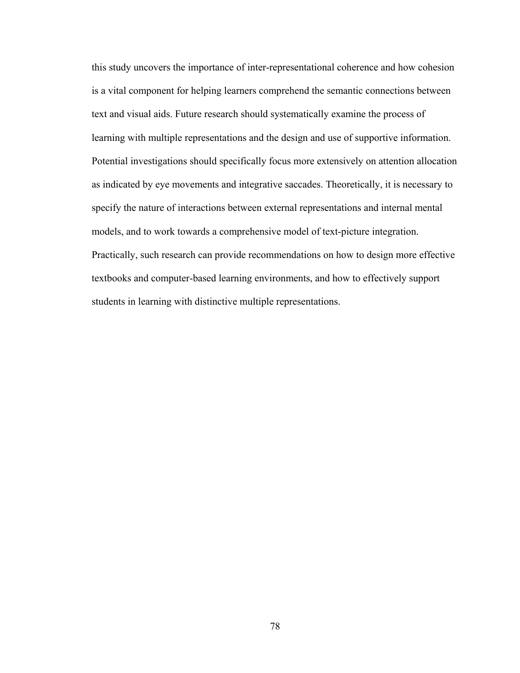this study uncovers the importance of inter-representational coherence and how cohesion is a vital component for helping learners comprehend the semantic connections between text and visual aids. Future research should systematically examine the process of learning with multiple representations and the design and use of supportive information. Potential investigations should specifically focus more extensively on attention allocation as indicated by eye movements and integrative saccades. Theoretically, it is necessary to specify the nature of interactions between external representations and internal mental models, and to work towards a comprehensive model of text-picture integration. Practically, such research can provide recommendations on how to design more effective textbooks and computer-based learning environments, and how to effectively support students in learning with distinctive multiple representations.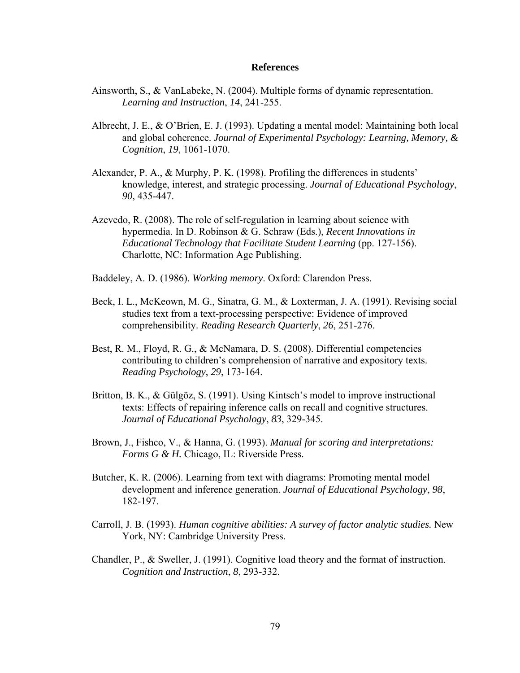### **References**

- Ainsworth, S., & VanLabeke, N. (2004). Multiple forms of dynamic representation. *Learning and Instruction*, *14*, 241-255.
- Albrecht, J. E., & O'Brien, E. J. (1993). Updating a mental model: Maintaining both local and global coherence. *Journal of Experimental Psychology: Learning, Memory, & Cognition*, *19*, 1061-1070.
- Alexander, P. A., & Murphy, P. K. (1998). Profiling the differences in students' knowledge, interest, and strategic processing. *Journal of Educational Psychology*, *90*, 435-447.
- Azevedo, R. (2008). The role of self-regulation in learning about science with hypermedia. In D. Robinson & G. Schraw (Eds.), *Recent Innovations in Educational Technology that Facilitate Student Learning* (pp. 127-156). Charlotte, NC: Information Age Publishing.
- Baddeley, A. D. (1986). *Working memory*. Oxford: Clarendon Press.
- Beck, I. L., McKeown, M. G., Sinatra, G. M., & Loxterman, J. A. (1991). Revising social studies text from a text-processing perspective: Evidence of improved comprehensibility. *Reading Research Quarterly*, *26*, 251-276.
- Best, R. M., Floyd, R. G., & McNamara, D. S. (2008). Differential competencies contributing to children's comprehension of narrative and expository texts. *Reading Psychology*, *29*, 173-164.
- Britton, B. K., & Gülgöz, S. (1991). Using Kintsch's model to improve instructional texts: Effects of repairing inference calls on recall and cognitive structures. *Journal of Educational Psychology*, *83*, 329-345.
- Brown, J., Fishco, V., & Hanna, G. (1993). *Manual for scoring and interpretations: Forms G & H.* Chicago, IL: Riverside Press.
- Butcher, K. R. (2006). Learning from text with diagrams: Promoting mental model development and inference generation. *Journal of Educational Psychology*, *98*, 182-197.
- Carroll, J. B. (1993). *Human cognitive abilities: A survey of factor analytic studies.* New York, NY: Cambridge University Press.
- Chandler, P., & Sweller, J. (1991). Cognitive load theory and the format of instruction. *Cognition and Instruction*, *8*, 293-332.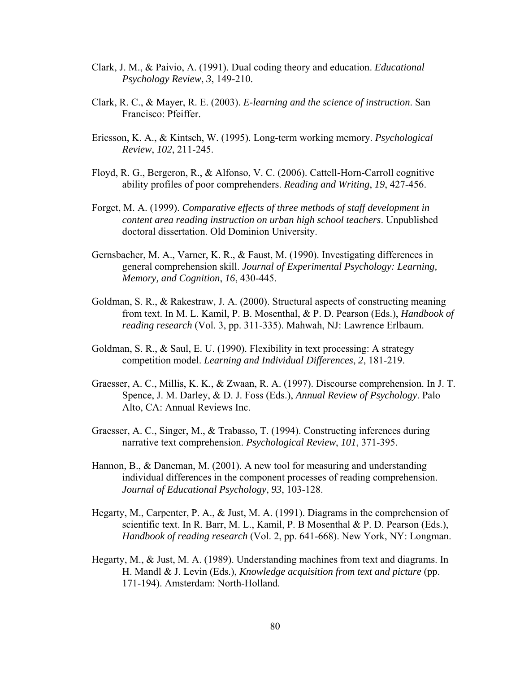- Clark, J. M., & Paivio, A. (1991). Dual coding theory and education. *Educational Psychology Review*, *3*, 149-210.
- Clark, R. C., & Mayer, R. E. (2003). *E-learning and the science of instruction*. San Francisco: Pfeiffer.
- Ericsson, K. A., & Kintsch, W. (1995). Long-term working memory. *Psychological Review*, *102*, 211-245.
- Floyd, R. G., Bergeron, R., & Alfonso, V. C. (2006). Cattell-Horn-Carroll cognitive ability profiles of poor comprehenders. *Reading and Writing*, *19*, 427-456.
- Forget, M. A. (1999). *Comparative effects of three methods of staff development in content area reading instruction on urban high school teachers*. Unpublished doctoral dissertation. Old Dominion University.
- Gernsbacher, M. A., Varner, K. R., & Faust, M. (1990). Investigating differences in general comprehension skill. *Journal of Experimental Psychology: Learning, Memory, and Cognition*, *16*, 430-445.
- Goldman, S. R., & Rakestraw, J. A. (2000). Structural aspects of constructing meaning from text. In M. L. Kamil, P. B. Mosenthal, & P. D. Pearson (Eds.), *Handbook of reading research* (Vol. 3, pp. 311-335). Mahwah, NJ: Lawrence Erlbaum.
- Goldman, S. R., & Saul, E. U. (1990). Flexibility in text processing: A strategy competition model. *Learning and Individual Differences*, *2*, 181-219.
- Graesser, A. C., Millis, K. K., & Zwaan, R. A. (1997). Discourse comprehension. In J. T. Spence, J. M. Darley, & D. J. Foss (Eds.), *Annual Review of Psychology*. Palo Alto, CA: Annual Reviews Inc.
- Graesser, A. C., Singer, M., & Trabasso, T. (1994). Constructing inferences during narrative text comprehension. *Psychological Review*, *101*, 371-395.
- Hannon, B., & Daneman, M. (2001). A new tool for measuring and understanding individual differences in the component processes of reading comprehension. *Journal of Educational Psychology*, *93*, 103-128.
- Hegarty, M., Carpenter, P. A., & Just, M. A. (1991). Diagrams in the comprehension of scientific text. In R. Barr, M. L., Kamil, P. B Mosenthal & P. D. Pearson (Eds.), *Handbook of reading research* (Vol. 2, pp. 641-668). New York, NY: Longman.
- Hegarty, M., & Just, M. A. (1989). Understanding machines from text and diagrams. In H. Mandl & J. Levin (Eds.), *Knowledge acquisition from text and picture* (pp. 171-194). Amsterdam: North-Holland.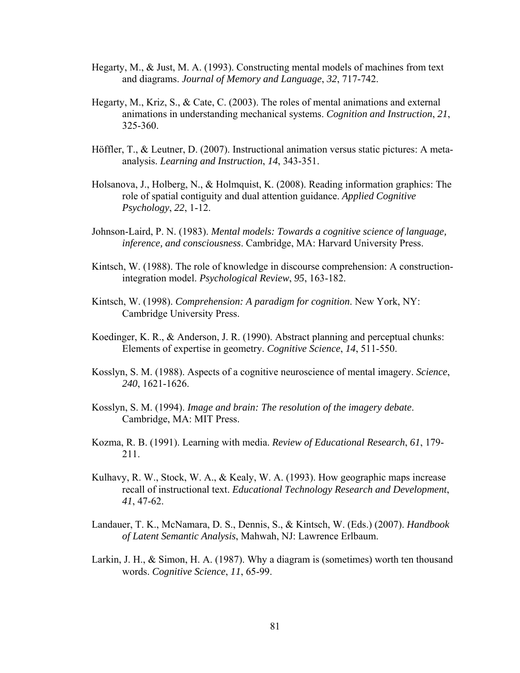- Hegarty, M., & Just, M. A. (1993). Constructing mental models of machines from text and diagrams. *Journal of Memory and Language*, *32*, 717-742.
- Hegarty, M., Kriz, S., & Cate, C. (2003). The roles of mental animations and external animations in understanding mechanical systems. *Cognition and Instruction*, *21*, 325-360.
- Höffler, T., & Leutner, D. (2007). Instructional animation versus static pictures: A metaanalysis. *Learning and Instruction*, *14*, 343-351.
- Holsanova, J., Holberg, N., & Holmquist, K. (2008). Reading information graphics: The role of spatial contiguity and dual attention guidance. *Applied Cognitive Psychology*, *22*, 1-12.
- Johnson-Laird, P. N. (1983). *Mental models: Towards a cognitive science of language, inference, and consciousness*. Cambridge, MA: Harvard University Press.
- Kintsch, W. (1988). The role of knowledge in discourse comprehension: A constructionintegration model. *Psychological Review*, *95*, 163-182.
- Kintsch, W. (1998). *Comprehension: A paradigm for cognition*. New York, NY: Cambridge University Press.
- Koedinger, K. R., & Anderson, J. R. (1990). Abstract planning and perceptual chunks: Elements of expertise in geometry. *Cognitive Science*, *14*, 511-550.
- Kosslyn, S. M. (1988). Aspects of a cognitive neuroscience of mental imagery. *Science*, *240*, 1621-1626.
- Kosslyn, S. M. (1994). *Image and brain: The resolution of the imagery debate*. Cambridge, MA: MIT Press.
- Kozma, R. B. (1991). Learning with media. *Review of Educational Research*, *61*, 179- 211.
- Kulhavy, R. W., Stock, W. A., & Kealy, W. A. (1993). How geographic maps increase recall of instructional text. *Educational Technology Research and Development*, *41*, 47-62.
- Landauer, T. K., McNamara, D. S., Dennis, S., & Kintsch, W. (Eds.) (2007). *Handbook of Latent Semantic Analysis*, Mahwah, NJ: Lawrence Erlbaum.
- Larkin, J. H., & Simon, H. A. (1987). Why a diagram is (sometimes) worth ten thousand words. *Cognitive Science*, *11*, 65-99.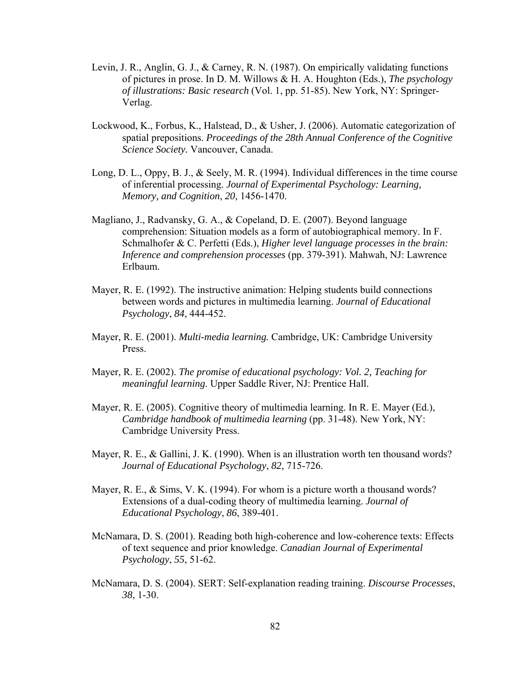- Levin, J. R., Anglin, G. J., & Carney, R. N. (1987). On empirically validating functions of pictures in prose. In D. M. Willows & H. A. Houghton (Eds.), *The psychology of illustrations: Basic research* (Vol. 1, pp. 51-85). New York, NY: Springer-Verlag.
- Lockwood, K., Forbus, K., Halstead, D., & Usher, J. (2006). Automatic categorization of spatial prepositions. *Proceedings of the 28th Annual Conference of the Cognitive Science Society.* Vancouver, Canada.
- Long, D. L., Oppy, B. J., & Seely, M. R. (1994). Individual differences in the time course of inferential processing. *Journal of Experimental Psychology: Learning, Memory, and Cognition*, *20*, 1456-1470.
- Magliano, J., Radvansky, G. A., & Copeland, D. E. (2007). Beyond language comprehension: Situation models as a form of autobiographical memory. In F. Schmalhofer & C. Perfetti (Eds.), *Higher level language processes in the brain: Inference and comprehension processes* (pp. 379-391). Mahwah, NJ: Lawrence Erlbaum.
- Mayer, R. E. (1992). The instructive animation: Helping students build connections between words and pictures in multimedia learning. *Journal of Educational Psychology*, *84*, 444-452.
- Mayer, R. E. (2001). *Multi-media learning.* Cambridge, UK: Cambridge University Press.
- Mayer, R. E. (2002). *The promise of educational psychology: Vol. 2, Teaching for meaningful learning*. Upper Saddle River, NJ: Prentice Hall.
- Mayer, R. E. (2005). Cognitive theory of multimedia learning. In R. E. Mayer (Ed.), *Cambridge handbook of multimedia learning* (pp. 31-48). New York, NY: Cambridge University Press.
- Mayer, R. E., & Gallini, J. K. (1990). When is an illustration worth ten thousand words? *Journal of Educational Psychology*, *82*, 715-726.
- Mayer, R. E., & Sims, V. K. (1994). For whom is a picture worth a thousand words? Extensions of a dual-coding theory of multimedia learning. *Journal of Educational Psychology*, *86*, 389-401.
- McNamara, D. S. (2001). Reading both high-coherence and low-coherence texts: Effects of text sequence and prior knowledge. *Canadian Journal of Experimental Psychology*, *55*, 51-62.
- McNamara, D. S. (2004). SERT: Self-explanation reading training. *Discourse Processes*, *38*, 1-30.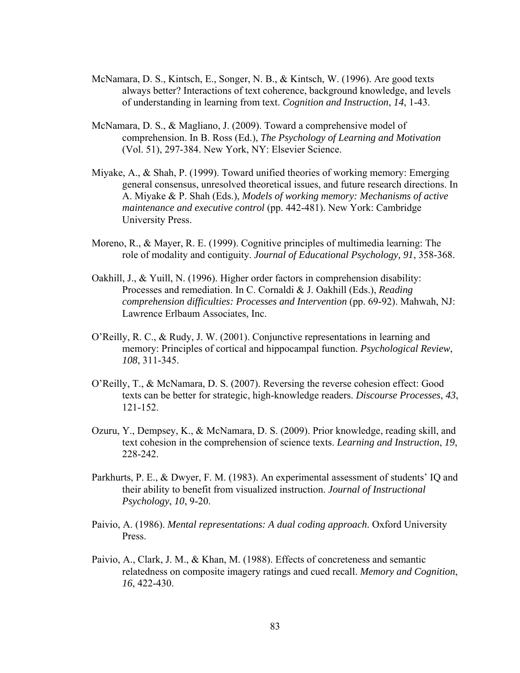- McNamara, D. S., Kintsch, E., Songer, N. B., & Kintsch, W. (1996). Are good texts always better? Interactions of text coherence, background knowledge, and levels of understanding in learning from text. *Cognition and Instruction*, *14*, 1-43.
- McNamara, D. S., & Magliano, J. (2009). Toward a comprehensive model of comprehension. In B. Ross (Ed.), *The Psychology of Learning and Motivation*  (Vol. 51), 297-384. New York, NY: Elsevier Science.
- Miyake, A., & Shah, P. (1999). Toward unified theories of working memory: Emerging general consensus, unresolved theoretical issues, and future research directions. In A. Miyake & P. Shah (Eds.), *Models of working memory: Mechanisms of active maintenance and executive control* (pp. 442-481). New York: Cambridge University Press.
- Moreno, R., & Mayer, R. E. (1999). Cognitive principles of multimedia learning: The role of modality and contiguity. *Journal of Educational Psychology, 91*, 358-368.
- Oakhill, J., & Yuill, N. (1996). Higher order factors in comprehension disability: Processes and remediation. In C. Cornaldi & J. Oakhill (Eds.), *Reading comprehension difficulties: Processes and Intervention* (pp. 69-92). Mahwah, NJ: Lawrence Erlbaum Associates, Inc.
- O'Reilly, R. C., & Rudy, J. W. (2001). Conjunctive representations in learning and memory: Principles of cortical and hippocampal function. *Psychological Review*, *108*, 311-345.
- O'Reilly, T., & McNamara, D. S. (2007). Reversing the reverse cohesion effect: Good texts can be better for strategic, high-knowledge readers. *Discourse Processes*, *43*, 121-152.
- Ozuru, Y., Dempsey, K., & McNamara, D. S. (2009). Prior knowledge, reading skill, and text cohesion in the comprehension of science texts. *Learning and Instruction*, *19*, 228-242.
- Parkhurts, P. E., & Dwyer, F. M. (1983). An experimental assessment of students' IQ and their ability to benefit from visualized instruction. *Journal of Instructional Psychology*, *10*, 9-20.
- Paivio, A. (1986). *Mental representations: A dual coding approach*. Oxford University Press.
- Paivio, A., Clark, J. M., & Khan, M. (1988). Effects of concreteness and semantic relatedness on composite imagery ratings and cued recall. *Memory and Cognition*, *16*, 422-430.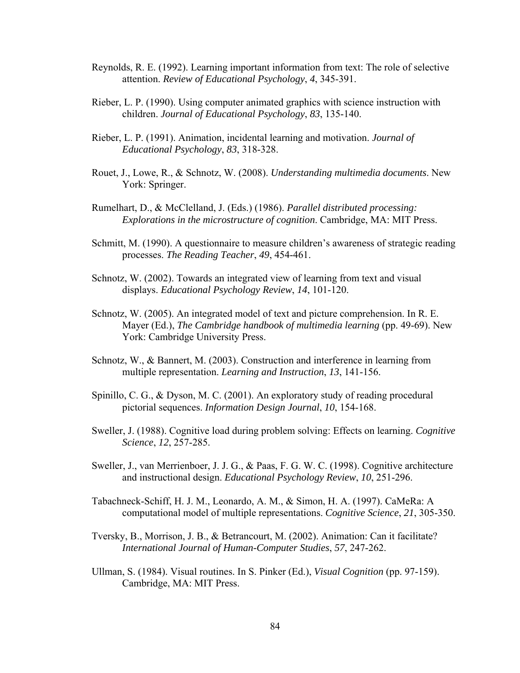- Reynolds, R. E. (1992). Learning important information from text: The role of selective attention. *Review of Educational Psychology*, *4*, 345-391.
- Rieber, L. P. (1990). Using computer animated graphics with science instruction with children. *Journal of Educational Psychology*, *83*, 135-140.
- Rieber, L. P. (1991). Animation, incidental learning and motivation. *Journal of Educational Psychology*, *83*, 318-328.
- Rouet, J., Lowe, R., & Schnotz, W. (2008). *Understanding multimedia documents*. New York: Springer.
- Rumelhart, D., & McClelland, J. (Eds.) (1986). *Parallel distributed processing: Explorations in the microstructure of cognition*. Cambridge, MA: MIT Press.
- Schmitt, M. (1990). A questionnaire to measure children's awareness of strategic reading processes. *The Reading Teacher*, *49*, 454-461.
- Schnotz, W. (2002). Towards an integrated view of learning from text and visual displays. *Educational Psychology Review*, *14*, 101-120.
- Schnotz, W. (2005). An integrated model of text and picture comprehension. In R. E. Mayer (Ed.), *The Cambridge handbook of multimedia learning* (pp. 49-69). New York: Cambridge University Press.
- Schnotz, W., & Bannert, M. (2003). Construction and interference in learning from multiple representation. *Learning and Instruction*, *13*, 141-156.
- Spinillo, C. G., & Dyson, M. C. (2001). An exploratory study of reading procedural pictorial sequences. *Information Design Journal*, *10*, 154-168.
- Sweller, J. (1988). Cognitive load during problem solving: Effects on learning. *Cognitive Science*, *12*, 257-285.
- Sweller, J., van Merrienboer, J. J. G., & Paas, F. G. W. C. (1998). Cognitive architecture and instructional design. *Educational Psychology Review*, *10*, 251-296.
- Tabachneck-Schiff, H. J. M., Leonardo, A. M., & Simon, H. A. (1997). CaMeRa: A computational model of multiple representations. *Cognitive Science*, *21*, 305-350.
- Tversky, B., Morrison, J. B., & Betrancourt, M. (2002). Animation: Can it facilitate? *International Journal of Human-Computer Studies*, *57*, 247-262.
- Ullman, S. (1984). Visual routines. In S. Pinker (Ed.), *Visual Cognition* (pp. 97-159). Cambridge, MA: MIT Press.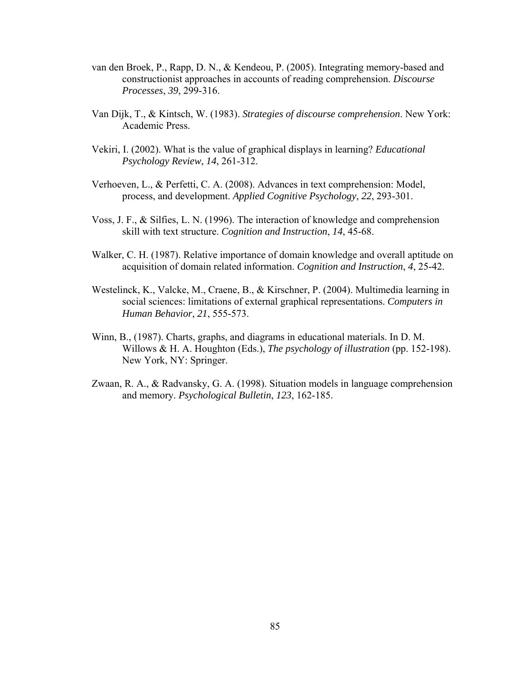- van den Broek, P., Rapp, D. N., & Kendeou, P. (2005). Integrating memory-based and constructionist approaches in accounts of reading comprehension. *Discourse Processes*, *39*, 299-316.
- Van Dijk, T., & Kintsch, W. (1983). *Strategies of discourse comprehension*. New York: Academic Press.
- Vekiri, I. (2002). What is the value of graphical displays in learning? *Educational Psychology Review*, *14*, 261-312.
- Verhoeven, L., & Perfetti, C. A. (2008). Advances in text comprehension: Model, process, and development. *Applied Cognitive Psychology*, *22*, 293-301.
- Voss, J. F., & Silfies, L. N. (1996). The interaction of knowledge and comprehension skill with text structure. *Cognition and Instruction*, *14*, 45-68.
- Walker, C. H. (1987). Relative importance of domain knowledge and overall aptitude on acquisition of domain related information. *Cognition and Instruction*, *4*, 25-42.
- Westelinck, K., Valcke, M., Craene, B., & Kirschner, P. (2004). Multimedia learning in social sciences: limitations of external graphical representations. *Computers in Human Behavior*, *21*, 555-573.
- Winn, B., (1987). Charts, graphs, and diagrams in educational materials. In D. M. Willows & H. A. Houghton (Eds.), *The psychology of illustration* (pp. 152-198). New York, NY: Springer.
- Zwaan, R. A., & Radvansky, G. A. (1998). Situation models in language comprehension and memory. *Psychological Bulletin*, *123*, 162-185.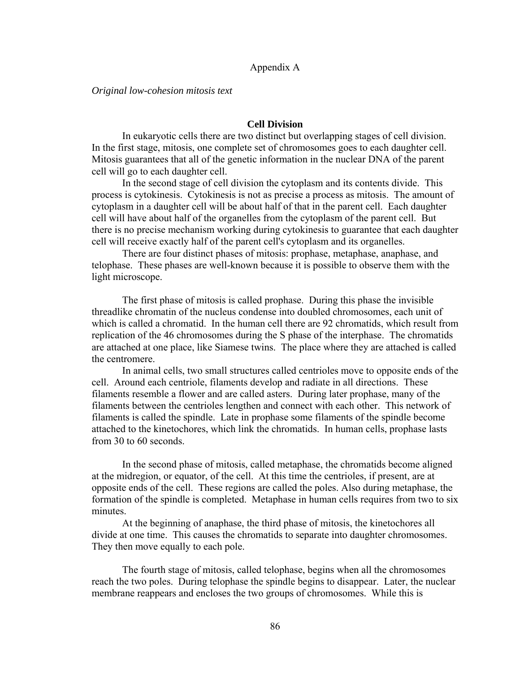### Appendix A

## *Original low-cohesion mitosis text*

### **Cell Division**

 In eukaryotic cells there are two distinct but overlapping stages of cell division. In the first stage, mitosis, one complete set of chromosomes goes to each daughter cell. Mitosis guarantees that all of the genetic information in the nuclear DNA of the parent cell will go to each daughter cell.

 In the second stage of cell division the cytoplasm and its contents divide. This process is cytokinesis. Cytokinesis is not as precise a process as mitosis. The amount of cytoplasm in a daughter cell will be about half of that in the parent cell. Each daughter cell will have about half of the organelles from the cytoplasm of the parent cell. But there is no precise mechanism working during cytokinesis to guarantee that each daughter cell will receive exactly half of the parent cell's cytoplasm and its organelles.

 There are four distinct phases of mitosis: prophase, metaphase, anaphase, and telophase. These phases are well-known because it is possible to observe them with the light microscope.

The first phase of mitosis is called prophase. During this phase the invisible threadlike chromatin of the nucleus condense into doubled chromosomes, each unit of which is called a chromatid. In the human cell there are 92 chromatids, which result from replication of the 46 chromosomes during the S phase of the interphase. The chromatids are attached at one place, like Siamese twins. The place where they are attached is called the centromere.

 In animal cells, two small structures called centrioles move to opposite ends of the cell. Around each centriole, filaments develop and radiate in all directions. These filaments resemble a flower and are called asters. During later prophase, many of the filaments between the centrioles lengthen and connect with each other. This network of filaments is called the spindle. Late in prophase some filaments of the spindle become attached to the kinetochores, which link the chromatids. In human cells, prophase lasts from 30 to 60 seconds.

 In the second phase of mitosis, called metaphase, the chromatids become aligned at the midregion, or equator, of the cell. At this time the centrioles, if present, are at opposite ends of the cell. These regions are called the poles. Also during metaphase, the formation of the spindle is completed. Metaphase in human cells requires from two to six minutes.

 At the beginning of anaphase, the third phase of mitosis, the kinetochores all divide at one time. This causes the chromatids to separate into daughter chromosomes. They then move equally to each pole.

The fourth stage of mitosis, called telophase, begins when all the chromosomes reach the two poles. During telophase the spindle begins to disappear. Later, the nuclear membrane reappears and encloses the two groups of chromosomes. While this is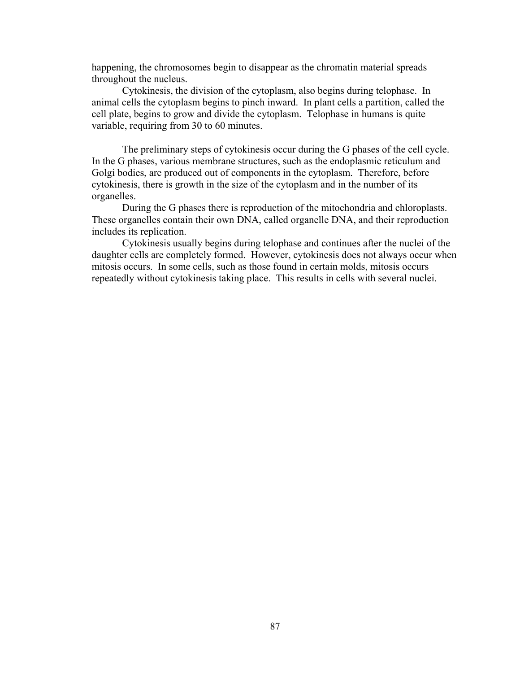happening, the chromosomes begin to disappear as the chromatin material spreads throughout the nucleus.

 Cytokinesis, the division of the cytoplasm, also begins during telophase. In animal cells the cytoplasm begins to pinch inward. In plant cells a partition, called the cell plate, begins to grow and divide the cytoplasm. Telophase in humans is quite variable, requiring from 30 to 60 minutes.

The preliminary steps of cytokinesis occur during the G phases of the cell cycle. In the G phases, various membrane structures, such as the endoplasmic reticulum and Golgi bodies, are produced out of components in the cytoplasm. Therefore, before cytokinesis, there is growth in the size of the cytoplasm and in the number of its organelles.

 During the G phases there is reproduction of the mitochondria and chloroplasts. These organelles contain their own DNA, called organelle DNA, and their reproduction includes its replication.

 Cytokinesis usually begins during telophase and continues after the nuclei of the daughter cells are completely formed. However, cytokinesis does not always occur when mitosis occurs. In some cells, such as those found in certain molds, mitosis occurs repeatedly without cytokinesis taking place. This results in cells with several nuclei.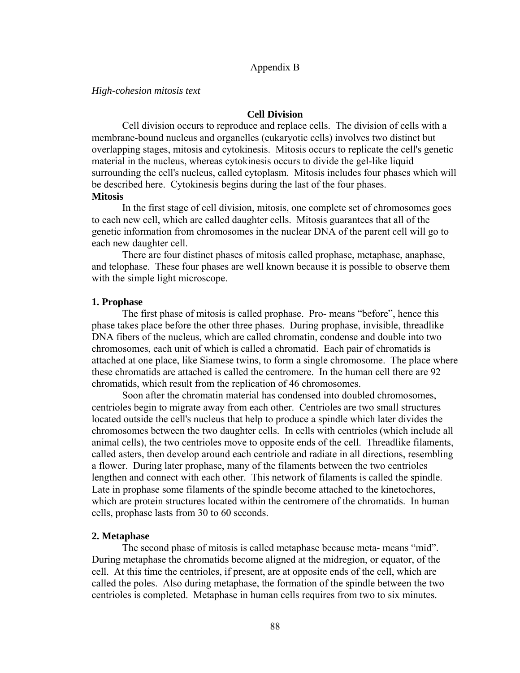### Appendix B

*High-cohesion mitosis text* 

### **Cell Division**

 Cell division occurs to reproduce and replace cells. The division of cells with a membrane-bound nucleus and organelles (eukaryotic cells) involves two distinct but overlapping stages, mitosis and cytokinesis. Mitosis occurs to replicate the cell's genetic material in the nucleus, whereas cytokinesis occurs to divide the gel-like liquid surrounding the cell's nucleus, called cytoplasm. Mitosis includes four phases which will be described here. Cytokinesis begins during the last of the four phases. **Mitosis**

 In the first stage of cell division, mitosis, one complete set of chromosomes goes to each new cell, which are called daughter cells. Mitosis guarantees that all of the genetic information from chromosomes in the nuclear DNA of the parent cell will go to each new daughter cell.

 There are four distinct phases of mitosis called prophase, metaphase, anaphase, and telophase. These four phases are well known because it is possible to observe them with the simple light microscope.

#### **1. Prophase**

 The first phase of mitosis is called prophase. Pro- means "before", hence this phase takes place before the other three phases. During prophase, invisible, threadlike DNA fibers of the nucleus, which are called chromatin, condense and double into two chromosomes, each unit of which is called a chromatid. Each pair of chromatids is attached at one place, like Siamese twins, to form a single chromosome. The place where these chromatids are attached is called the centromere. In the human cell there are 92 chromatids, which result from the replication of 46 chromosomes.

Soon after the chromatin material has condensed into doubled chromosomes, centrioles begin to migrate away from each other. Centrioles are two small structures located outside the cell's nucleus that help to produce a spindle which later divides the chromosomes between the two daughter cells. In cells with centrioles (which include all animal cells), the two centrioles move to opposite ends of the cell. Threadlike filaments, called asters, then develop around each centriole and radiate in all directions, resembling a flower. During later prophase, many of the filaments between the two centrioles lengthen and connect with each other. This network of filaments is called the spindle. Late in prophase some filaments of the spindle become attached to the kinetochores, which are protein structures located within the centromere of the chromatids. In human cells, prophase lasts from 30 to 60 seconds.

#### **2. Metaphase**

 The second phase of mitosis is called metaphase because meta- means "mid". During metaphase the chromatids become aligned at the midregion, or equator, of the cell. At this time the centrioles, if present, are at opposite ends of the cell, which are called the poles. Also during metaphase, the formation of the spindle between the two centrioles is completed. Metaphase in human cells requires from two to six minutes.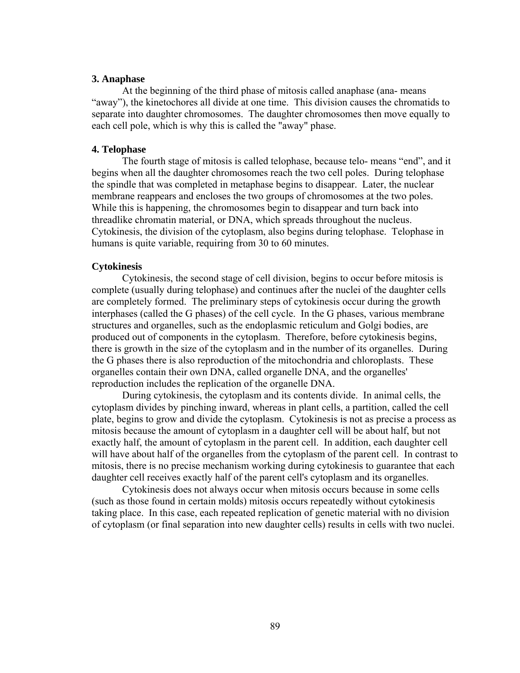### **3. Anaphase**

 At the beginning of the third phase of mitosis called anaphase (ana- means "away"), the kinetochores all divide at one time. This division causes the chromatids to separate into daughter chromosomes. The daughter chromosomes then move equally to each cell pole, which is why this is called the "away" phase.

## **4. Telophase**

 The fourth stage of mitosis is called telophase, because telo- means "end", and it begins when all the daughter chromosomes reach the two cell poles. During telophase the spindle that was completed in metaphase begins to disappear. Later, the nuclear membrane reappears and encloses the two groups of chromosomes at the two poles. While this is happening, the chromosomes begin to disappear and turn back into threadlike chromatin material, or DNA, which spreads throughout the nucleus. Cytokinesis, the division of the cytoplasm, also begins during telophase. Telophase in humans is quite variable, requiring from 30 to 60 minutes.

## **Cytokinesis**

 Cytokinesis, the second stage of cell division, begins to occur before mitosis is complete (usually during telophase) and continues after the nuclei of the daughter cells are completely formed. The preliminary steps of cytokinesis occur during the growth interphases (called the G phases) of the cell cycle. In the G phases, various membrane structures and organelles, such as the endoplasmic reticulum and Golgi bodies, are produced out of components in the cytoplasm. Therefore, before cytokinesis begins, there is growth in the size of the cytoplasm and in the number of its organelles. During the G phases there is also reproduction of the mitochondria and chloroplasts. These organelles contain their own DNA, called organelle DNA, and the organelles' reproduction includes the replication of the organelle DNA.

 During cytokinesis, the cytoplasm and its contents divide. In animal cells, the cytoplasm divides by pinching inward, whereas in plant cells, a partition, called the cell plate, begins to grow and divide the cytoplasm. Cytokinesis is not as precise a process as mitosis because the amount of cytoplasm in a daughter cell will be about half, but not exactly half, the amount of cytoplasm in the parent cell. In addition, each daughter cell will have about half of the organelles from the cytoplasm of the parent cell. In contrast to mitosis, there is no precise mechanism working during cytokinesis to guarantee that each daughter cell receives exactly half of the parent cell's cytoplasm and its organelles.

 Cytokinesis does not always occur when mitosis occurs because in some cells (such as those found in certain molds) mitosis occurs repeatedly without cytokinesis taking place. In this case, each repeated replication of genetic material with no division of cytoplasm (or final separation into new daughter cells) results in cells with two nuclei.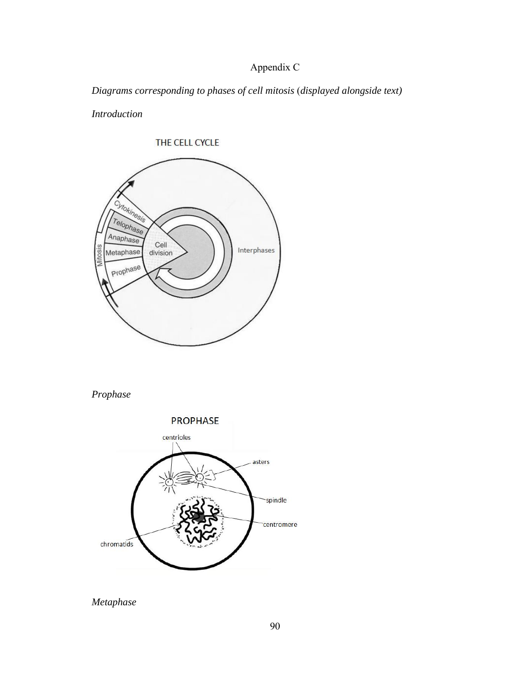# Appendix C

*Diagrams corresponding to phases of cell mitosis* (*displayed alongside text)* 

*Introduction* 



*Prophase* 



*Metaphase*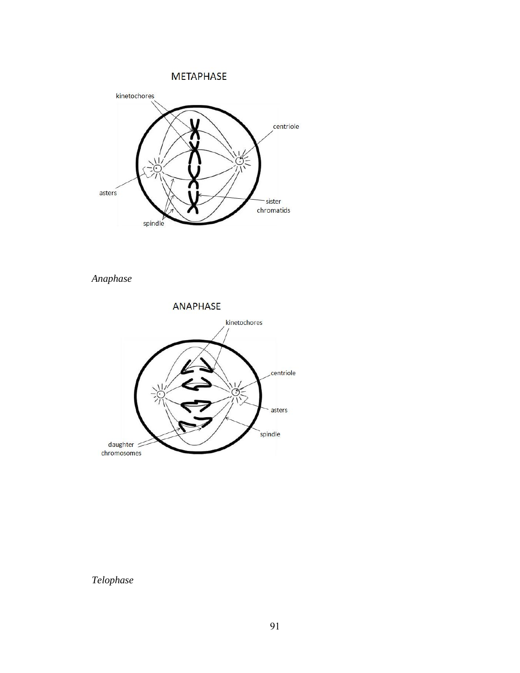

# *Anaphase*



*Telophase*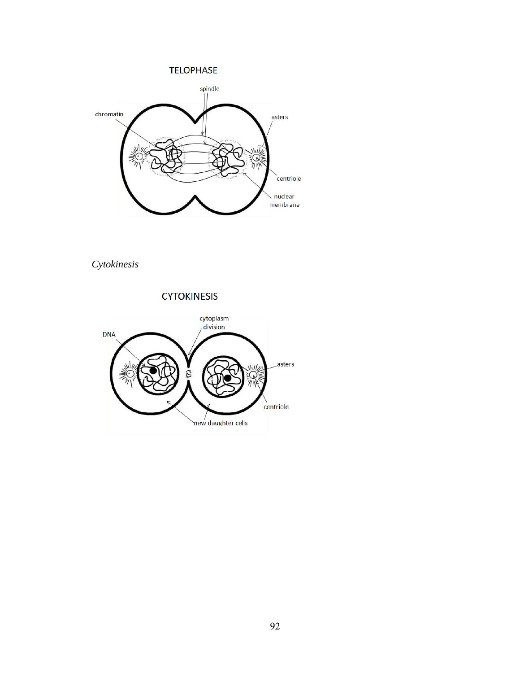

# *Cytokinesis*

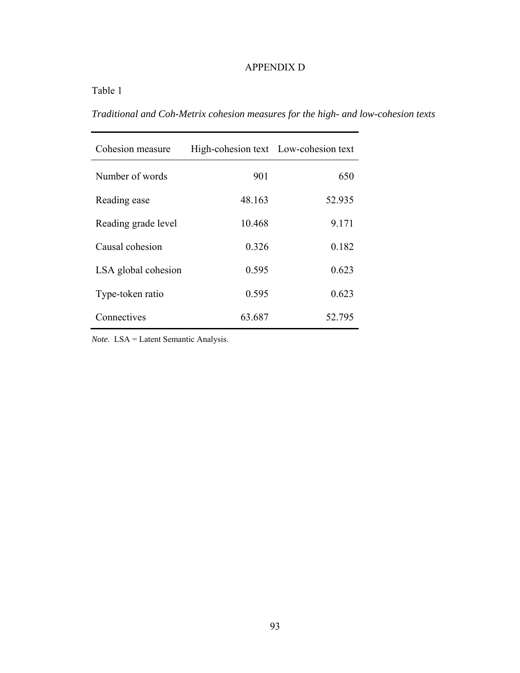# APPENDIX D

Table 1

*Traditional and Coh-Metrix cohesion measures for the high- and low-cohesion texts* 

| Cohesion measure    | High-cohesion text Low-cohesion text |        |  |  |
|---------------------|--------------------------------------|--------|--|--|
| Number of words     | 901                                  | 650    |  |  |
| Reading ease        | 48.163                               | 52.935 |  |  |
| Reading grade level | 10.468                               | 9.171  |  |  |
| Causal cohesion     | 0.326                                | 0.182  |  |  |
| LSA global cohesion | 0.595                                | 0.623  |  |  |
| Type-token ratio    | 0.595                                | 0.623  |  |  |
| Connectives         | 63.687                               | 52 795 |  |  |

*Note*. LSA = Latent Semantic Analysis.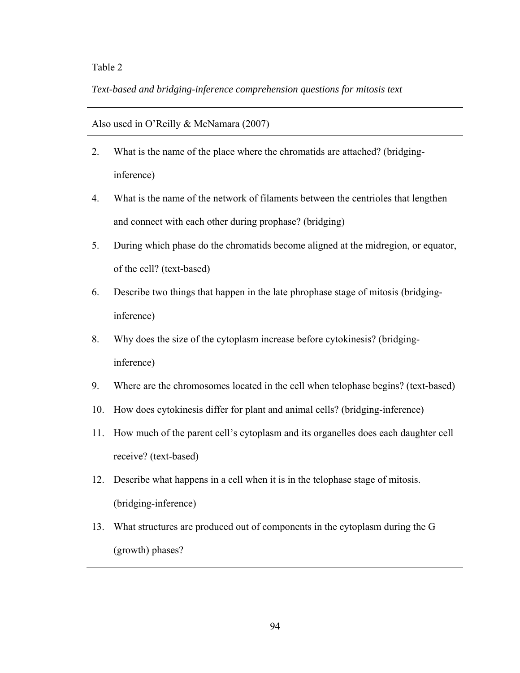# Table 2

*Text-based and bridging-inference comprehension questions for mitosis text* 

# Also used in O'Reilly & McNamara (2007)

- 2. What is the name of the place where the chromatids are attached? (bridginginference)
- 4. What is the name of the network of filaments between the centrioles that lengthen and connect with each other during prophase? (bridging)
- 5. During which phase do the chromatids become aligned at the midregion, or equator, of the cell? (text-based)
- 6. Describe two things that happen in the late phrophase stage of mitosis (bridginginference)
- 8. Why does the size of the cytoplasm increase before cytokinesis? (bridginginference)
- 9. Where are the chromosomes located in the cell when telophase begins? (text-based)
- 10. How does cytokinesis differ for plant and animal cells? (bridging-inference)
- 11. How much of the parent cell's cytoplasm and its organelles does each daughter cell receive? (text-based)
- 12. Describe what happens in a cell when it is in the telophase stage of mitosis. (bridging-inference)
- 13. What structures are produced out of components in the cytoplasm during the G (growth) phases?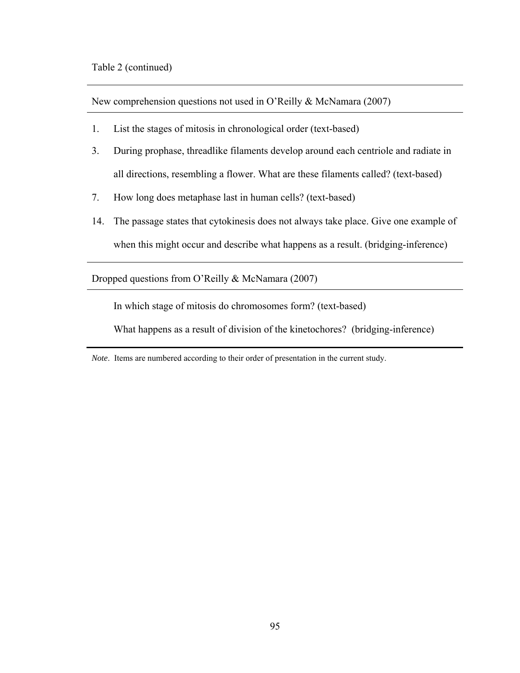# Table 2 (continued)

New comprehension questions not used in O'Reilly & McNamara (2007)

- 1. List the stages of mitosis in chronological order (text-based)
- 3. During prophase, threadlike filaments develop around each centriole and radiate in all directions, resembling a flower. What are these filaments called? (text-based)
- 7. How long does metaphase last in human cells? (text-based)
- 14. The passage states that cytokinesis does not always take place. Give one example of when this might occur and describe what happens as a result. (bridging-inference)

Dropped questions from O'Reilly & McNamara (2007)

In which stage of mitosis do chromosomes form? (text-based)

What happens as a result of division of the kinetochores? (bridging-inference)

*Note*. Items are numbered according to their order of presentation in the current study.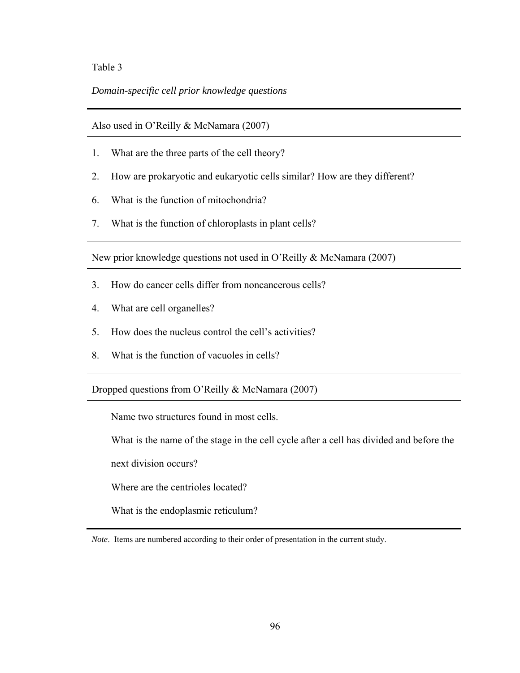## Table 3

# *Domain-specific cell prior knowledge questions*

Also used in O'Reilly & McNamara (2007)

- 1. What are the three parts of the cell theory?
- 2. How are prokaryotic and eukaryotic cells similar? How are they different?
- 6. What is the function of mitochondria?
- 7. What is the function of chloroplasts in plant cells?

New prior knowledge questions not used in O'Reilly & McNamara (2007)

- 3. How do cancer cells differ from noncancerous cells?
- 4. What are cell organelles?
- 5. How does the nucleus control the cell's activities?
- 8. What is the function of vacuoles in cells?

Dropped questions from O'Reilly & McNamara (2007)

Name two structures found in most cells.

What is the name of the stage in the cell cycle after a cell has divided and before the

next division occurs?

Where are the centrioles located?

What is the endoplasmic reticulum?

*Note*. Items are numbered according to their order of presentation in the current study.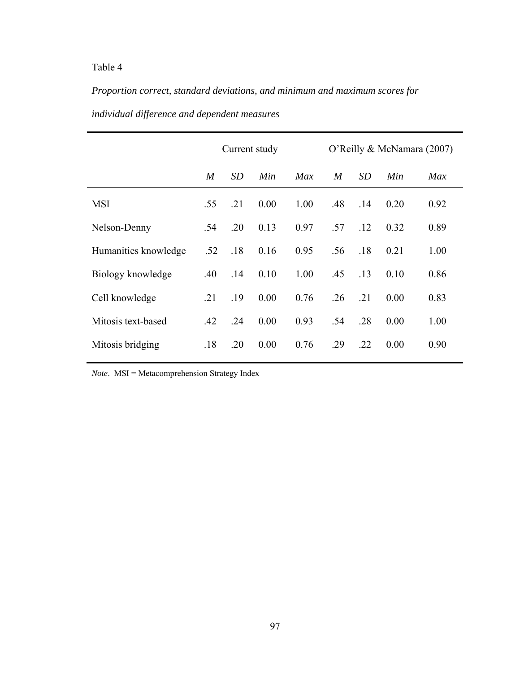# Table 4

# *Proportion correct, standard deviations, and minimum and maximum scores for*

|                      | Current study    |     |      | O'Reilly & McNamara (2007) |     |     |      |      |
|----------------------|------------------|-----|------|----------------------------|-----|-----|------|------|
|                      | $\boldsymbol{M}$ | SD  | Min  | Max                        | M   | SD  | Min  | Max  |
| <b>MSI</b>           | .55              | .21 | 0.00 | 1.00                       | .48 | .14 | 0.20 | 0.92 |
| Nelson-Denny         | .54              | .20 | 0.13 | 0.97                       | .57 | .12 | 0.32 | 0.89 |
| Humanities knowledge | .52              | .18 | 0.16 | 0.95                       | .56 | .18 | 0.21 | 1.00 |
| Biology knowledge    | .40              | .14 | 0.10 | 1.00                       | .45 | .13 | 0.10 | 0.86 |
| Cell knowledge       | .21              | .19 | 0.00 | 0.76                       | .26 | .21 | 0.00 | 0.83 |
| Mitosis text-based   | .42              | .24 | 0.00 | 0.93                       | .54 | .28 | 0.00 | 1.00 |
| Mitosis bridging     | .18              | .20 | 0.00 | 0.76                       | .29 | .22 | 0.00 | 0.90 |

*individual difference and dependent measures* 

*Note*. MSI = Metacomprehension Strategy Index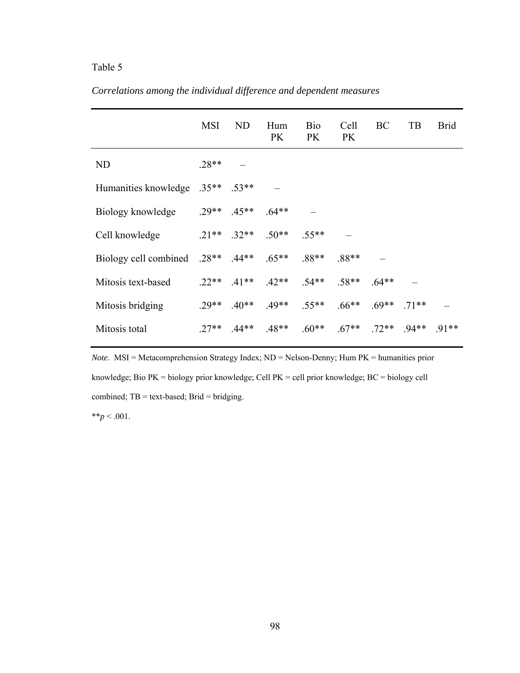### *Correlations among the individual difference and dependent measures*

|                       | <b>MSI</b>       | <b>ND</b>        | Hum<br>PK | Bio<br>PK | Cell<br><b>PK</b> | BC      | TB      | <b>Brid</b> |
|-----------------------|------------------|------------------|-----------|-----------|-------------------|---------|---------|-------------|
| ND                    | $.28**$          |                  |           |           |                   |         |         |             |
| Humanities knowledge  | $.35***$ $.53**$ |                  |           |           |                   |         |         |             |
| Biology knowledge     | $.29**$          | $.45**$          | $.64**$   |           |                   |         |         |             |
| Cell knowledge        |                  | $.21***$ $.32**$ | $.50**$   | $.55**$   |                   |         |         |             |
| Biology cell combined | $.28**$ 44**     |                  | $.65***$  | $.88**$   | $.88**$           |         |         |             |
| Mitosis text-based    | $.22**$          | $.41**$          | $.42**$   | $.54**$   | $.58**$           | $.64**$ |         |             |
| Mitosis bridging      | $.29**$          | $.40**$          | $.49**$   | $.55**$   | $.66**$           | $.69**$ | $71**$  |             |
| Mitosis total         | $.27**$          | $.44**$          | $.48**$   | $.60**$   | $.67**$           | $72**$  | $.94**$ | $.91**$     |

*Note*. MSI = Metacomprehension Strategy Index; ND = Nelson-Denny; Hum PK = humanities prior knowledge; Bio PK = biology prior knowledge; Cell PK = cell prior knowledge; BC = biology cell combined;  $TB = text-based$ ;  $Brid = bridging$ .

\*\* $p < .001$ .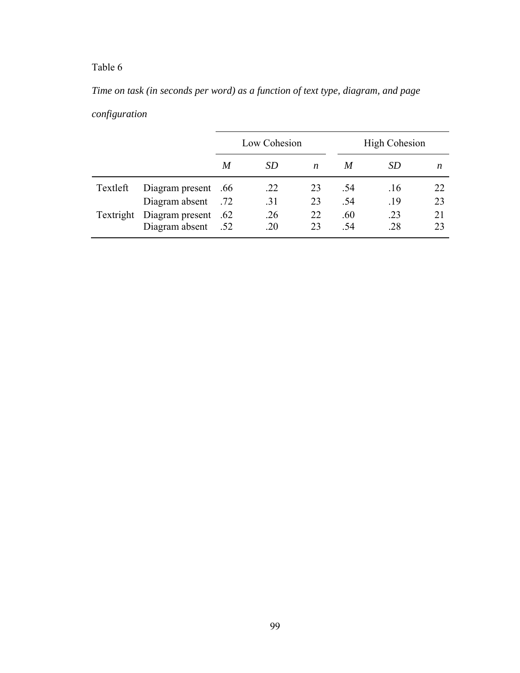*Time on task (in seconds per word) as a function of text type, diagram, and page* 

# *configuration*

|           |                                       |     | Low Cohesion |          |            | <b>High Cohesion</b> |          |
|-----------|---------------------------------------|-----|--------------|----------|------------|----------------------|----------|
|           |                                       | M   | <i>SD</i>    | n        | M          | SD                   | n        |
| Textleft  | Diagram present .66<br>Diagram absent | .72 | .22<br>.31   | 23<br>23 | .54<br>.54 | .16<br>.19           | 22<br>23 |
| Textright | Diagram present .62<br>Diagram absent | .52 | .26<br>.20   | 22<br>23 | .60<br>.54 | .23<br>.28           | 21<br>23 |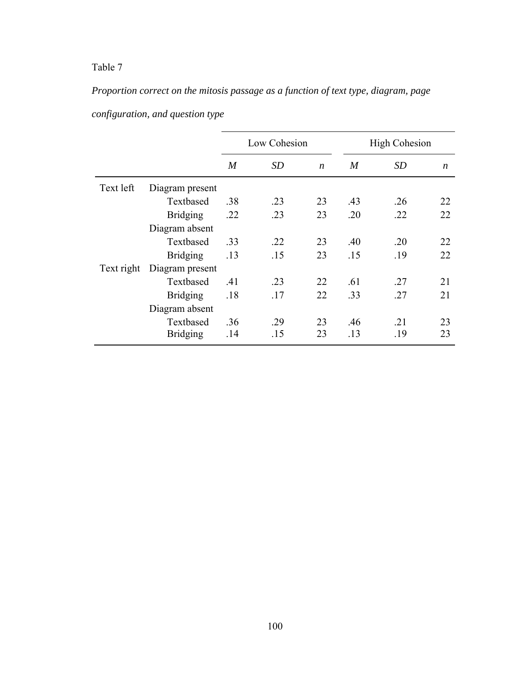*Proportion correct on the mitosis passage as a function of text type, diagram, page* 

|            |                 |                  | Low Cohesion |                  |                  | <b>High Cohesion</b> |                  |  |
|------------|-----------------|------------------|--------------|------------------|------------------|----------------------|------------------|--|
|            |                 | $\boldsymbol{M}$ | <b>SD</b>    | $\boldsymbol{n}$ | $\boldsymbol{M}$ | <b>SD</b>            | $\boldsymbol{n}$ |  |
| Text left  | Diagram present |                  |              |                  |                  |                      |                  |  |
|            | Textbased       | .38              | .23          | 23               | .43              | .26                  | 22               |  |
|            | <b>Bridging</b> | .22              | .23          | 23               | .20              | .22                  | 22               |  |
|            | Diagram absent  |                  |              |                  |                  |                      |                  |  |
|            | Textbased       | .33              | .22          | 23               | .40              | .20                  | 22               |  |
|            | <b>Bridging</b> | .13              | .15          | 23               | .15              | .19                  | 22               |  |
| Text right | Diagram present |                  |              |                  |                  |                      |                  |  |
|            | Textbased       | .41              | .23          | 22               | .61              | .27                  | 21               |  |
|            | <b>Bridging</b> | .18              | .17          | 22               | .33              | .27                  | 21               |  |
|            | Diagram absent  |                  |              |                  |                  |                      |                  |  |
|            | Textbased       | .36              | .29          | 23               | .46              | .21                  | 23               |  |
|            | <b>Bridging</b> | .14              | .15          | 23               | .13              | .19                  | 23               |  |

*configuration, and question type*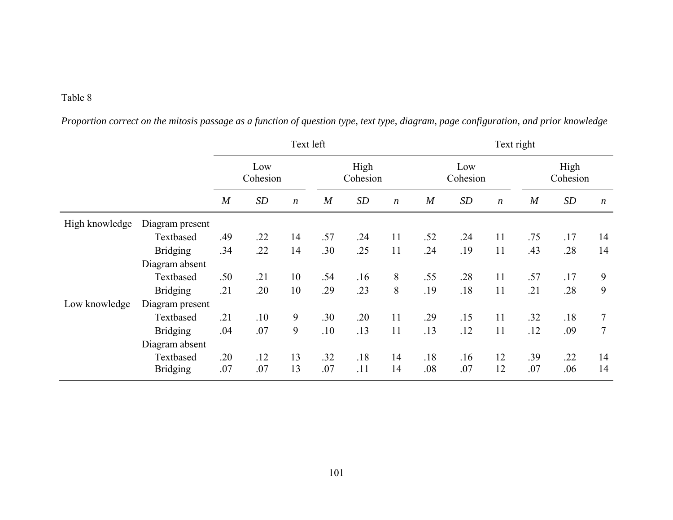| Proportion correct on the mitosis passage as a function of question type, text type, diagram, page configuration, and prior knowledge |
|---------------------------------------------------------------------------------------------------------------------------------------|
|                                                                                                                                       |
|                                                                                                                                       |
|                                                                                                                                       |
|                                                                                                                                       |

|                |                 | Text left       |     |                  |     |                  |                  | Text right |                 |                  |     |                  |                  |  |
|----------------|-----------------|-----------------|-----|------------------|-----|------------------|------------------|------------|-----------------|------------------|-----|------------------|------------------|--|
|                |                 | Low<br>Cohesion |     |                  |     | High<br>Cohesion |                  |            | Low<br>Cohesion |                  |     | High<br>Cohesion |                  |  |
|                |                 | $\overline{M}$  | SD  | $\boldsymbol{n}$ | M   | SD               | $\boldsymbol{n}$ | M          | SD              | $\boldsymbol{n}$ | M   | <b>SD</b>        | $\boldsymbol{n}$ |  |
| High knowledge | Diagram present |                 |     |                  |     |                  |                  |            |                 |                  |     |                  |                  |  |
|                | Textbased       | .49             | .22 | 14               | .57 | .24              | 11               | .52        | .24             | 11               | .75 | .17              | 14               |  |
|                | <b>Bridging</b> | .34             | .22 | 14               | .30 | .25              | 11               | .24        | .19             | 11               | .43 | .28              | 14               |  |
|                | Diagram absent  |                 |     |                  |     |                  |                  |            |                 |                  |     |                  |                  |  |
|                | Textbased       | .50             | .21 | 10               | .54 | .16              | 8                | .55        | .28             | 11               | .57 | .17              | 9                |  |
|                | <b>Bridging</b> | .21             | .20 | 10               | .29 | .23              | 8                | .19        | .18             | 11               | .21 | .28              | 9                |  |
| Low knowledge  | Diagram present |                 |     |                  |     |                  |                  |            |                 |                  |     |                  |                  |  |
|                | Textbased       | .21             | .10 | 9                | .30 | .20              | 11               | .29        | .15             | 11               | .32 | .18              | $\tau$           |  |
|                | <b>Bridging</b> | .04             | .07 | 9                | .10 | .13              | 11               | .13        | .12             | 11               | .12 | .09              | $\tau$           |  |
|                | Diagram absent  |                 |     |                  |     |                  |                  |            |                 |                  |     |                  |                  |  |
|                | Textbased       | .20             | .12 | 13               | .32 | .18              | 14               | .18        | .16             | 12               | .39 | .22              | 14               |  |
|                | <b>Bridging</b> | .07             | .07 | 13               | .07 | .11              | 14               | .08        | .07             | 12               | .07 | .06              | 14               |  |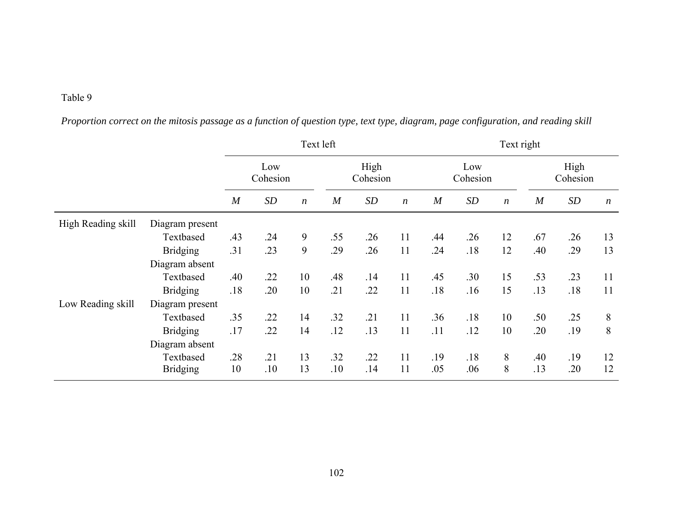*Proportion correct on the mitosis passage as a function of question type, text type, diagram, page configuration, and reading skill* 

|                    |                 | Text left        |     |                  |                  |                  | Text right       |                |                 |    |                |                  |                  |  |
|--------------------|-----------------|------------------|-----|------------------|------------------|------------------|------------------|----------------|-----------------|----|----------------|------------------|------------------|--|
|                    |                 | Low<br>Cohesion  |     |                  |                  | High<br>Cohesion |                  |                | Low<br>Cohesion |    |                | High<br>Cohesion |                  |  |
|                    |                 | $\boldsymbol{M}$ | SD  | $\boldsymbol{n}$ | $\boldsymbol{M}$ | SD               | $\boldsymbol{n}$ | $\overline{M}$ | SD              | n  | $\overline{M}$ | SD               | $\boldsymbol{n}$ |  |
| High Reading skill | Diagram present |                  |     |                  |                  |                  |                  |                |                 |    |                |                  |                  |  |
|                    | Textbased       | .43              | .24 | 9                | .55              | .26              | 11               | .44            | .26             | 12 | .67            | .26              | 13               |  |
|                    | <b>Bridging</b> | .31              | .23 | 9                | .29              | .26              | 11               | .24            | .18             | 12 | .40            | .29              | 13               |  |
|                    | Diagram absent  |                  |     |                  |                  |                  |                  |                |                 |    |                |                  |                  |  |
|                    | Textbased       | .40              | .22 | 10               | .48              | .14              | 11               | .45            | .30             | 15 | .53            | .23              | 11               |  |
|                    | <b>Bridging</b> | .18              | .20 | 10               | .21              | .22              | 11               | .18            | .16             | 15 | .13            | .18              | 11               |  |
| Low Reading skill  | Diagram present |                  |     |                  |                  |                  |                  |                |                 |    |                |                  |                  |  |
|                    | Textbased       | .35              | .22 | 14               | .32              | .21              | 11               | .36            | .18             | 10 | .50            | .25              | 8                |  |
|                    | <b>Bridging</b> | .17              | .22 | 14               | .12              | .13              | 11               | .11            | .12             | 10 | .20            | .19              | 8                |  |
|                    | Diagram absent  |                  |     |                  |                  |                  |                  |                |                 |    |                |                  |                  |  |
|                    | Textbased       | .28              | .21 | 13               | .32              | .22              | 11               | .19            | .18             | 8  | .40            | .19              | 12               |  |
|                    | <b>Bridging</b> | 10               | .10 | 13               | .10              | .14              | 11               | .05            | .06             | 8  | .13            | .20              | 12               |  |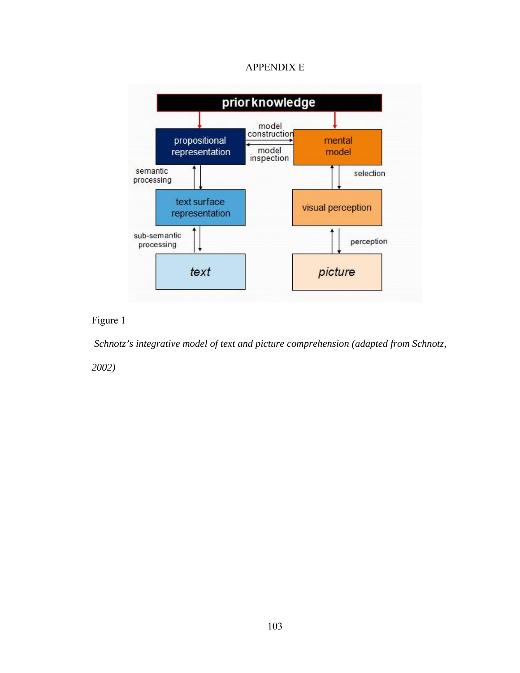#### APPENDIX E



## Figure 1

*Schnotz's integrative model of text and picture comprehension (adapted from Schnotz, 2002)*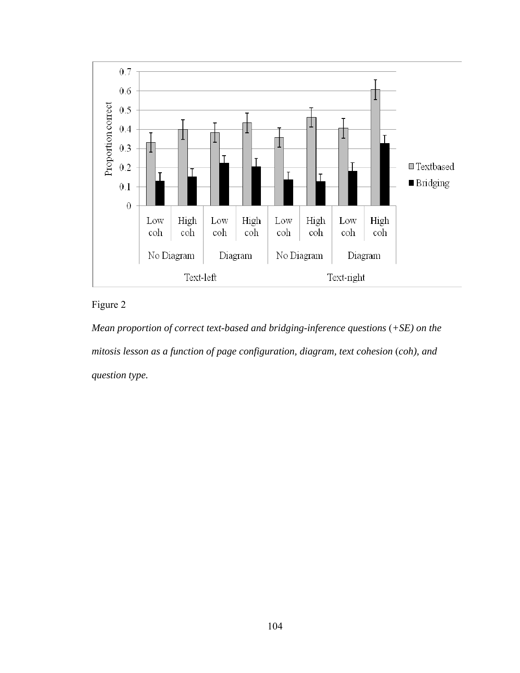

*Mean proportion of correct text-based and bridging-inference questions (+SE) on the mitosis lesson as a function of page configuration, diagram, text cohesion (coh), and question type.*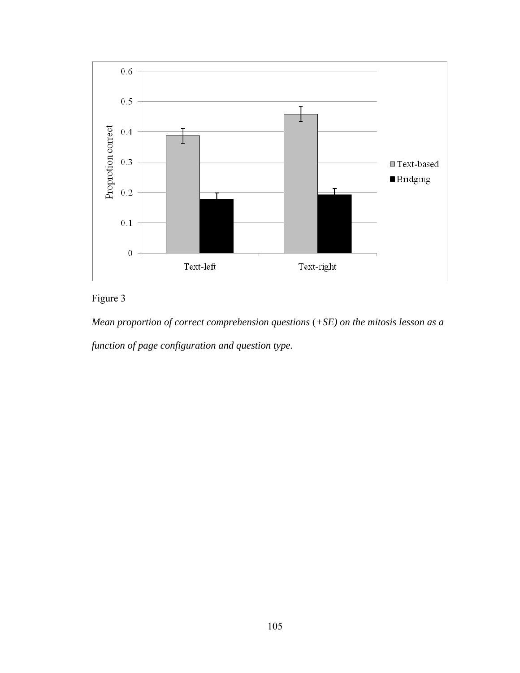

*Mean proportion of correct comprehension questions* (*+SE) on the mitosis lesson as a function of page configuration and question type.*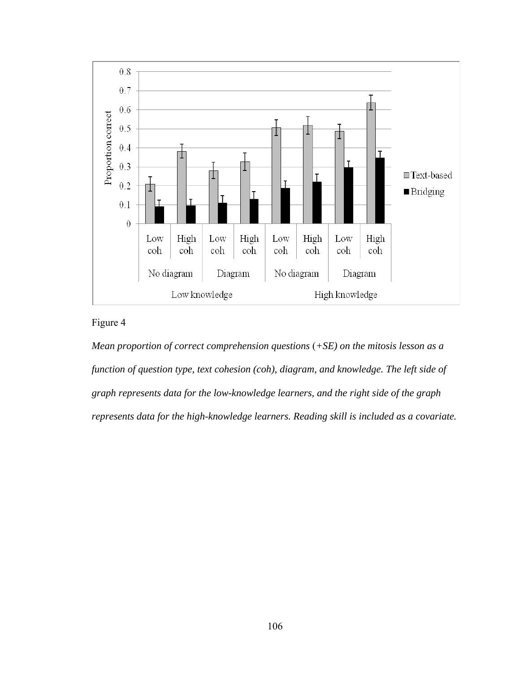

*Mean proportion of correct comprehension questions* (*+SE) on the mitosis lesson as a function of question type, text cohesion (coh), diagram, and knowledge. The left side of graph represents data for the low-knowledge learners, and the right side of the graph represents data for the high-knowledge learners. Reading skill is included as a covariate.*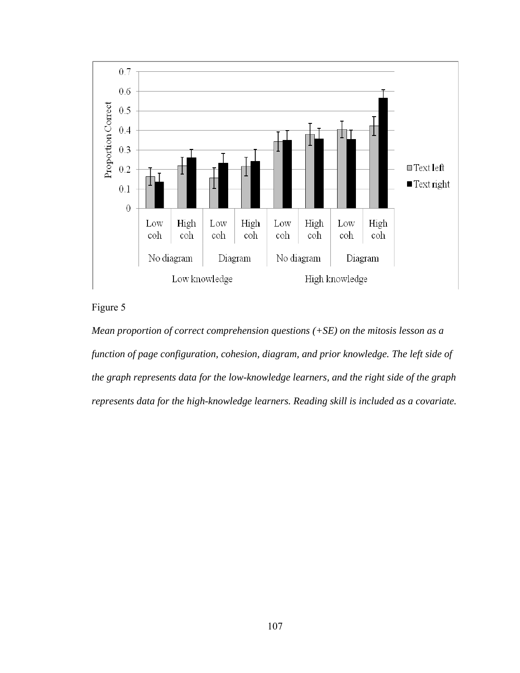



*Mean proportion of correct comprehension questions (+SE) on the mitosis lesson as a function of page configuration, cohesion, diagram, and prior knowledge. The left side of the graph represents data for the low-knowledge learners, and the right side of the graph represents data for the high-knowledge learners. Reading skill is included as a covariate.*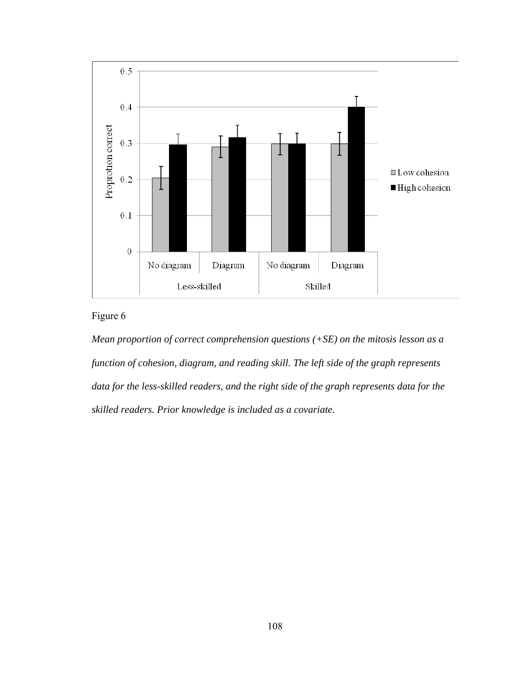

*Mean proportion of correct comprehension questions (+SE) on the mitosis lesson as a function of cohesion, diagram, and reading skill. The left side of the graph represents data for the less-skilled readers, and the right side of the graph represents data for the skilled readers. Prior knowledge is included as a covariate.*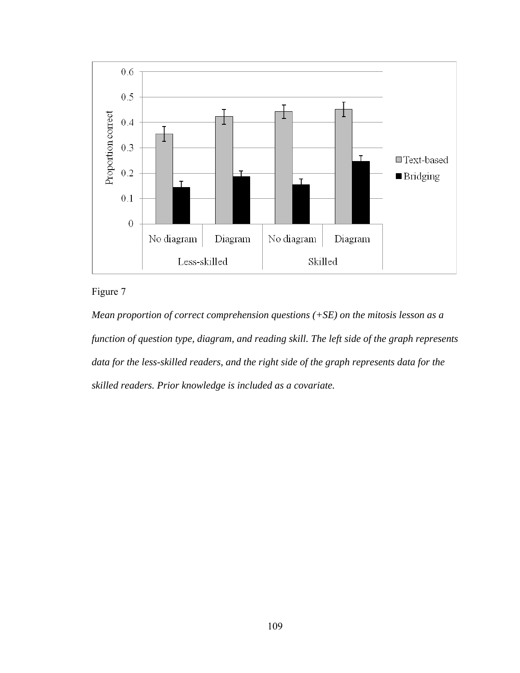

*Mean proportion of correct comprehension questions (+SE) on the mitosis lesson as a function of question type, diagram, and reading skill. The left side of the graph represents data for the less-skilled readers, and the right side of the graph represents data for the skilled readers. Prior knowledge is included as a covariate.*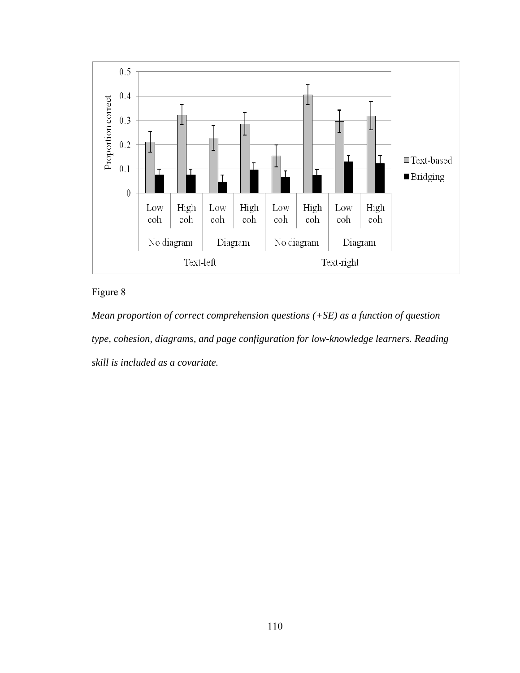

*Mean proportion of correct comprehension questions (+SE) as a function of question type, cohesion, diagrams, and page configuration for low-knowledge learners. Reading skill is included as a covariate.*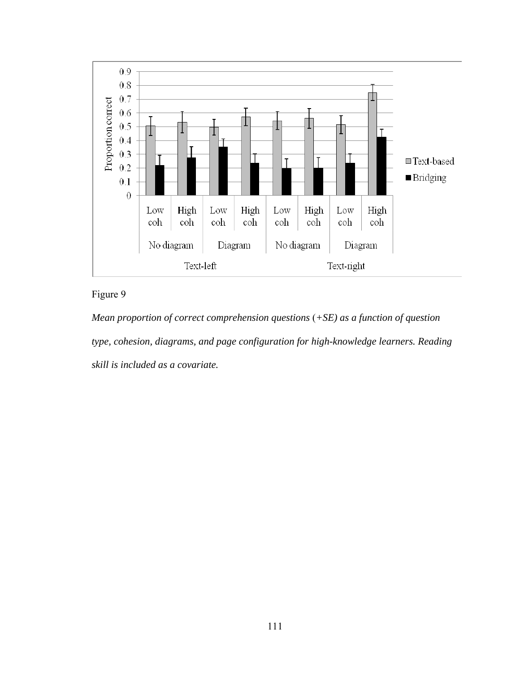

*Mean proportion of correct comprehension questions* (*+SE) as a function of question type, cohesion, diagrams, and page configuration for high-knowledge learners. Reading skill is included as a covariate.*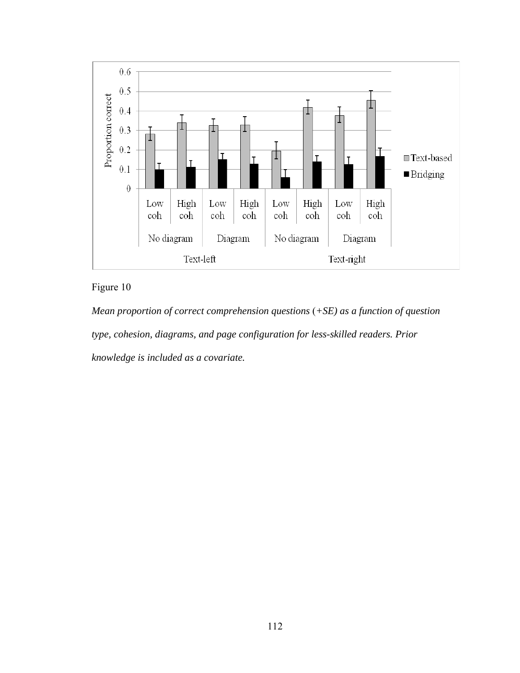

*Mean proportion of correct comprehension questions* (*+SE) as a function of question type, cohesion, diagrams, and page configuration for less-skilled readers. Prior knowledge is included as a covariate.*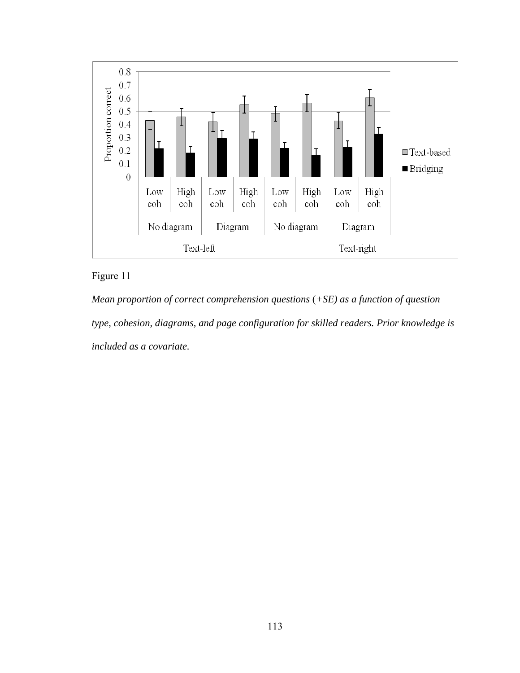

*Mean proportion of correct comprehension questions* (*+SE) as a function of question type, cohesion, diagrams, and page configuration for skilled readers. Prior knowledge is included as a covariate.*